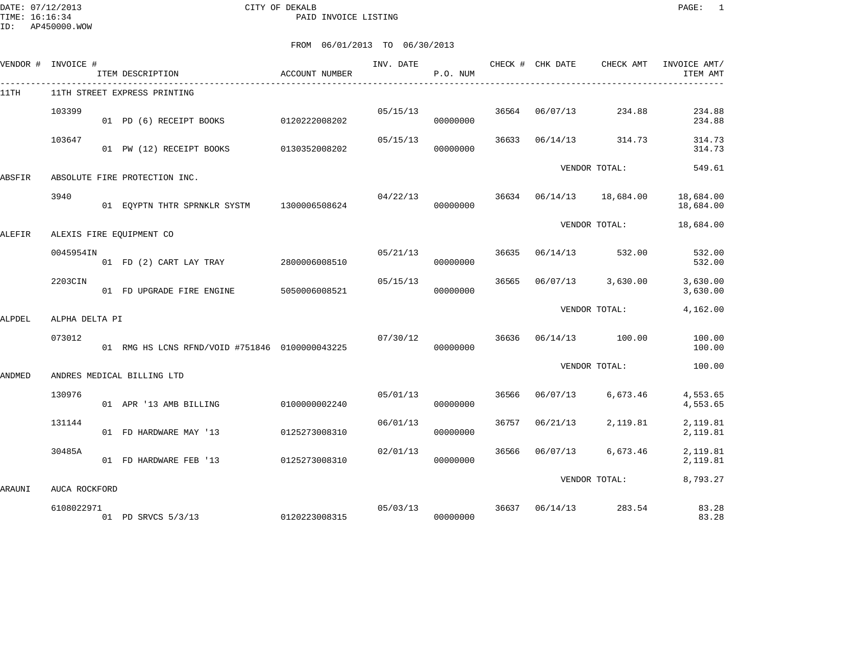DATE: 07/12/2013 CITY OF DEKALB PAGE: 1 PAID INVOICE LISTING

ID: AP450000.WOW

|        | VENDOR # INVOICE # | ITEM DESCRIPTION<br>---------------------------------- | ACCOUNT NUMBER | INV. DATE | P.O. NUM |       | CHECK # CHK DATE                 | CHECK AMT     | INVOICE AMT/<br>ITEM AMT |
|--------|--------------------|--------------------------------------------------------|----------------|-----------|----------|-------|----------------------------------|---------------|--------------------------|
| 11TH   |                    | 11TH STREET EXPRESS PRINTING                           |                |           |          |       | -------------------------------- |               |                          |
|        | 103399             | 01 PD (6) RECEIPT BOOKS                                | 0120222008202  | 05/15/13  | 00000000 | 36564 | 06/07/13                         | 234.88        | 234.88<br>234.88         |
|        | 103647             | 01 PW (12) RECEIPT BOOKS 0130352008202                 |                | 05/15/13  | 00000000 | 36633 | 06/14/13                         | 314.73        | 314.73<br>314.73         |
| ABSFIR |                    | ABSOLUTE FIRE PROTECTION INC.                          |                |           |          |       |                                  | VENDOR TOTAL: | 549.61                   |
|        | 3940               | 01 EQYPTN THTR SPRNKLR SYSTM 1300006508624             |                | 04/22/13  | 00000000 | 36634 | 06/14/13                         | 18,684.00     | 18,684.00<br>18,684.00   |
| ALEFIR |                    | ALEXIS FIRE EOUIPMENT CO                               |                |           |          |       |                                  | VENDOR TOTAL: | 18,684.00                |
|        | 0045954IN          | 01 FD (2) CART LAY TRAY 2800006008510                  |                | 05/21/13  | 00000000 | 36635 | 06/14/13                         | 532.00        | 532.00<br>532.00         |
|        | 2203CIN            | 01 FD UPGRADE FIRE ENGINE                              | 5050006008521  | 05/15/13  | 00000000 | 36565 | 06/07/13                         | 3,630.00      | 3,630.00<br>3,630.00     |
| ALPDEL | ALPHA DELTA PI     |                                                        |                |           |          |       |                                  | VENDOR TOTAL: | 4,162.00                 |
|        | 073012             | 01 RMG HS LCNS RFND/VOID #751846 0100000043225         |                | 07/30/12  | 00000000 | 36636 | 06/14/13                         | 100.00        | 100.00<br>100.00         |
| ANDMED |                    | ANDRES MEDICAL BILLING LTD                             |                |           |          |       |                                  | VENDOR TOTAL: | 100.00                   |
|        | 130976             | 01 APR '13 AMB BILLING                                 | 0100000002240  | 05/01/13  | 00000000 | 36566 | 06/07/13                         | 6,673.46      | 4,553.65<br>4,553.65     |
|        | 131144             | 01 FD HARDWARE MAY '13                                 | 0125273008310  | 06/01/13  | 00000000 | 36757 | 06/21/13                         | 2,119.81      | 2,119.81<br>2,119.81     |
|        | 30485A             | 01 FD HARDWARE FEB '13                                 | 0125273008310  | 02/01/13  | 00000000 | 36566 | 06/07/13                         | 6,673.46      | 2,119.81<br>2,119.81     |
| ARAUNI | AUCA ROCKFORD      |                                                        |                |           |          |       |                                  | VENDOR TOTAL: | 8,793.27                 |
|        | 6108022971         | 01 PD SRVCS 5/3/13 0120223008315                       |                | 05/03/13  | 00000000 | 36637 | 06/14/13                         | 283.54        | 83.28<br>83.28           |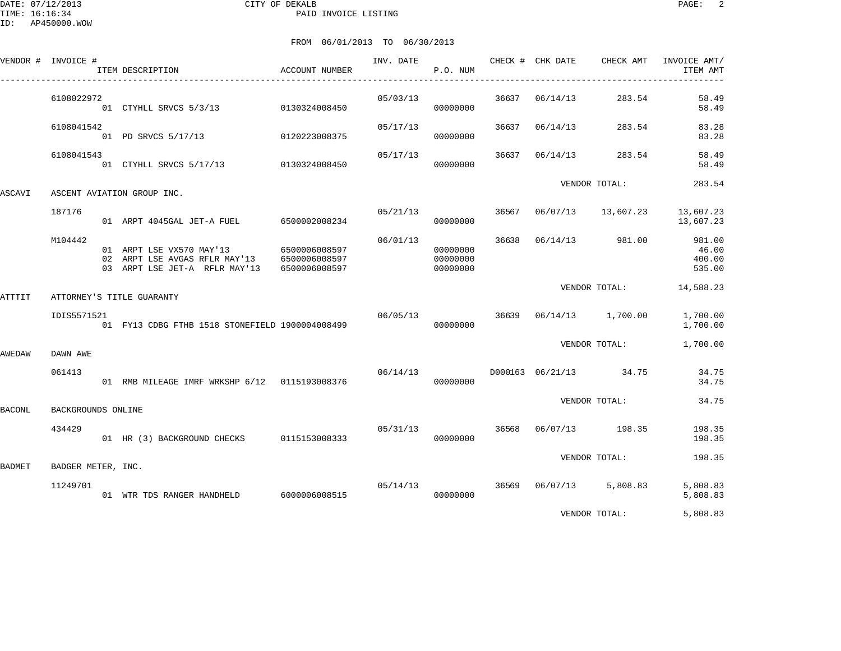DATE: 07/12/2013 CITY OF DEKALB PAGE: 2 PAID INVOICE LISTING

|        | VENDOR # INVOICE # | ITEM DESCRIPTION                                                                                                                     | ACCOUNT NUMBER | INV. DATE      | P.O. NUM                         |       | CHECK # CHK DATE | CHECK AMT                          | INVOICE AMT/<br>ITEM AMT            |
|--------|--------------------|--------------------------------------------------------------------------------------------------------------------------------------|----------------|----------------|----------------------------------|-------|------------------|------------------------------------|-------------------------------------|
|        | 6108022972         | 01 CTYHLL SRVCS 5/3/13 0130324008450                                                                                                 |                | 05/03/13       | 00000000                         |       | 36637 06/14/13   | 283.54                             | 58.49<br>58.49                      |
|        | 6108041542         | 01 PD SRVCS 5/17/13 0120223008375                                                                                                    |                | 05/17/13       | 00000000                         |       | 36637 06/14/13   | 283.54                             | 83.28<br>83.28                      |
|        | 6108041543         | 01 CTYHLL SRVCS 5/17/13 0130324008450                                                                                                |                | 05/17/13       | 00000000                         | 36637 | 06/14/13         | 283.54                             | 58.49<br>58.49                      |
| ASCAVI |                    | ASCENT AVIATION GROUP INC.                                                                                                           |                |                |                                  |       |                  | VENDOR TOTAL:                      | 283.54                              |
|        | 187176             | 01 ARPT 4045GAL JET-A FUEL 6500002008234                                                                                             |                | 05/21/13       | 00000000                         |       |                  | 36567 06/07/13 13,607.23           | 13,607.23<br>13,607.23              |
|        | M104442            | 01 ARPT LSE VX570 MAY'13 6500006008597<br>02 ARPT LSE AVGAS RFLR MAY'13 6500006008597<br>03 ARPT LSE JET-A RFLR MAY'13 6500006008597 |                | 06/01/13       | 00000000<br>00000000<br>00000000 |       |                  | 36638 06/14/13 981.00              | 981.00<br>46.00<br>400.00<br>535.00 |
| ATTTIT |                    | ATTORNEY'S TITLE GUARANTY                                                                                                            |                |                |                                  |       |                  | VENDOR TOTAL:                      | 14,588.23                           |
|        | IDIS5571521        | 01 FY13 CDBG FTHB 1518 STONEFIELD 1900004008499                                                                                      |                |                | 00000000                         |       |                  | $06/05/13$ 36639 06/14/13 1,700.00 | 1,700.00<br>1,700.00                |
| AWEDAW | DAWN AWE           |                                                                                                                                      |                |                |                                  |       |                  | VENDOR TOTAL:                      | 1,700.00                            |
|        | 061413             | 01 RMB MILEAGE IMRF WRKSHP 6/12 0115193008376                                                                                        |                | 06/14/13       | 00000000                         |       |                  | D000163 06/21/13 34.75             | 34.75<br>34.75                      |
| BACONL | BACKGROUNDS ONLINE |                                                                                                                                      |                |                |                                  |       |                  | VENDOR TOTAL:                      | 34.75                               |
|        | 434429             | 01 HR (3) BACKGROUND CHECKS 0115153008333                                                                                            |                | 05/31/13 36568 | 00000000                         |       |                  | 06/07/13 198.35                    | 198.35<br>198.35                    |
| BADMET | BADGER METER, INC. |                                                                                                                                      |                |                |                                  |       |                  | VENDOR TOTAL:                      | 198.35                              |
|        | 11249701           | 01 WTR TDS RANGER HANDHELD 6000006008515                                                                                             |                | 05/14/13       | 00000000                         |       |                  | 36569 06/07/13 5,808.83            | 5,808.83<br>5,808.83                |
|        |                    |                                                                                                                                      |                |                |                                  |       |                  | VENDOR TOTAL:                      | 5,808.83                            |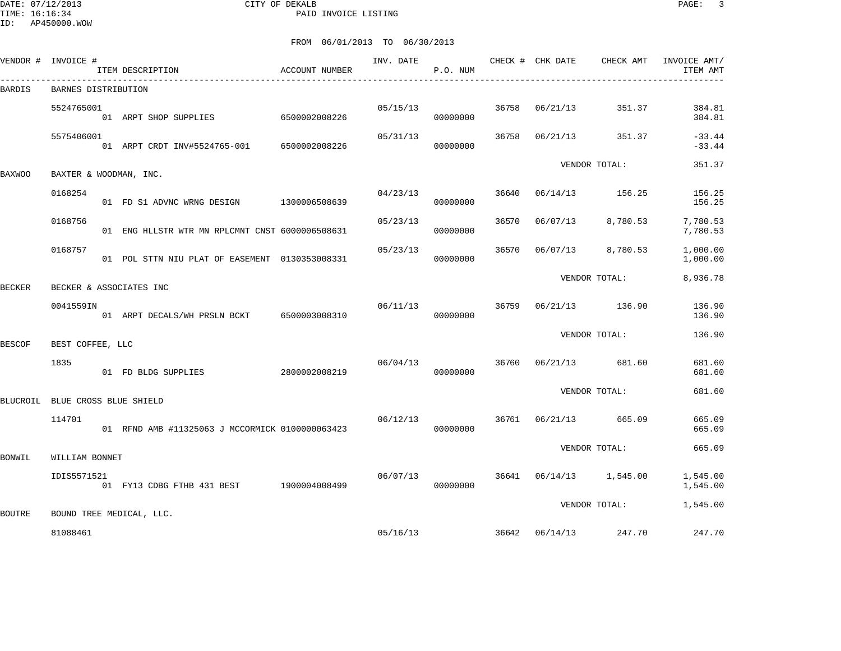DATE: 07/12/2013 CITY OF DEKALB PAGE: 3 PAID INVOICE LISTING

|               | VENDOR # INVOICE #              | ITEM DESCRIPTION                                | ACCOUNT NUMBER | INV. DATE | P.O. NUM |       | CHECK # CHK DATE | CHECK AMT         | INVOICE AMT/<br>ITEM AMT |
|---------------|---------------------------------|-------------------------------------------------|----------------|-----------|----------|-------|------------------|-------------------|--------------------------|
| BARDIS        | BARNES DISTRIBUTION             |                                                 |                |           |          |       |                  |                   |                          |
|               | 5524765001                      | 01 ARPT SHOP SUPPLIES                           | 6500002008226  | 05/15/13  | 00000000 | 36758 | 06/21/13         | 351.37            | 384.81<br>384.81         |
|               | 5575406001                      | 01 ARPT CRDT INV#5524765-001                    | 6500002008226  | 05/31/13  | 00000000 | 36758 | 06/21/13         | 351.37            | $-33.44$<br>$-33.44$     |
| BAXWOO        | BAXTER & WOODMAN, INC.          |                                                 |                |           |          |       |                  | VENDOR TOTAL:     | 351.37                   |
|               | 0168254                         | 01 FD S1 ADVNC WRNG DESIGN 1300006508639        |                | 04/23/13  | 00000000 | 36640 | 06/14/13         | 156.25            | 156.25<br>156.25         |
|               | 0168756                         | 01 ENG HLLSTR WTR MN RPLCMNT CNST 6000006508631 |                | 05/23/13  | 00000000 | 36570 | 06/07/13         | 8,780.53          | 7,780.53<br>7,780.53     |
|               | 0168757                         | 01 POL STTN NIU PLAT OF EASEMENT 0130353008331  |                | 05/23/13  | 00000000 | 36570 | 06/07/13         | 8,780.53          | 1,000.00<br>1,000.00     |
| BECKER        |                                 | BECKER & ASSOCIATES INC                         |                |           |          |       |                  | VENDOR TOTAL:     | 8,936.78                 |
|               | 0041559IN                       | 01 ARPT DECALS/WH PRSLN BCKT 6500003008310      |                | 06/11/13  | 00000000 | 36759 | 06/21/13         | 136.90            | 136.90<br>136.90         |
| <b>BESCOF</b> | BEST COFFEE, LLC                |                                                 |                |           |          |       |                  | VENDOR TOTAL:     | 136.90                   |
|               | 1835                            | 01 FD BLDG SUPPLIES                             | 2800002008219  | 06/04/13  | 00000000 | 36760 | 06/21/13         | 681.60            | 681.60<br>681.60         |
|               | BLUCROIL BLUE CROSS BLUE SHIELD |                                                 |                |           |          |       |                  | VENDOR TOTAL:     | 681.60                   |
|               | 114701                          | 01 RFND AMB #11325063 J MCCORMICK 0100000063423 |                | 06/12/13  | 00000000 | 36761 | 06/21/13         | 665.09            | 665.09<br>665.09         |
| BONWIL        | WILLIAM BONNET                  |                                                 |                |           |          |       |                  | VENDOR TOTAL:     | 665.09                   |
|               | IDIS5571521                     | 01 FY13 CDBG FTHB 431 BEST 1900004008499        |                | 06/07/13  | 00000000 | 36641 |                  | 06/14/13 1,545.00 | 1,545.00<br>1,545.00     |
| BOUTRE        |                                 | BOUND TREE MEDICAL, LLC.                        |                |           |          |       |                  | VENDOR TOTAL:     | 1,545.00                 |
|               | 81088461                        |                                                 |                | 05/16/13  |          | 36642 | 06/14/13         | 247.70            | 247.70                   |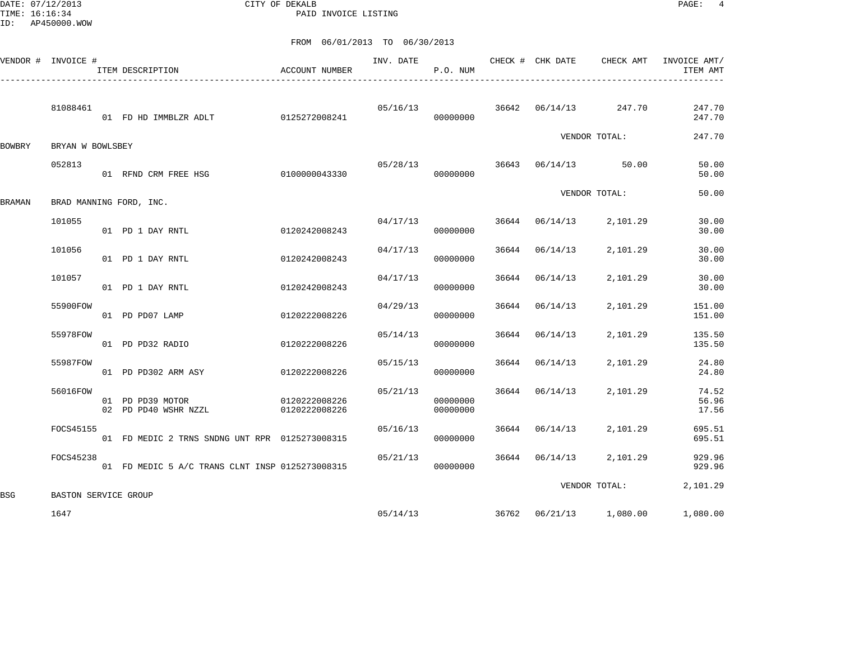DATE: 07/12/2013 CITY OF DEKALB PAGE: 4 PAID INVOICE LISTING

|               | VENDOR # INVOICE #   | ITEM DESCRIPTION                                | <b>ACCOUNT NUMBER</b>          | INV. DATE | P.O. NUM             |       | CHECK # CHK DATE   | CHECK AMT               | INVOICE AMT/<br>ITEM AMT |
|---------------|----------------------|-------------------------------------------------|--------------------------------|-----------|----------------------|-------|--------------------|-------------------------|--------------------------|
|               | 81088461             | 01 FD HD IMMBLZR ADLT 0125272008241             |                                | 05/16/13  | 00000000             |       |                    | 36642 06/14/13 247.70   | 247.70<br>247.70         |
| BOWBRY        | BRYAN W BOWLSBEY     |                                                 |                                |           |                      |       |                    | VENDOR TOTAL:           | 247.70                   |
|               | 052813               | 01 RFND CRM FREE HSG                            | 0100000043330                  | 05/28/13  | 00000000             |       |                    | 36643 06/14/13 50.00    | 50.00<br>50.00           |
| <b>BRAMAN</b> |                      | BRAD MANNING FORD, INC.                         |                                |           |                      |       |                    | VENDOR TOTAL:           | 50.00                    |
|               | 101055               | 01 PD 1 DAY RNTL                                | 0120242008243                  | 04/17/13  | 00000000             |       | 36644 06/14/13     | 2,101.29                | 30.00<br>30.00           |
|               | 101056               | 01 PD 1 DAY RNTL                                | 0120242008243                  | 04/17/13  | 00000000             |       | 36644 06/14/13     | 2,101.29                | 30.00<br>30.00           |
|               | 101057               | 01 PD 1 DAY RNTL                                | 0120242008243                  | 04/17/13  | 00000000             | 36644 | 06/14/13           | 2,101.29                | 30.00<br>30.00           |
|               | 55900FOW             | 01 PD PD07 LAMP                                 | 0120222008226                  | 04/29/13  | 00000000             | 36644 | 06/14/13           | 2,101.29                | 151.00<br>151.00         |
|               | 55978FOW             | 01 PD PD32 RADIO                                | 0120222008226                  | 05/14/13  | 00000000             | 36644 | 06/14/13           | 2,101.29                | 135.50<br>135.50         |
|               | 55987FOW             | 01 PD PD302 ARM ASY                             | 0120222008226                  | 05/15/13  | 00000000             |       | $36644$ $06/14/13$ | 2,101.29                | 24.80<br>24.80           |
|               | 56016FOW             | 01 PD PD39 MOTOR<br>02 PD PD40 WSHR NZZL        | 0120222008226<br>0120222008226 | 05/21/13  | 00000000<br>00000000 | 36644 | 06/14/13           | 2,101.29                | 74.52<br>56.96<br>17.56  |
|               | FOCS45155            | 01 FD MEDIC 2 TRNS SNDNG UNT RPR 0125273008315  |                                | 05/16/13  | 00000000             | 36644 | 06/14/13           | 2,101.29                | 695.51<br>695.51         |
|               | FOCS45238            | 01 FD MEDIC 5 A/C TRANS CLNT INSP 0125273008315 |                                | 05/21/13  | 00000000             |       | 36644 06/14/13     | 2,101.29                | 929.96<br>929.96         |
| <b>BSG</b>    | BASTON SERVICE GROUP |                                                 |                                |           |                      |       |                    | VENDOR TOTAL:           | 2,101.29                 |
|               | 1647                 |                                                 |                                |           | 05/14/13             |       |                    | 36762 06/21/13 1,080.00 | 1,080.00                 |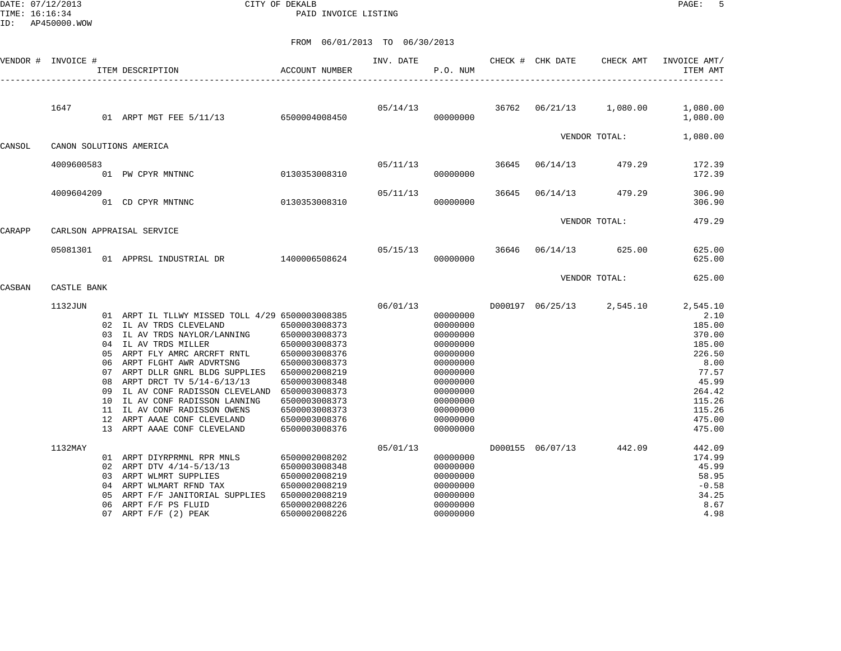DATE: 07/12/2013 CITY OF DEKALB PAGE: 5 PAID INVOICE LISTING

| VENDOR # INVOICE # |             |                                  | ITEM DESCRIPTION                                                                                                                                                                                                                                                                                                                                                                                                      | ACCOUNT NUMBER                                                                                                                                                                                           | INV. DATE | P.O. NUM                                                                                                                                                 |       | CHECK # CHK DATE | CHECK AMT     | INVOICE AMT/<br>ITEM AMT                                                                                                             |
|--------------------|-------------|----------------------------------|-----------------------------------------------------------------------------------------------------------------------------------------------------------------------------------------------------------------------------------------------------------------------------------------------------------------------------------------------------------------------------------------------------------------------|----------------------------------------------------------------------------------------------------------------------------------------------------------------------------------------------------------|-----------|----------------------------------------------------------------------------------------------------------------------------------------------------------|-------|------------------|---------------|--------------------------------------------------------------------------------------------------------------------------------------|
|                    | 1647        |                                  | 01 ARPT MGT FEE 5/11/13                                                                                                                                                                                                                                                                                                                                                                                               | 6500004008450                                                                                                                                                                                            | 05/14/13  | 36762<br>00000000                                                                                                                                        |       | 06/21/13         | 1,080.00      | 1,080.00<br>1,080.00                                                                                                                 |
| CANSOL             |             |                                  | CANON SOLUTIONS AMERICA                                                                                                                                                                                                                                                                                                                                                                                               |                                                                                                                                                                                                          |           |                                                                                                                                                          |       |                  | VENDOR TOTAL: | 1,080.00                                                                                                                             |
|                    | 4009600583  |                                  | 01 PW CPYR MNTNNC                                                                                                                                                                                                                                                                                                                                                                                                     | 0130353008310                                                                                                                                                                                            | 05/11/13  | 00000000                                                                                                                                                 | 36645 | 06/14/13         | 479.29        | 172.39<br>172.39                                                                                                                     |
|                    | 4009604209  |                                  | 01 CD CPYR MNTNNC                                                                                                                                                                                                                                                                                                                                                                                                     | 0130353008310                                                                                                                                                                                            | 05/11/13  | 00000000                                                                                                                                                 | 36645 | 06/14/13         | 479.29        | 306.90<br>306.90                                                                                                                     |
| CARAPP             |             |                                  | CARLSON APPRAISAL SERVICE                                                                                                                                                                                                                                                                                                                                                                                             |                                                                                                                                                                                                          |           |                                                                                                                                                          |       |                  | VENDOR TOTAL: | 479.29                                                                                                                               |
|                    | 05081301    |                                  | 01 APPRSL INDUSTRIAL DR 1400006508624                                                                                                                                                                                                                                                                                                                                                                                 |                                                                                                                                                                                                          | 05/15/13  | 00000000                                                                                                                                                 |       | 36646 06/14/13   | 625.00        | 625.00<br>625.00                                                                                                                     |
| CASBAN             | CASTLE BANK |                                  |                                                                                                                                                                                                                                                                                                                                                                                                                       |                                                                                                                                                                                                          |           |                                                                                                                                                          |       |                  | VENDOR TOTAL: | 625.00                                                                                                                               |
|                    | 1132JUN     | 05<br>06<br>08<br>09<br>10<br>12 | 01 ARPT IL TLLWY MISSED TOLL 4/29 6500003008385<br>02 IL AV TRDS CLEVELAND<br>03 IL AV TRDS NAYLOR/LANNING<br>04 IL AV TRDS MILLER<br>ARPT FLY AMRC ARCRFT RNTL<br>ARPT FLGHT AWR ADVRTSNG<br>07 ARPT DLLR GNRL BLDG SUPPLIES<br>ARPT DRCT TV 5/14-6/13/13<br>IL AV CONF RADISSON CLEVELAND<br>IL AV CONF RADISSON LANNING<br>11 IL AV CONF RADISSON OWENS<br>ARPT AAAE CONF CLEVELAND<br>13 ARPT AAAE CONF CLEVELAND | 6500003008373<br>6500003008373<br>6500003008373<br>6500003008376<br>6500003008373<br>6500002008219<br>6500003008348<br>6500003008373<br>6500003008373<br>6500003008373<br>6500003008376<br>6500003008376 | 06/01/13  | 00000000<br>00000000<br>00000000<br>00000000<br>00000000<br>00000000<br>00000000<br>00000000<br>00000000<br>00000000<br>00000000<br>00000000<br>00000000 |       | D000197 06/25/13 | 2,545.10      | 2,545.10<br>2.10<br>185.00<br>370.00<br>185.00<br>226.50<br>8.00<br>77.57<br>45.99<br>264.42<br>115.26<br>115.26<br>475.00<br>475.00 |
|                    | 1132MAY     | 0.3<br>04<br>05<br>06            | 01 ARPT DIYRPRMNL RPR MNLS<br>02 ARPT DTV 4/14-5/13/13<br>ARPT WLMRT SUPPLIES<br>ARPT WLMART RFND TAX<br>ARPT F/F JANITORIAL SUPPLIES<br>ARPT F/F PS FLUID<br>07 ARPT F/F (2) PEAK                                                                                                                                                                                                                                    | 6500002008202<br>6500003008348<br>6500002008219<br>6500002008219<br>6500002008219<br>6500002008226<br>6500002008226                                                                                      | 05/01/13  | 00000000<br>00000000<br>00000000<br>00000000<br>00000000<br>00000000<br>00000000                                                                         |       | D000155 06/07/13 | 442.09        | 442.09<br>174.99<br>45.99<br>58.95<br>$-0.58$<br>34.25<br>8.67<br>4.98                                                               |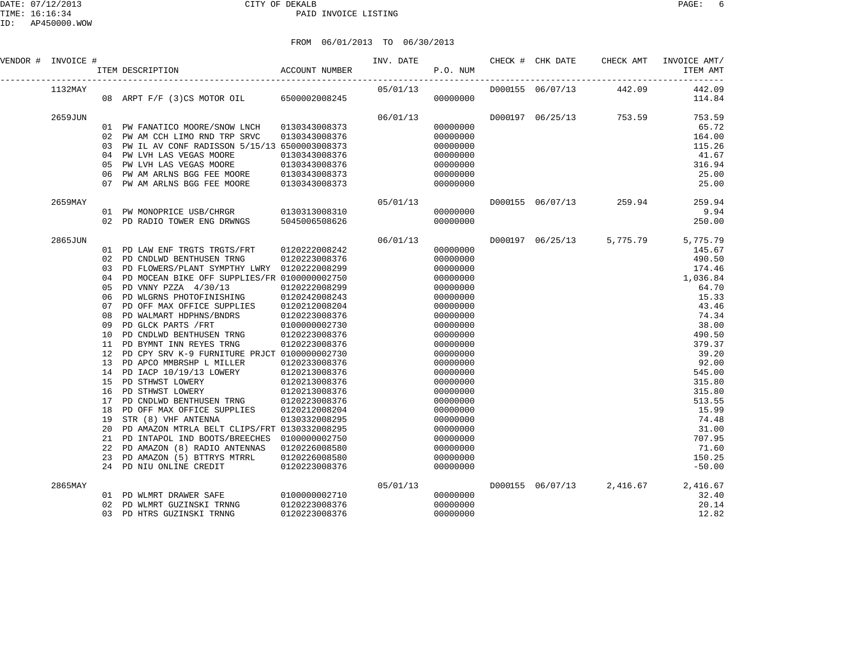DATE: 07/12/2013 CITY OF DEKALB PAGE: 6 PAID INVOICE LISTING

| VENDOR # INVOICE # |          | SCRIPTION ACCOUNT NUMBER<br>ITEM DESCRIPTION                                          |                                      | INV. DATE<br>P.O. NUM |                      |  | CHECK # CHK DATE CHECK AMT | INVOICE AMT/<br>ITEM AMT                 |
|--------------------|----------|---------------------------------------------------------------------------------------|--------------------------------------|-----------------------|----------------------|--|----------------------------|------------------------------------------|
| 1132MAY            |          | 08 ARPT F/F (3)CS MOTOR OIL 6500002008245                                             |                                      | $05/01/13$ 00000000   |                      |  |                            | D000155 06/07/13 442.09 442.09<br>114.84 |
| 2659JUN            |          |                                                                                       |                                      | 06/01/13              |                      |  |                            | D000197 06/25/13 753.59 753.59           |
|                    |          | 01 PW FANATICO MOORE/SNOW LNCH 0130343008373                                          |                                      |                       | 00000000             |  |                            | 65.72                                    |
|                    |          | 02 PW AM CCH LIMO RND TRP SRVC                                                        | 0130343008376                        |                       | 00000000             |  |                            | 164.00                                   |
|                    | 03       | PW IL AV CONF RADISSON 5/15/13 6500003008373                                          |                                      |                       | 00000000             |  |                            | 115.26                                   |
|                    | 04       | PW LVH LAS VEGAS MOORE                                                                | 0130343008376                        |                       | 00000000             |  |                            | 41.67                                    |
|                    | 0.5      | PW LVH LAS VEGAS MOORE                                                                | 0130343008376<br>RE 0130343008373    |                       | 00000000             |  |                            | 316.94                                   |
|                    | 06       | PW AM ARLNS BGG FEE MOORE                                                             |                                      |                       | 00000000             |  |                            | 25.00                                    |
|                    |          | 07 PW AM ARLNS BGG FEE MOORE                                                          | 0130343008373                        |                       | 00000000             |  |                            | 25.00                                    |
| 2659MAY            |          |                                                                                       |                                      | 05/01/13              |                      |  | D000155 06/07/13 259.94    | 259.94                                   |
|                    |          | 01 PW MONOPRICE USB/CHRGR 0130313008310<br>02 PD RADIO TOWER ENG DRWNGS 5045006508626 |                                      |                       | 00000000             |  |                            | 9.94                                     |
|                    |          |                                                                                       |                                      |                       | 00000000             |  |                            | 250.00                                   |
| 2865JUN            |          |                                                                                       |                                      | 06/01/13              |                      |  | D000197 06/25/13 5,775.79  | 5,775.79                                 |
|                    |          | 01 PD LAW ENF TRGTS TRGTS/FRT                                                         | 0120222008242                        |                       | 00000000             |  |                            | 145.67                                   |
|                    | 02       | PD CNDLWD BENTHUSEN TRNG                                                              | 0120223008376                        |                       | 00000000             |  |                            | 490.50                                   |
|                    | 03       | PD FLOWERS/PLANT SYMPTHY LWRY 0120222008299                                           |                                      |                       | 00000000             |  |                            | 174.46                                   |
|                    | 04       | PD MOCEAN BIKE OFF SUPPLIES/FR 0100000002750                                          |                                      |                       | 00000000             |  |                            | 1,036.84                                 |
|                    | 05       |                                                                                       | 0120222008299                        |                       | 00000000             |  |                            | 64.70                                    |
|                    | 06       | PD VNNY PZZA 4/30/13<br>PD WLGRNS PHOTOFINISHING                                      | 0120242008243                        |                       | 00000000             |  |                            | 15.33                                    |
|                    | 07       | PD OFF MAX OFFICE SUPPLIES                                                            | 0120212008204                        |                       | 00000000             |  |                            | 43.46                                    |
|                    | 08       |                                                                                       |                                      |                       | 00000000             |  |                            | 74.34                                    |
|                    | 09       |                                                                                       |                                      |                       | 00000000             |  |                            | 38.00                                    |
|                    | 10       | PD CNDLWD BENTHUSEN TRNG                                                              | 0120223008376                        |                       | 00000000             |  |                            | 490.50                                   |
|                    | 11       | PD BYMNT INN REYES TRNG                                                               | 0120223008376                        |                       | 00000000             |  |                            | 379.37                                   |
|                    | 12       | PD CPY SRV K-9 FURNITURE PRJCT 0100000002730                                          |                                      |                       | 00000000             |  |                            | 39.20                                    |
|                    | 13       | PD APCO MMBRSHP L MILLER                                                              | 0120233008376                        |                       | 00000000             |  |                            | 92.00                                    |
|                    | 14       | PD IACP 10/19/13 LOWERY                                                               | 0120213008376                        |                       | 00000000             |  |                            | 545.00                                   |
|                    | 15       | PD STHWST LOWERY                                                                      | 0120213008376                        |                       | 00000000             |  |                            | 315.80                                   |
|                    | 16       | PD STHWST LOWERY 0120213008376<br>PD CNDLWD BENTHUSEN TRNG 0120223008376              |                                      |                       | 00000000             |  |                            | 315.80                                   |
|                    | 17       |                                                                                       |                                      |                       | 00000000             |  |                            | 513.55                                   |
|                    | 18       | PD OFF MAX OFFICE SUPPLIES                                                            | 0120212008204                        |                       | 00000000             |  |                            | 15.99                                    |
|                    | 19<br>20 | STR (8) VHF ANTENNA<br>PD AMAZON MTRLA BELT CLIPS/FRT 0130332008295                   | 0130332008295                        |                       | 00000000<br>00000000 |  |                            | 74.48<br>31.00                           |
|                    | 21       | PD INTAPOL IND BOOTS/BREECHES 0100000002750                                           |                                      |                       | 00000000             |  |                            | 707.95                                   |
|                    | 22       | PD AMAZON (8) RADIO ANTENNAS 0120226008580                                            |                                      |                       | 00000000             |  |                            | 71.60                                    |
|                    | 23       | PD AMAZON (5) BTTRYS MTRRL                                                            | 0120226008580                        |                       | 00000000             |  |                            | 150.25                                   |
|                    | 2.4      | PD NIU ONLINE CREDIT                                                                  | 0120223008376                        |                       | 00000000             |  |                            | $-50.00$                                 |
| 2865MAY            |          |                                                                                       |                                      | 05/01/13              |                      |  | D000155 06/07/13 2,416.67  | 2,416.67                                 |
|                    |          | 01 PD WLMRT DRAWER SAFE                                                               |                                      |                       | 00000000             |  |                            | 32.40                                    |
|                    | 02       | PD WLMRT GUZINSKI TRNNG                                                               | $0100000002710$<br>NNG 0120223008376 |                       | 00000000             |  |                            | 20.14                                    |
|                    |          | 03 PD HTRS GUZINSKI TRNNG                                                             | 0120223008376                        |                       | 00000000             |  |                            | 12.82                                    |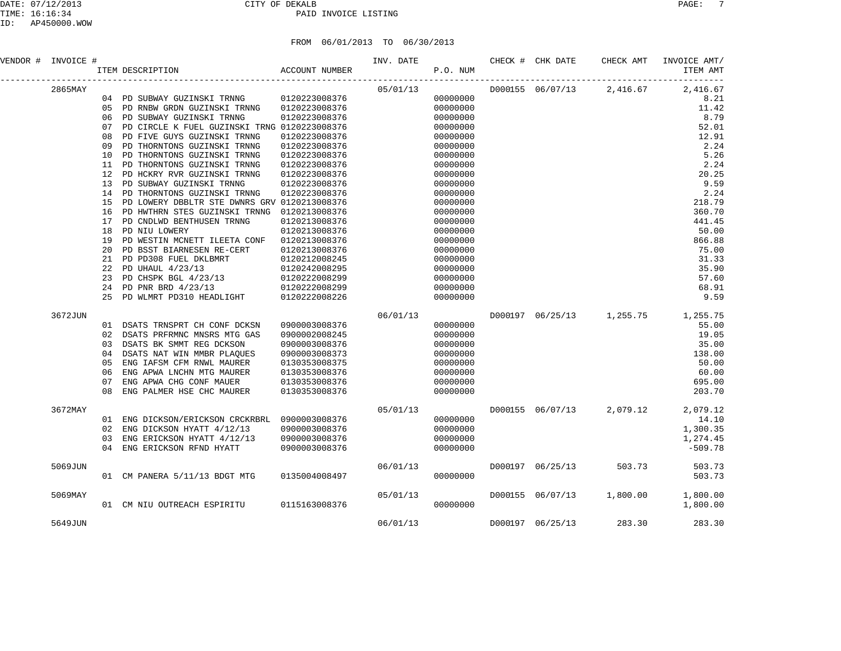#### DATE: 07/12/2013 CITY OF DEKALB PAGE: 7 PAID INVOICE LISTING

| VENDOR # INVOICE # |                                                                      | <b>ACCOUNT NUMBER</b><br>ITEM DESCRIPTION                                                                                                                                                                                                                                                                                                                                                                                                                   |                                                                                                                                      |                     | P.O. NUM                                                                                                                                     | INV. DATE CHECK # CHK DATE |                           | CHECK AMT INVOICE AMT/<br>ITEM AMT                                                                                     |
|--------------------|----------------------------------------------------------------------|-------------------------------------------------------------------------------------------------------------------------------------------------------------------------------------------------------------------------------------------------------------------------------------------------------------------------------------------------------------------------------------------------------------------------------------------------------------|--------------------------------------------------------------------------------------------------------------------------------------|---------------------|----------------------------------------------------------------------------------------------------------------------------------------------|----------------------------|---------------------------|------------------------------------------------------------------------------------------------------------------------|
| 2865MAY            | 05<br>06<br>07<br>08<br>09<br>10<br>11<br>12<br>13                   | 04 PD SUBWAY GUZINSKI TRNNG 0120223008376<br>PD RNBW GRDN GUZINSKI TRNNG<br>PD SUBWAY GUZINSKI TRNNG<br>PD CIRCLE K FUEL GUZINSKI TRNG 0120223008376<br>PD FIVE GUYS GUZINSKI TRNNG<br>PD THORNTONS GUZINSKI TRNNG<br>PD THORNTONS GUZINSKI TRNNG<br>PD THORNTONS GUZINSKI TRNNG<br>PD HCKRY RVR GUZINSKI TRNNG<br>PD SUBWAY GUZINSKI TRNNG                                                                                                                 | 0120223008376<br>0120223008376<br>0120223008376<br>0120223008376<br>0120223008376<br>0120223008376<br>0120223008376<br>0120223008376 | 05/01/13            | 00000000<br>00000000<br>00000000<br>00000000<br>00000000<br>00000000<br>00000000<br>00000000<br>00000000<br>00000000                         |                            |                           | D000155 06/07/13 2,416.67 2,416.67<br>8.21<br>11.42<br>8.79<br>52.01<br>12.91<br>2.24<br>5.26<br>2.24<br>20.25<br>9.59 |
|                    | 14<br>15<br>16<br>17<br>18<br>19<br>20<br>21<br>22<br>23<br>24<br>25 | PD THORNTONS GUZINSKI TRNNG<br>PD LOWERY DBBLTR STE DWNRS GRV 0120213008376<br>PD HWTHRN STES GUZINSKI TRNNG<br>PD CNDLWD BENTHUSEN TRNNG<br>PD NIU LOWERY<br>PD WESTIN MCNETT ILEETA CONF<br>PD BSST BIARNESEN RE-CERT<br>PD PD308 FUEL DKLBMRT<br>PD PD308 FUEL DKLBMRT<br>PD UHAUL 4/23/13<br>PD CHSPK BGL 4/23/13<br>PD PNR BRD 4/23/13<br>PD PNR BRD 4/23/13<br>PD WLMRT PD310 HEADLIGHT<br>0120222008299<br>PD WLMRT PD310 HEADLIGHT<br>0120222008226 | 0120223008376<br>0120213008376<br>0120213008376<br>0120213008376<br>0120213008376<br>0120213008376                                   |                     | 00000000<br>00000000<br>00000000<br>00000000<br>00000000<br>00000000<br>00000000<br>00000000<br>00000000<br>00000000<br>00000000<br>00000000 |                            |                           | 2.24<br>218.79<br>360.70<br>441.45<br>50.00<br>866.88<br>75.00<br>31.33<br>35.90<br>57.60<br>68.91<br>9.59             |
| 3672JUN            | 03<br>05<br>06<br>07<br>08                                           | 01 DSATS TRNSPRT CH CONF DCKSN<br>02 DSATS PRFRMNC MNSRS MTG GAS<br>DSATS BK SMMT REG DCKSON<br>04 DSATS NAT WIN MMBR PLAQUES<br>ENG IAFSM CFM RNWL MAURER<br>ENG APWA LNCHN MTG MAURER<br>ENG APWA CHG CONF MAUER<br>ENG PALMER HSE CHC MAURER<br>ENG PALMER HSE CHC MAURER                                                                                                                                                                                | 0900003008376<br>0900002008245<br>0900003008376<br>0900003008373<br>0130353008375<br>0130353008376<br>0130353008376<br>0130353008376 | 06/01/13            | 00000000<br>00000000<br>00000000<br>00000000<br>00000000<br>00000000<br>00000000<br>00000000                                                 |                            |                           | D000197 06/25/13 1,255.75 1,255.75<br>55.00<br>19.05<br>35.00<br>138.00<br>50.00<br>60.00<br>695.00<br>203.70          |
| 3672MAY            | 02<br>03<br>04                                                       | 01 ENG DICKSON/ERICKSON CRCKRBRL 0900003008376<br>ENG DICKSON HYATT 4/12/13<br>ENG ERICKSON HYATT 4/12/13<br>ENG ERICKSON RFND HYATT                                                                                                                                                                                                                                                                                                                        | 0900003008376<br>0900003008376<br>0900003008376                                                                                      | $05/01/13$ 00000000 | 00000000<br>00000000<br>00000000                                                                                                             |                            | D000155 06/07/13 2,079.12 | 2,079.12<br>14.10<br>1,300.35<br>1,274.45<br>$-509.78$                                                                 |
| 5069JUN            |                                                                      | 01 CM PANERA 5/11/13 BDGT MTG 0135004008497                                                                                                                                                                                                                                                                                                                                                                                                                 |                                                                                                                                      | 06/01/13            | 00000000                                                                                                                                     | D000197 06/25/13 503.73    |                           | 503.73<br>503.73                                                                                                       |
| 5069MAY            |                                                                      | 01 CM NIU OUTREACH ESPIRITU 0115163008376                                                                                                                                                                                                                                                                                                                                                                                                                   |                                                                                                                                      | 05/01/13            | 00000000                                                                                                                                     |                            |                           | $D000155$ $06/07/13$ 1,800.00 1,800.00<br>1,800.00                                                                     |
| 5649JUN            |                                                                      |                                                                                                                                                                                                                                                                                                                                                                                                                                                             |                                                                                                                                      | 06/01/13            |                                                                                                                                              | D000197 06/25/13 283.30    |                           | 283.30                                                                                                                 |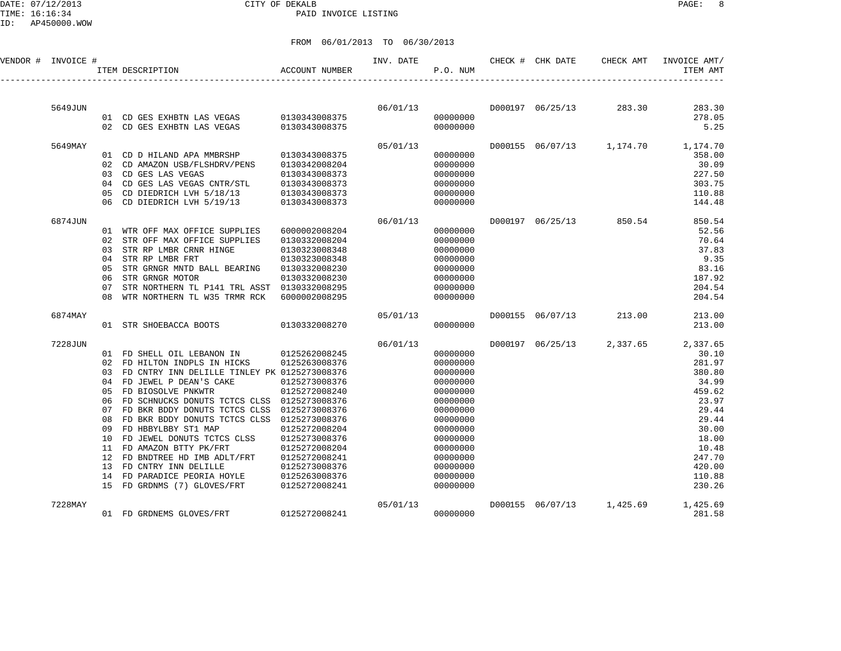#### DATE: 07/12/2013 CITY OF DEKALB PAGE: 8 PAID INVOICE LISTING

| VENDOR # INVOICE # |         |          | ITEM DESCRIPTION                                                                                  | ACCOUNT NUMBER                 |          | P.O. NUM             | INV. DATE CHECK # CHK DATE | CHECK AMT                 | INVOICE AMT/<br>ITEM AMT           |
|--------------------|---------|----------|---------------------------------------------------------------------------------------------------|--------------------------------|----------|----------------------|----------------------------|---------------------------|------------------------------------|
|                    |         |          |                                                                                                   |                                |          |                      |                            |                           |                                    |
|                    | 5649JUN |          |                                                                                                   |                                |          |                      |                            |                           | 283.30                             |
|                    |         |          | 01 CD GES EXHBTN LAS VEGAS $\begin{array}{ccc} 01 & 0130343008375 \\ n_2 & n_1 & n_2 \end{array}$ |                                |          | 00000000<br>00000000 |                            |                           | 278.05<br>5.25                     |
|                    |         |          |                                                                                                   |                                |          |                      |                            |                           |                                    |
|                    | 5649MAY |          |                                                                                                   |                                | 05/01/13 |                      |                            |                           | D000155 06/07/13 1,174.70 1,174.70 |
|                    |         |          | 01 CD D HILAND APA MMBRSHP 0130343008375                                                          |                                |          | 00000000             |                            |                           | 358.00                             |
|                    |         |          | 02 CD AMAZON USB/FLSHDRV/PENS 0130342008204                                                       |                                |          | 00000000             |                            |                           | 30.09                              |
|                    |         |          | 03 CD GES LAS VEGAS                                                                               | 0130343008373                  |          | 00000000             |                            |                           | 227.50                             |
|                    |         |          | 04 CD GES LAS VEGAS CNTR/STL                                                                      | 0130343008373                  |          | 00000000             |                            |                           | 303.75                             |
|                    |         | 05       | CD DIEDRICH LVH 5/18/13 0130343008373<br>06 CD DIEDRICH LVH 5/19/13                               | 0130343008373                  |          | 00000000<br>00000000 |                            |                           | 110.88<br>144.48                   |
|                    |         |          |                                                                                                   |                                |          |                      |                            |                           |                                    |
|                    | 6874JUN |          |                                                                                                   |                                | 06/01/13 |                      |                            | D000197 06/25/13 850.54   | 850.54                             |
|                    |         |          | 01 WTR OFF MAX OFFICE SUPPLIES                                                                    | 6000002008204                  |          | 00000000             |                            |                           | 52.56                              |
|                    |         |          | 02 STR OFF MAX OFFICE SUPPLIES                                                                    | 0130332008204                  |          | 00000000             |                            |                           | 70.64                              |
|                    |         |          | 03 STR RP LMBR CRNR HINGE                                                                         | 0130323008348                  |          | 00000000             |                            |                           | 37.83                              |
|                    |         | 04       | STR RP LMBR FRT                                                                                   | 0130323008348                  |          | 00000000             |                            |                           | 9.35                               |
|                    |         | 05       | STR GRNGR MNTD BALL BEARING                                                                       | 0130332008230                  |          | 00000000             |                            |                           | 83.16                              |
|                    |         | 06<br>07 | STR GRNGR MOTOR<br>STR NORTHERN TL P141 TRL ASST 0130332008295                                    | 0130332008230                  |          | 00000000<br>00000000 |                            |                           | 187.92<br>204.54                   |
|                    |         | 08       | WTR NORTHERN TL W35 TRMR RCK                                                                      | 6000002008295                  |          | 00000000             |                            |                           | 204.54                             |
|                    |         |          |                                                                                                   |                                |          |                      |                            |                           |                                    |
|                    | 6874MAY |          |                                                                                                   |                                | 05/01/13 |                      |                            | D000155 06/07/13 213.00   | 213.00                             |
|                    |         |          | 01 STR SHOEBACCA BOOTS 0130332008270                                                              |                                |          | 00000000             |                            |                           | 213.00                             |
|                    | 7228JUN |          |                                                                                                   |                                | 06/01/13 |                      |                            | D000197 06/25/13 2,337.65 | 2,337.65                           |
|                    |         |          | 01 FD SHELL OIL LEBANON IN 0125262008245                                                          |                                |          | 00000000             |                            |                           | 30.10                              |
|                    |         |          | 02 FD HILTON INDPLS IN HICKS                                                                      | 0125263008376                  |          | 00000000             |                            |                           | 281.97                             |
|                    |         |          | 03 FD CNTRY INN DELILLE TINLEY PK 0125273008376                                                   |                                |          | 00000000             |                            |                           | 380.80                             |
|                    |         | 04       | FD JEWEL P DEAN'S CAKE                                                                            | 0125273008376                  |          | 00000000             |                            |                           | 34.99                              |
|                    |         | 05       | FD BIOSOLVE PNKWTR                                                                                | 0125272008240                  |          | 00000000             |                            |                           | 459.62                             |
|                    |         | 06       | FD SCHNUCKS DONUTS TCTCS CLSS                                                                     | 0125273008376                  |          | 00000000             |                            |                           | 23.97                              |
|                    |         | 07       | FD BKR BDDY DONUTS TCTCS CLSS                                                                     | 0125273008376                  |          | 00000000             |                            |                           | 29.44                              |
|                    |         | 08<br>09 | FD BKR BDDY DONUTS TCTCS CLSS<br>FD HBBYLBBY ST1 MAP                                              | 0125273008376                  |          | 00000000             |                            |                           | 29.44<br>30.00                     |
|                    |         | 10       | FD JEWEL DONUTS TCTCS CLSS                                                                        | 0125272008204<br>0125273008376 |          | 00000000<br>00000000 |                            |                           | 18.00                              |
|                    |         |          | 11 FD AMAZON BTTY PK/FRT                                                                          | 0125272008204                  |          | 00000000             |                            |                           | 10.48                              |
|                    |         |          | 12 FD BNDTREE HD IMB ADLT/FRT                                                                     | 0125272008241                  |          | 00000000             |                            |                           | 247.70                             |
|                    |         |          | 13 FD CNTRY INN DELILLE                                                                           | 0125273008376                  |          | 00000000             |                            |                           | 420.00                             |
|                    |         | 14       | FD PARADICE PEORIA HOYLE                                                                          | 0125263008376                  |          | 00000000             |                            |                           | 110.88                             |
|                    |         |          | 15 FD GRDNMS (7) GLOVES/FRT                                                                       | 0125272008241                  |          | 00000000             |                            |                           | 230.26                             |
|                    | 7228MAY |          |                                                                                                   |                                | 05/01/13 |                      |                            | D000155 06/07/13 1,425.69 | 1,425.69                           |
|                    |         |          | 01 FD GRDNEMS GLOVES/FRT 0125272008241                                                            |                                |          | 00000000             |                            |                           | 281.58                             |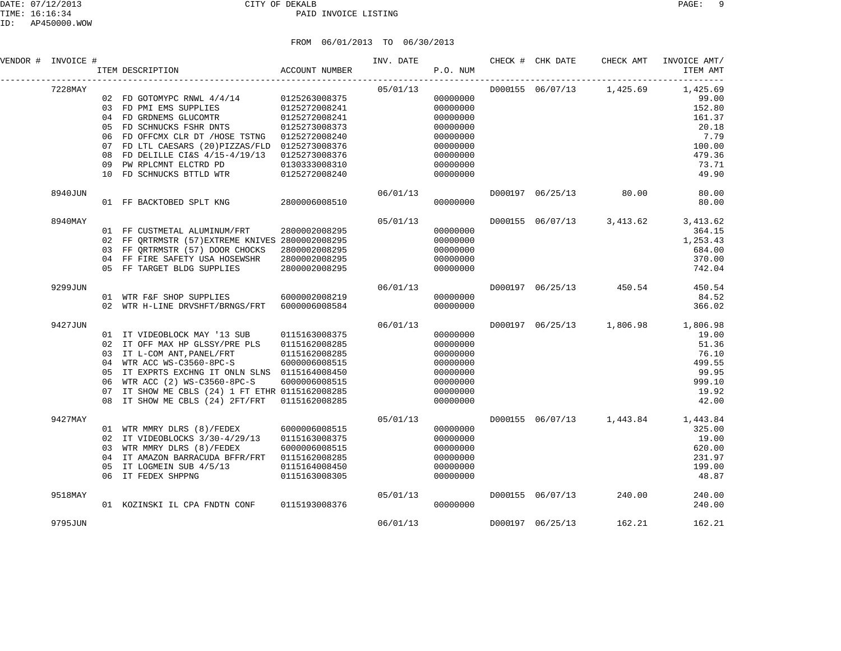### DATE: 07/12/2013 CITY OF DEKALB PAGE: 9 PAID INVOICE LISTING

| VENDOR # INVOICE # |                | ACCOUNT NUMBER<br>ITEM DESCRIPTION                                                                                                                                                                                                                                                                                                                         |                                                                                   | INV. DATE            | P.O. NUM                                                                                                 | CHECK # CHK DATE | CHECK AMT                          | INVOICE AMT/<br>ITEM AMT                                                                     |
|--------------------|----------------|------------------------------------------------------------------------------------------------------------------------------------------------------------------------------------------------------------------------------------------------------------------------------------------------------------------------------------------------------------|-----------------------------------------------------------------------------------|----------------------|----------------------------------------------------------------------------------------------------------|------------------|------------------------------------|----------------------------------------------------------------------------------------------|
| 7228MAY            | 05<br>08<br>09 | 02 FD GOTOMYPC RNWL 4/4/14 0125263008375<br>03 FD PMI EMS SUPPLIES<br>04 FD GRDNEMS GLUCOMTR<br>FD SCHNUCKS FSHR DNTS<br>06 FD OFFCMX CLR DT /HOSE TSTNG 0125272008240<br>07 FD LTL CAESARS (20) PIZZAS/FLD 0125273008376<br>FD DELILLE CI&S $4/15-4/19/13$<br>PW RPLCMNT ELCTRD PD<br>10 FD SCHNUCKS BTTLD WTR 0125272008240                              | 0125272008241<br>0125272008241<br>0125273008373<br>0125273008376<br>0130333008310 | 05/01/13             | 00000000<br>00000000<br>00000000<br>00000000<br>00000000<br>00000000<br>00000000<br>00000000<br>00000000 |                  | D000155 06/07/13 1,425.69          | 1,425.69<br>99.00<br>152.80<br>161.37<br>20.18<br>7.79<br>100.00<br>479.36<br>73.71<br>49.90 |
| 8940JUN            |                | 01 FF BACKTOBED SPLT KNG 2800006008510                                                                                                                                                                                                                                                                                                                     |                                                                                   | 06/01/13             | 00000000                                                                                                 |                  | D000197 06/25/13 80.00             | 80.00<br>80.00                                                                               |
| 8940MAY            |                | 01 FF CUSTMETAL ALUMINUM/FRT 2800002008295<br>02 FF QRTRMSTR (57) EXTREME KNIVES 2800002008295<br>03 FF QRTRMSTR (57) DOOR CHOCKS 2800002008295<br>04 FF FIRE SAFETY USA HOSEWSHR 2800002008295<br>05 FF TARGET BLDG SUPPLIES                                                                                                                              | 2800002008295                                                                     | 05/01/13             | 00000000<br>00000000<br>00000000<br>00000000<br>00000000                                                 |                  | D000155 06/07/13 3,413.62 3,413.62 | 364.15<br>1,253.43<br>684.00<br>370.00<br>742.04                                             |
| 9299JUN            |                | 01 WTR F&F SHOP SUPPLIES 6000002008219<br>02 WTR H-LINE DRVSHFT/BRNGS/FRT 6000006008584                                                                                                                                                                                                                                                                    |                                                                                   | 06/01/13             | 00000000<br>00000000                                                                                     |                  | D000197 06/25/13 450.54            | 450.54<br>84.52<br>366.02                                                                    |
| 9427JUN            |                | 01 IT VIDEOBLOCK MAY '13 SUB 0115163008375<br>02 IT OFF MAX HP GLSSY/PRE PLS 0115162008285<br>03 IT L-COM ANT, PANEL/FRT 0115162008285<br>04 WTR ACC WS-C3560-8PC-S<br>05 IT EXPRTS EXCHNG IT ONLN SLNS 0115164008450<br>06 WTR ACC (2) WS-C3560-8PC-S<br>07 IT SHOW ME CBLS (24) 1 FT ETHR 0115162008285<br>08 IT SHOW ME CBLS (24) 2FT/FRT 0115162008285 | 6000006008515<br>6000006008515                                                    | 06/01/13             | 00000000<br>00000000<br>00000000<br>00000000<br>00000000<br>00000000<br>00000000<br>00000000             |                  | D000197 06/25/13 1,806.98 1,806.98 | 19.00<br>51.36<br>76.10<br>499.55<br>99.95<br>999.10<br>19.92<br>42.00                       |
| 9427MAY            |                | 01 WTR MMRY DLRS (8)/FEDEX<br>02 IT VIDEOBLOCKS 3/30-4/29/13<br>03 WTR MMRY DLRS (8)/FEDEX<br>04 IT AMAZON BARRACUDA BFFR/FRT 0115162008285<br>05 IT LOGMEIN SUB 4/5/13 0115164008450<br>06 IT FEDEX SHPPNG                                                                                                                                                | 6000006008515<br>0115163008375<br>6000006008515<br>0115163008305                  | 05/01/13             | 00000000<br>00000000<br>00000000<br>00000000<br>00000000<br>00000000                                     |                  | D000155 06/07/13 1,443.84 1,443.84 | 325.00<br>19.00<br>620.00<br>231.97<br>199.00<br>48.87                                       |
| 9518MAY            |                | 01 KOZINSKI IL CPA FNDTN CONF 0115193008376                                                                                                                                                                                                                                                                                                                |                                                                                   | 05/01/13<br>00000000 |                                                                                                          |                  | D000155 06/07/13 240.00            | 240.00<br>240.00                                                                             |
| 9795JUN            |                |                                                                                                                                                                                                                                                                                                                                                            |                                                                                   | 06/01/13             |                                                                                                          | D000197 06/25/13 | 162.21                             | 162.21                                                                                       |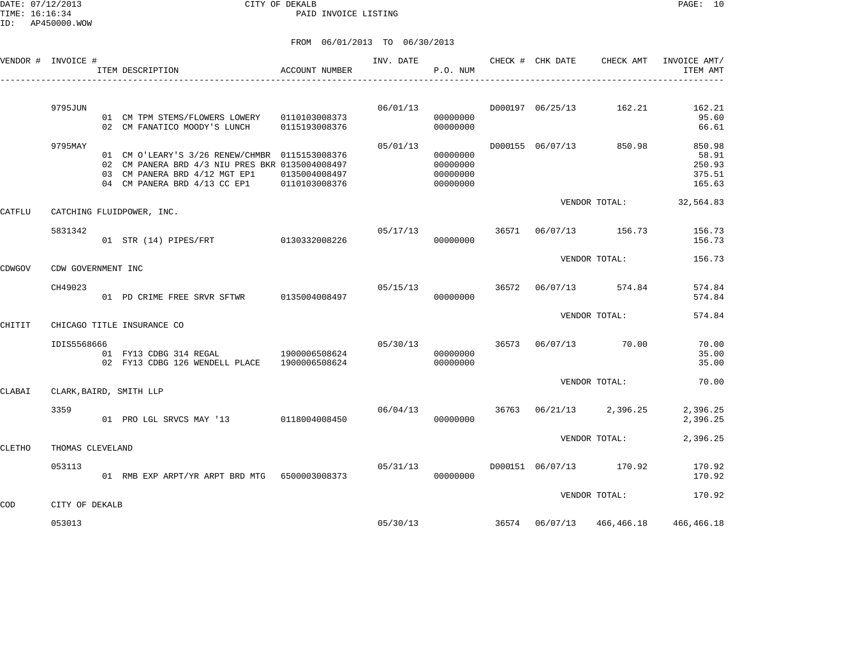DATE: 07/12/2013 CITY OF DEKALB PAGE: 10 PAID INVOICE LISTING

|        | VENDOR # INVOICE # | ITEM DESCRIPTION                                                                                                                                                   | <b>ACCOUNT NUMBER</b>          | INV. DATE | P.O. NUM                                     | CHECK # CHK DATE | CHECK AMT                 | INVOICE AMT/<br>ITEM AMT                      |
|--------|--------------------|--------------------------------------------------------------------------------------------------------------------------------------------------------------------|--------------------------------|-----------|----------------------------------------------|------------------|---------------------------|-----------------------------------------------|
|        | 9795JUN            | 01 CM TPM STEMS/FLOWERS LOWERY 0110103008373<br>02 CM FANATICO MOODY'S LUNCH 0115193008376                                                                         |                                | 06/01/13  | 00000000<br>00000000                         |                  | D000197 06/25/13 162.21   | 162.21<br>95.60<br>66.61                      |
|        | 9795MAY            | 01 CM O'LEARY'S 3/26 RENEW/CHMBR 0115153008376<br>02 CM PANERA BRD 4/3 NIU PRES BKR 0135004008497<br>03 CM PANERA BRD 4/12 MGT EP1<br>04 CM PANERA BRD 4/13 CC EP1 | 0135004008497<br>0110103008376 | 05/01/13  | 00000000<br>00000000<br>00000000<br>00000000 |                  | D000155 06/07/13 850.98   | 850.98<br>58.91<br>250.93<br>375.51<br>165.63 |
| CATFLU |                    | CATCHING FLUIDPOWER, INC.                                                                                                                                          |                                |           |                                              |                  | VENDOR TOTAL:             | 32,564.83                                     |
|        | 5831342            | 01 STR (14) PIPES/FRT 0130332008226                                                                                                                                |                                |           | 05/17/13<br>00000000                         |                  | 36571 06/07/13 156.73     | 156.73<br>156.73                              |
| CDWGOV | CDW GOVERNMENT INC |                                                                                                                                                                    |                                |           |                                              |                  | VENDOR TOTAL:             | 156.73                                        |
|        | CH49023            | 01 PD CRIME FREE SRVR SFTWR 0135004008497                                                                                                                          |                                | 05/15/13  | 00000000                                     |                  | 36572 06/07/13 574.84     | 574.84<br>574.84                              |
| CHITIT |                    | CHICAGO TITLE INSURANCE CO                                                                                                                                         |                                |           |                                              |                  | VENDOR TOTAL:             | 574.84                                        |
|        | IDIS5568666        | 01 FY13 CDBG 314 REGAL 1900006508624<br>02 FY13 CDBG 126 WENDELL PLACE 1900006508624                                                                               |                                | 05/30/13  | 00000000<br>00000000                         |                  | 36573 06/07/13 70.00      | 70.00<br>35.00<br>35.00                       |
| CLABAI |                    | CLARK, BAIRD, SMITH LLP                                                                                                                                            |                                |           |                                              |                  | VENDOR TOTAL:             | 70.00                                         |
|        | 3359               | 01 PRO LGL SRVCS MAY '13 0118004008450                                                                                                                             |                                | 06/04/13  | 00000000                                     |                  | 36763 06/21/13 2,396.25   | 2,396.25<br>2,396.25                          |
| CLETHO | THOMAS CLEVELAND   |                                                                                                                                                                    |                                |           |                                              |                  | VENDOR TOTAL:             | 2,396.25                                      |
|        | 053113             | 01 RMB EXP ARPT/YR ARPT BRD MTG 6500003008373                                                                                                                      |                                | 05/31/13  | 00000000                                     |                  | D000151 06/07/13 170.92   | 170.92<br>170.92                              |
| COD    | CITY OF DEKALB     |                                                                                                                                                                    |                                |           |                                              |                  | VENDOR TOTAL:             | 170.92                                        |
|        | 053013             |                                                                                                                                                                    |                                |           | 05/30/13                                     |                  | 36574 06/07/13 466,466.18 | 466,466.18                                    |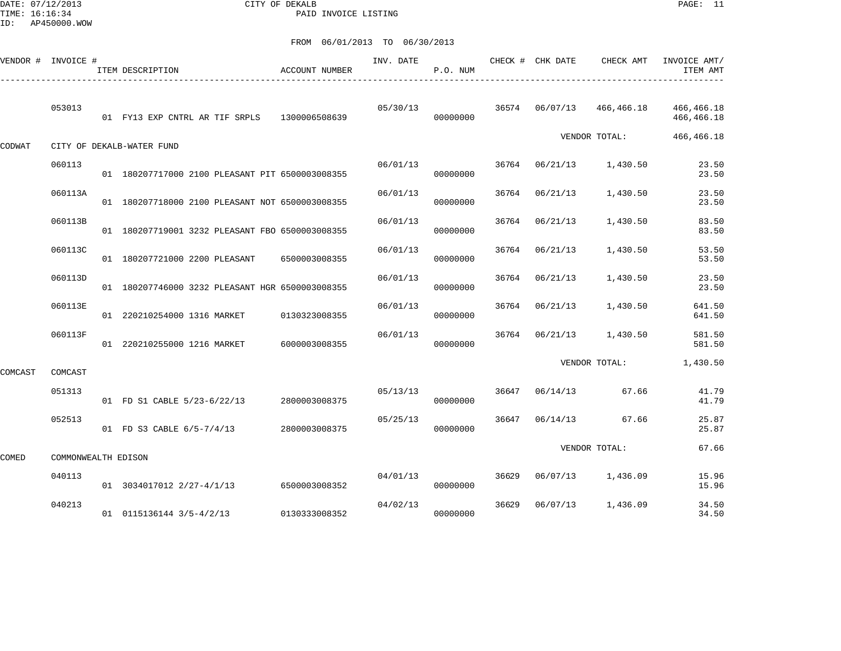DATE: 07/12/2013 CITY OF DEKALB PAGE: 11 PAID INVOICE LISTING

| VENDOR # | INVOICE #           | ITEM DESCRIPTION                                | ACCOUNT NUMBER | INV. DATE | P.O. NUM |       | CHECK # CHK DATE | CHECK AMT           | INVOICE AMT/<br>ITEM AMT |
|----------|---------------------|-------------------------------------------------|----------------|-----------|----------|-------|------------------|---------------------|--------------------------|
|          | 053013              | 01 FY13 EXP CNTRL AR TIF SRPLS 1300006508639    |                | 05/30/13  | 00000000 | 36574 |                  | 06/07/13 466,466.18 | 466,466.18<br>466,466.18 |
| CODWAT   |                     | CITY OF DEKALB-WATER FUND                       |                |           |          |       |                  | VENDOR TOTAL:       | 466,466.18               |
|          | 060113              | 01 180207717000 2100 PLEASANT PIT 6500003008355 |                | 06/01/13  | 00000000 | 36764 | 06/21/13         | 1,430.50            | 23.50<br>23.50           |
|          | 060113A             | 01 180207718000 2100 PLEASANT NOT 6500003008355 |                | 06/01/13  | 00000000 | 36764 | 06/21/13         | 1,430.50            | 23.50<br>23.50           |
|          | 060113B             | 01 180207719001 3232 PLEASANT FBO 6500003008355 |                | 06/01/13  | 00000000 | 36764 | 06/21/13         | 1,430.50            | 83.50<br>83.50           |
|          | 060113C             | 01 180207721000 2200 PLEASANT                   | 6500003008355  | 06/01/13  | 00000000 | 36764 | 06/21/13         | 1,430.50            | 53.50<br>53.50           |
|          | 060113D             | 01 180207746000 3232 PLEASANT HGR 6500003008355 |                | 06/01/13  | 00000000 | 36764 | 06/21/13         | 1,430.50            | 23.50<br>23.50           |
|          | 060113E             | 01 220210254000 1316 MARKET                     | 0130323008355  | 06/01/13  | 00000000 | 36764 | 06/21/13         | 1,430.50            | 641.50<br>641.50         |
|          | 060113F             | 01 220210255000 1216 MARKET                     | 6000003008355  | 06/01/13  | 00000000 | 36764 | 06/21/13         | 1,430.50            | 581.50<br>581.50         |
| COMCAST  | COMCAST             |                                                 |                |           |          |       |                  | VENDOR TOTAL:       | 1,430.50                 |
|          | 051313              | 01 FD S1 CABLE 5/23-6/22/13                     | 2800003008375  | 05/13/13  | 00000000 | 36647 | 06/14/13         | 67.66               | 41.79<br>41.79           |
|          | 052513              | 01 FD S3 CABLE 6/5-7/4/13                       | 2800003008375  | 05/25/13  | 00000000 | 36647 | 06/14/13         | 67.66               | 25.87<br>25.87           |
| COMED    | COMMONWEALTH EDISON |                                                 |                |           |          |       |                  | VENDOR TOTAL:       | 67.66                    |
|          | 040113              | 01 3034017012 2/27-4/1/13                       | 6500003008352  | 04/01/13  | 00000000 | 36629 |                  | 06/07/13 1,436.09   | 15.96<br>15.96           |
|          | 040213              | 01 0115136144 3/5-4/2/13                        | 0130333008352  | 04/02/13  | 00000000 | 36629 | 06/07/13         | 1,436.09            | 34.50<br>34.50           |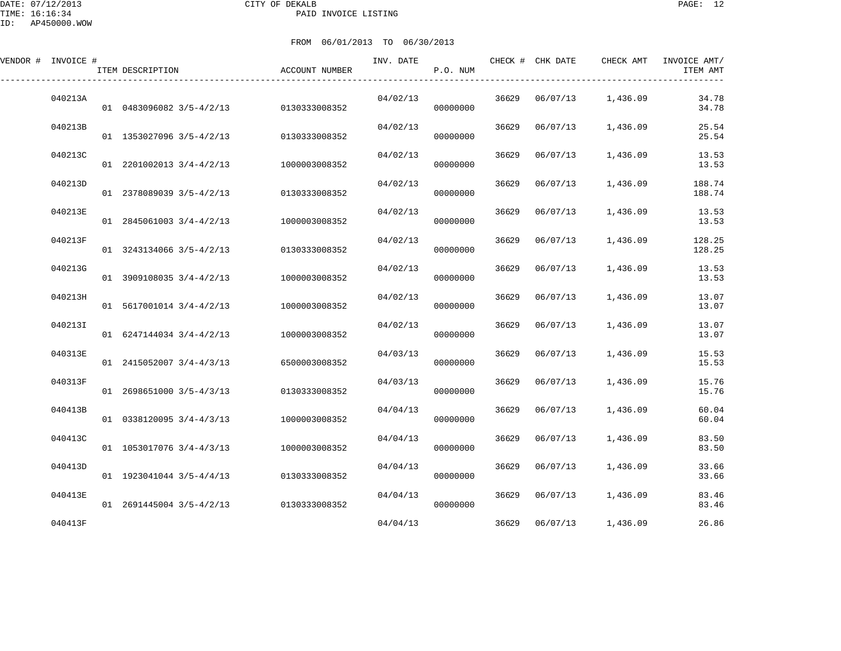| VENDOR # | INVOICE # |    | ITEM DESCRIPTION      | ACCOUNT NUMBER | INV. DATE | P.O. NUM | CHECK # | CHK DATE | CHECK AMT | INVOICE AMT/<br>ITEM AMT |
|----------|-----------|----|-----------------------|----------------|-----------|----------|---------|----------|-----------|--------------------------|
|          | 040213A   | 01 | 0483096082 3/5-4/2/13 | 0130333008352  | 04/02/13  | 00000000 | 36629   | 06/07/13 | 1,436.09  | 34.78<br>34.78           |
|          | 040213B   | 01 | 1353027096 3/5-4/2/13 | 0130333008352  | 04/02/13  | 00000000 | 36629   | 06/07/13 | 1,436.09  | 25.54<br>25.54           |
|          | 040213C   | 01 | 2201002013 3/4-4/2/13 | 1000003008352  | 04/02/13  | 00000000 | 36629   | 06/07/13 | 1,436.09  | 13.53<br>13.53           |
|          | 040213D   | 01 | 2378089039 3/5-4/2/13 | 0130333008352  | 04/02/13  | 00000000 | 36629   | 06/07/13 | 1,436.09  | 188.74<br>188.74         |
|          | 040213E   | 01 | 2845061003 3/4-4/2/13 | 1000003008352  | 04/02/13  | 00000000 | 36629   | 06/07/13 | 1,436.09  | 13.53<br>13.53           |

| 040213E | 01 2845061003 3/4-4/2/13               | 1000003008352 | 04/02/13 | 00000000 | 36629 | 06/07/13 | 1,436.09 | 13.53<br>13.53   |
|---------|----------------------------------------|---------------|----------|----------|-------|----------|----------|------------------|
| 040213F | 01 3243134066 3/5-4/2/13               | 0130333008352 | 04/02/13 | 00000000 | 36629 | 06/07/13 | 1,436.09 | 128.25<br>128.25 |
| 040213G | 01 3909108035 3/4-4/2/13               | 1000003008352 | 04/02/13 | 00000000 | 36629 | 06/07/13 | 1,436.09 | 13.53<br>13.53   |
| 040213H | 01 5617001014 3/4-4/2/13 1000003008352 |               | 04/02/13 | 00000000 | 36629 | 06/07/13 | 1,436.09 | 13.07<br>13.07   |
| 040213I | 01 6247144034 3/4-4/2/13               | 1000003008352 | 04/02/13 | 00000000 | 36629 | 06/07/13 | 1,436.09 | 13.07<br>13.07   |
| 040313E | 01 2415052007 3/4-4/3/13               | 6500003008352 | 04/03/13 | 00000000 | 36629 | 06/07/13 | 1,436.09 | 15.53<br>15.53   |
| 040313F | 01 2698651000 3/5-4/3/13               | 0130333008352 | 04/03/13 | 00000000 | 36629 | 06/07/13 | 1,436.09 | 15.76<br>15.76   |
| 040413B | 01 0338120095 3/4-4/3/13               | 1000003008352 | 04/04/13 | 00000000 | 36629 | 06/07/13 | 1,436.09 | 60.04<br>60.04   |
| 040413C | 01 1053017076 3/4-4/3/13               | 1000003008352 | 04/04/13 | 00000000 | 36629 | 06/07/13 | 1,436.09 | 83.50<br>83.50   |
| 040413D | 01 1923041044 3/5-4/4/13               | 0130333008352 | 04/04/13 | 00000000 | 36629 | 06/07/13 | 1,436.09 | 33.66<br>33.66   |
| 040413E | 01 2691445004 3/5-4/2/13               | 0130333008352 | 04/04/13 | 00000000 | 36629 | 06/07/13 | 1,436.09 | 83.46<br>83.46   |
| 040413F |                                        |               | 04/04/13 |          | 36629 | 06/07/13 | 1,436.09 | 26.86            |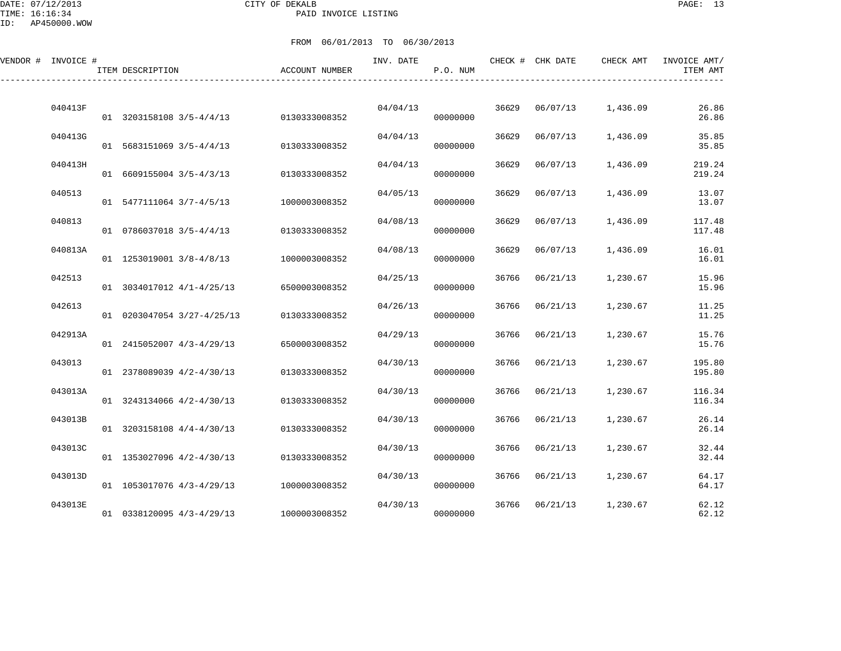DATE: 07/12/2013 CITY OF DEKALB PAGE: 13 PAID INVOICE LISTING

| VENDOR # INVOICE # | ITEM DESCRIPTION           | ACCOUNT NUMBER | INV. DATE | P.O. NUM |       | CHECK # CHK DATE | CHECK AMT | INVOICE AMT/<br>ITEM AMT |
|--------------------|----------------------------|----------------|-----------|----------|-------|------------------|-----------|--------------------------|
| 040413F            | 01 3203158108 3/5-4/4/13   | 0130333008352  | 04/04/13  | 00000000 | 36629 | 06/07/13         | 1,436.09  | 26.86<br>26.86           |
| 040413G            | $01$ 5683151069 3/5-4/4/13 | 0130333008352  | 04/04/13  | 00000000 | 36629 | 06/07/13         | 1,436.09  | 35.85<br>35.85           |
| 040413H            | 01 6609155004 3/5-4/3/13   | 0130333008352  | 04/04/13  | 00000000 | 36629 | 06/07/13         | 1,436.09  | 219.24<br>219.24         |
| 040513             | 01 5477111064 3/7-4/5/13   | 1000003008352  | 04/05/13  | 00000000 | 36629 | 06/07/13         | 1,436.09  | 13.07<br>13.07           |
| 040813             | 01 0786037018 3/5-4/4/13   | 0130333008352  | 04/08/13  | 00000000 | 36629 | 06/07/13         | 1,436.09  | 117.48<br>117.48         |
| 040813A            | 01 1253019001 3/8-4/8/13   | 1000003008352  | 04/08/13  | 00000000 | 36629 | 06/07/13         | 1,436.09  | 16.01<br>16.01           |
| 042513             | 01 3034017012 4/1-4/25/13  | 6500003008352  | 04/25/13  | 00000000 | 36766 | 06/21/13         | 1,230.67  | 15.96<br>15.96           |
| 042613             | 01 0203047054 3/27-4/25/13 | 0130333008352  | 04/26/13  | 00000000 | 36766 | 06/21/13         | 1,230.67  | 11.25<br>11.25           |
| 042913A            | 01 2415052007 4/3-4/29/13  | 6500003008352  | 04/29/13  | 00000000 | 36766 | 06/21/13         | 1,230.67  | 15.76<br>15.76           |
| 043013             | 01 2378089039 4/2-4/30/13  | 0130333008352  | 04/30/13  | 00000000 | 36766 | 06/21/13         | 1,230.67  | 195.80<br>195.80         |
| 043013A            | 01 3243134066 4/2-4/30/13  | 0130333008352  | 04/30/13  | 00000000 | 36766 | 06/21/13         | 1,230.67  | 116.34<br>116.34         |
| 043013B            | 01 3203158108 4/4-4/30/13  | 0130333008352  | 04/30/13  | 00000000 | 36766 | 06/21/13         | 1,230.67  | 26.14<br>26.14           |
| 043013C            | 01 1353027096 4/2-4/30/13  | 0130333008352  | 04/30/13  | 00000000 | 36766 | 06/21/13         | 1,230.67  | 32.44<br>32.44           |
| 043013D            | 01 1053017076 4/3-4/29/13  | 1000003008352  | 04/30/13  | 00000000 | 36766 | 06/21/13         | 1,230.67  | 64.17<br>64.17           |
| 043013E            | 01 0338120095 4/3-4/29/13  | 1000003008352  | 04/30/13  | 00000000 | 36766 | 06/21/13         | 1,230.67  | 62.12<br>62.12           |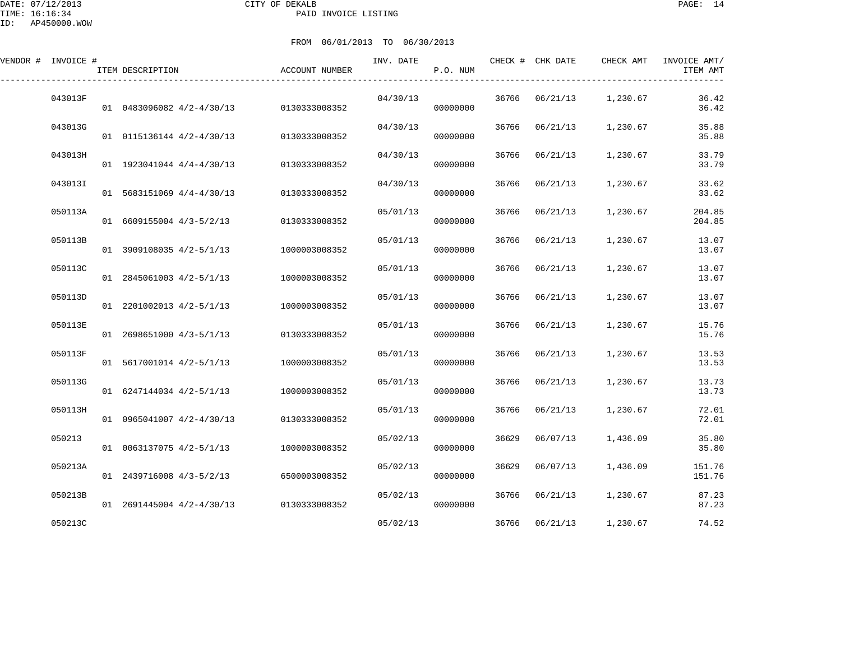| VENDOR # INVOICE # | ITEM DESCRIPTION          | ACCOUNT NUMBER | INV. DATE | P.O. NUM |       | CHECK # CHK DATE | CHECK AMT | INVOICE AMT/<br>ITEM AMT |
|--------------------|---------------------------|----------------|-----------|----------|-------|------------------|-----------|--------------------------|
| 043013F            | 01 0483096082 4/2-4/30/13 | 0130333008352  | 04/30/13  | 00000000 | 36766 | 06/21/13         | 1,230.67  | 36.42<br>36.42           |
| 043013G            | 01 0115136144 4/2-4/30/13 | 0130333008352  | 04/30/13  | 00000000 | 36766 | 06/21/13         | 1,230.67  | 35.88<br>35.88           |
| 043013H            | 01 1923041044 4/4-4/30/13 | 0130333008352  | 04/30/13  | 00000000 | 36766 | 06/21/13         | 1,230.67  | 33.79<br>33.79           |
| 043013I            | 01 5683151069 4/4-4/30/13 | 0130333008352  | 04/30/13  | 00000000 | 36766 | 06/21/13         | 1,230.67  | 33.62<br>33.62           |
| 050113A            | 01 6609155004 4/3-5/2/13  | 0130333008352  | 05/01/13  | 00000000 | 36766 | 06/21/13         | 1,230.67  | 204.85<br>204.85         |
| 050113B            | 01 3909108035 4/2-5/1/13  | 1000003008352  | 05/01/13  | 00000000 | 36766 | 06/21/13         | 1,230.67  | 13.07<br>13.07           |
| 050113C            | 01 2845061003 4/2-5/1/13  | 1000003008352  | 05/01/13  | 00000000 | 36766 | 06/21/13         | 1,230.67  | 13.07<br>13.07           |
| 050113D            | 01 2201002013 4/2-5/1/13  | 1000003008352  | 05/01/13  | 00000000 | 36766 | 06/21/13         | 1,230.67  | 13.07<br>13.07           |
| 050113E            | 01 2698651000 4/3-5/1/13  | 0130333008352  | 05/01/13  | 00000000 | 36766 | 06/21/13         | 1,230.67  | 15.76<br>15.76           |
| 050113F            | 01 5617001014 4/2-5/1/13  | 1000003008352  | 05/01/13  | 00000000 | 36766 | 06/21/13         | 1,230.67  | 13.53<br>13.53           |
| 050113G            | 01 6247144034 4/2-5/1/13  | 1000003008352  | 05/01/13  | 00000000 | 36766 | 06/21/13         | 1,230.67  | 13.73<br>13.73           |
| 050113H            | 01 0965041007 4/2-4/30/13 | 0130333008352  | 05/01/13  | 00000000 | 36766 | 06/21/13         | 1,230.67  | 72.01<br>72.01           |
| 050213             | 01 0063137075 4/2-5/1/13  | 1000003008352  | 05/02/13  | 00000000 | 36629 | 06/07/13         | 1,436.09  | 35.80<br>35.80           |
| 050213A            | 01 2439716008 4/3-5/2/13  | 6500003008352  | 05/02/13  | 00000000 | 36629 | 06/07/13         | 1,436.09  | 151.76<br>151.76         |
| 050213B            | 01 2691445004 4/2-4/30/13 | 0130333008352  | 05/02/13  | 00000000 | 36766 | 06/21/13         | 1,230.67  | 87.23<br>87.23           |
| 050213C            |                           |                | 05/02/13  |          | 36766 | 06/21/13         | 1,230.67  | 74.52                    |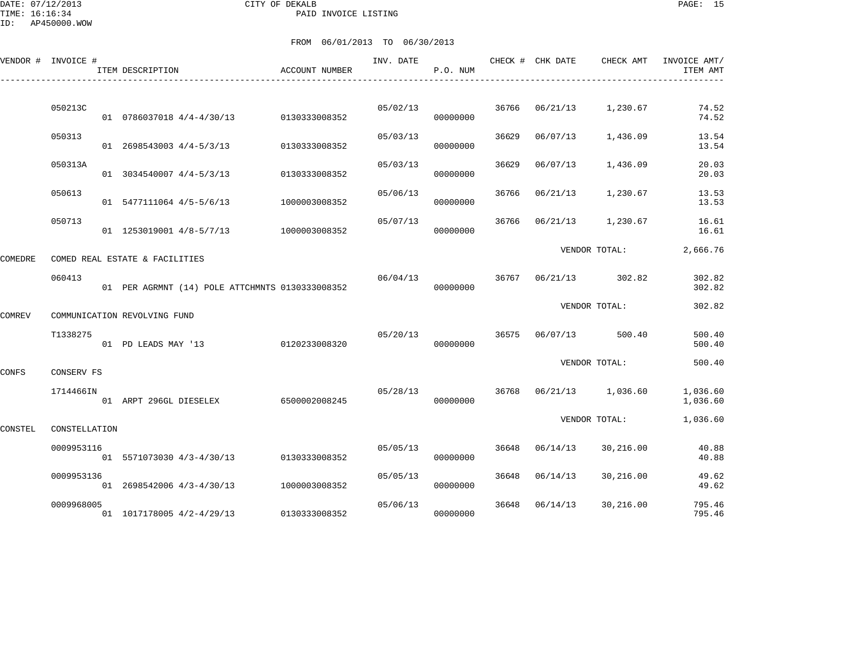DATE: 07/12/2013 CITY OF DEKALB PAGE: 15 PAID INVOICE LISTING

ID: AP450000.WOW

|         | VENDOR # INVOICE # | ITEM DESCRIPTION                                | ACCOUNT NUMBER | INV. DATE | P.O. NUM |       | CHECK # CHK DATE | CHECK AMT         | INVOICE AMT/<br>ITEM AMT |
|---------|--------------------|-------------------------------------------------|----------------|-----------|----------|-------|------------------|-------------------|--------------------------|
|         | 050213C            | 01 0786037018 4/4-4/30/13                       | 0130333008352  | 05/02/13  | 00000000 | 36766 | 06/21/13         | 1,230.67          | 74.52<br>74.52           |
|         | 050313             | 01 2698543003 4/4-5/3/13                        | 0130333008352  | 05/03/13  | 00000000 | 36629 | 06/07/13         | 1,436.09          | 13.54<br>13.54           |
|         | 050313A            | 01 3034540007 4/4-5/3/13                        | 0130333008352  | 05/03/13  | 00000000 | 36629 | 06/07/13         | 1,436.09          | 20.03<br>20.03           |
|         | 050613             | 01 5477111064 4/5-5/6/13                        | 1000003008352  | 05/06/13  | 00000000 | 36766 | 06/21/13         | 1,230.67          | 13.53<br>13.53           |
|         | 050713             | 01 1253019001 4/8-5/7/13                        | 1000003008352  | 05/07/13  | 00000000 | 36766 | 06/21/13         | 1,230.67          | 16.61<br>16.61           |
| COMEDRE |                    | COMED REAL ESTATE & FACILITIES                  |                |           |          |       |                  | VENDOR TOTAL:     | 2,666.76                 |
|         | 060413             | 01 PER AGRMNT (14) POLE ATTCHMNTS 0130333008352 |                | 06/04/13  | 00000000 | 36767 | 06/21/13         | 302.82            | 302.82<br>302.82         |
| COMREV  |                    | COMMUNICATION REVOLVING FUND                    |                |           |          |       |                  | VENDOR TOTAL:     | 302.82                   |
|         | T1338275           | 01 PD LEADS MAY '13                             | 0120233008320  | 05/20/13  | 00000000 | 36575 | 06/07/13         | 500.40            | 500.40<br>500.40         |
| CONFS   | <b>CONSERV FS</b>  |                                                 |                |           |          |       |                  | VENDOR TOTAL:     | 500.40                   |
|         | 1714466IN          | 01 ARPT 296GL DIESELEX                          | 6500002008245  | 05/28/13  | 00000000 | 36768 |                  | 06/21/13 1,036.60 | 1,036.60<br>1,036.60     |
| CONSTEL | CONSTELLATION      |                                                 |                |           |          |       |                  | VENDOR TOTAL:     | 1,036.60                 |
|         | 0009953116         | 01 5571073030 4/3-4/30/13                       | 0130333008352  | 05/05/13  | 00000000 | 36648 | 06/14/13         | 30,216.00         | 40.88<br>40.88           |
|         | 0009953136         | 01 2698542006 4/3-4/30/13                       | 1000003008352  | 05/05/13  | 00000000 | 36648 | 06/14/13         | 30,216.00         | 49.62<br>49.62           |
|         | 0009968005         | 01 1017178005 4/2-4/29/13                       | 0130333008352  | 05/06/13  | 00000000 | 36648 | 06/14/13         | 30,216.00         | 795.46<br>795.46         |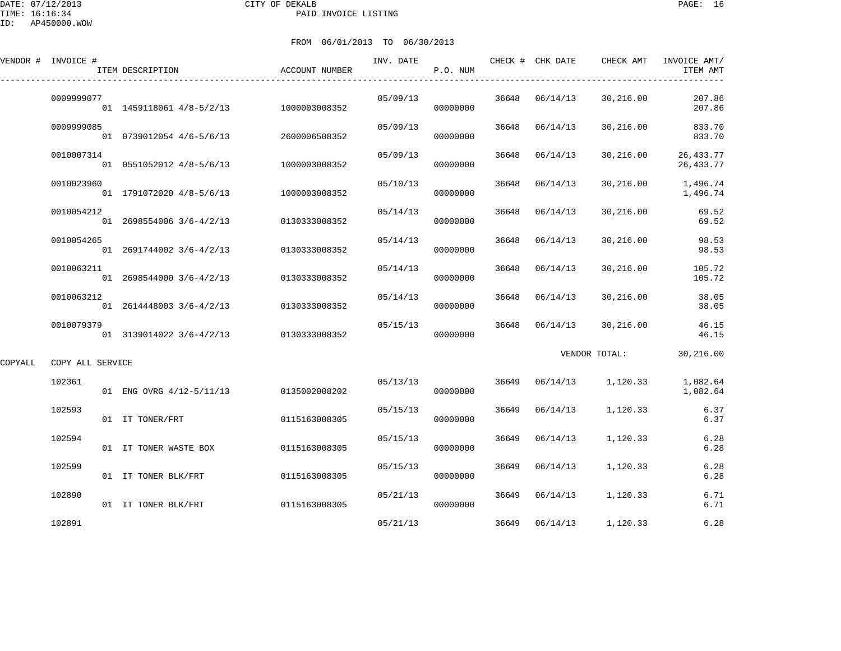DATE: 07/12/2013 CITY OF DEKALB PAGE: 16 PAID INVOICE LISTING

ID: AP450000.WOW

|         | VENDOR # INVOICE # | ITEM DESCRIPTION                       | ACCOUNT NUMBER | INV. DATE | P.O. NUM |       | CHECK # CHK DATE | CHECK AMT     | INVOICE AMT/<br>ITEM AMT  |
|---------|--------------------|----------------------------------------|----------------|-----------|----------|-------|------------------|---------------|---------------------------|
|         | 0009999077         | 01 1459118061 4/8-5/2/13 1000003008352 |                | 05/09/13  | 00000000 | 36648 | 06/14/13         | 30,216.00     | 207.86<br>207.86          |
|         | 0009999085         | 01 0739012054 4/6-5/6/13               | 2600006508352  | 05/09/13  | 00000000 | 36648 | 06/14/13         | 30,216.00     | 833.70<br>833.70          |
|         | 0010007314         | 01 0551052012 4/8-5/6/13               | 1000003008352  | 05/09/13  | 00000000 | 36648 | 06/14/13         | 30,216.00     | 26, 433.77<br>26, 433. 77 |
|         | 0010023960         | 01 1791072020 4/8-5/6/13               | 1000003008352  | 05/10/13  | 00000000 | 36648 | 06/14/13         | 30,216.00     | 1,496.74<br>1,496.74      |
|         | 0010054212         | $01$ 2698554006 3/6-4/2/13             | 0130333008352  | 05/14/13  | 00000000 | 36648 | 06/14/13         | 30,216.00     | 69.52<br>69.52            |
|         | 0010054265         | 01 2691744002 3/6-4/2/13               | 0130333008352  | 05/14/13  | 00000000 | 36648 | 06/14/13         | 30,216.00     | 98.53<br>98.53            |
|         | 0010063211         | 01 2698544000 3/6-4/2/13               | 0130333008352  | 05/14/13  | 00000000 | 36648 | 06/14/13         | 30,216.00     | 105.72<br>105.72          |
|         | 0010063212         | 01 2614448003 3/6-4/2/13               | 0130333008352  | 05/14/13  | 00000000 | 36648 | 06/14/13         | 30,216.00     | 38.05<br>38.05            |
|         | 0010079379         | 01 3139014022 3/6-4/2/13               | 0130333008352  | 05/15/13  | 00000000 | 36648 | 06/14/13         | 30,216.00     | 46.15<br>46.15            |
| COPYALL | COPY ALL SERVICE   |                                        |                |           |          |       |                  | VENDOR TOTAL: | 30,216.00                 |
|         | 102361             | 01 ENG OVRG 4/12-5/11/13 0135002008202 |                | 05/13/13  | 00000000 | 36649 | 06/14/13         | 1,120.33      | 1,082.64<br>1,082.64      |
|         | 102593             | 01 IT TONER/FRT                        | 0115163008305  | 05/15/13  | 00000000 | 36649 | 06/14/13         | 1,120.33      | 6.37<br>6.37              |
|         | 102594             | 01 IT TONER WASTE BOX                  | 0115163008305  | 05/15/13  | 00000000 | 36649 | 06/14/13         | 1,120.33      | 6.28<br>6.28              |
|         | 102599             | 01 IT TONER BLK/FRT                    | 0115163008305  | 05/15/13  | 00000000 | 36649 | 06/14/13         | 1,120.33      | 6.28<br>6.28              |
|         | 102890             | 01 IT TONER BLK/FRT                    | 0115163008305  | 05/21/13  | 00000000 | 36649 | 06/14/13         | 1,120.33      | 6.71<br>6.71              |
|         | 102891             |                                        |                | 05/21/13  |          | 36649 | 06/14/13         | 1,120.33      | 6.28                      |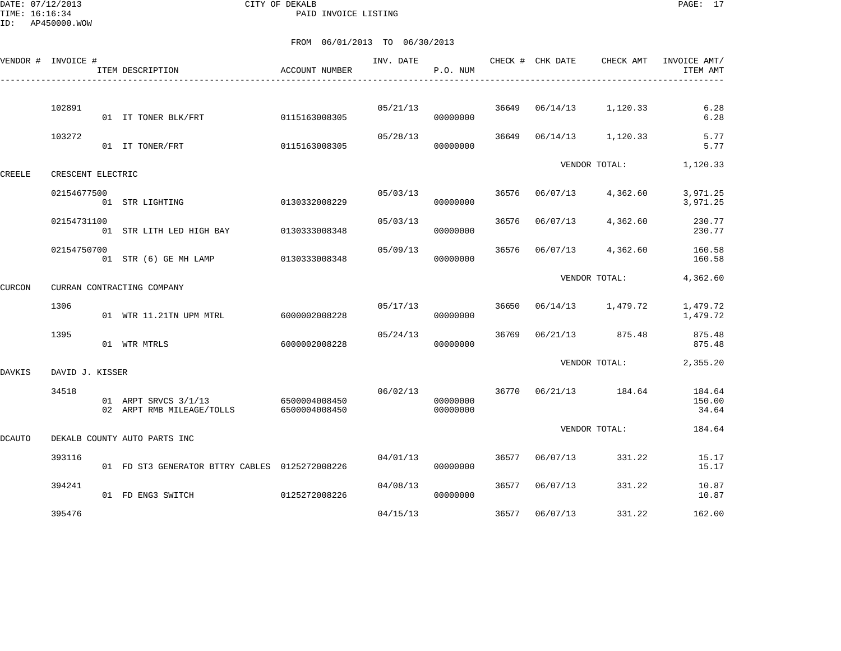DATE: 07/12/2013 CITY OF DEKALB PAGE: 17 PAID INVOICE LISTING

|        | VENDOR # INVOICE # | ITEM DESCRIPTION                                  | <b>ACCOUNT NUMBER</b>          | INV. DATE | P.O. NUM             |       | CHECK # CHK DATE | CHECK AMT     | INVOICE AMT/<br>ITEM AMT  |
|--------|--------------------|---------------------------------------------------|--------------------------------|-----------|----------------------|-------|------------------|---------------|---------------------------|
|        | 102891             |                                                   |                                | 05/21/13  |                      | 36649 | 06/14/13         | 1,120.33      | 6.28                      |
|        |                    | 01 IT TONER BLK/FRT                               | 0115163008305                  |           | 00000000             |       |                  |               | 6.28                      |
|        | 103272             | 01 IT TONER/FRT                                   | 0115163008305                  | 05/28/13  | 00000000             | 36649 | 06/14/13         | 1,120.33      | 5.77<br>5.77              |
| CREELE | CRESCENT ELECTRIC  |                                                   |                                |           |                      |       |                  | VENDOR TOTAL: | 1,120.33                  |
|        | 02154677500        | 01 STR LIGHTING                                   | 0130332008229                  | 05/03/13  | 00000000             | 36576 | 06/07/13         | 4,362.60      | 3,971.25<br>3,971.25      |
|        | 02154731100        | 01 STR LITH LED HIGH BAY                          | 0130333008348                  | 05/03/13  | 00000000             | 36576 | 06/07/13         | 4,362.60      | 230.77<br>230.77          |
|        | 02154750700        | 01 STR (6) GE MH LAMP 0130333008348               |                                | 05/09/13  | 00000000             | 36576 | 06/07/13         | 4,362.60      | 160.58<br>160.58          |
| CURCON |                    | CURRAN CONTRACTING COMPANY                        |                                |           |                      |       |                  | VENDOR TOTAL: | 4,362.60                  |
|        | 1306               | 01 WTR 11.21TN UPM MTRL                           | 6000002008228                  | 05/17/13  | 00000000             | 36650 | 06/14/13         | 1,479.72      | 1,479.72<br>1,479.72      |
|        | 1395               | 01 WTR MTRLS                                      | 6000002008228                  | 05/24/13  | 00000000             | 36769 | 06/21/13         | 875.48        | 875.48<br>875.48          |
| DAVKIS | DAVID J. KISSER    |                                                   |                                |           |                      |       |                  | VENDOR TOTAL: | 2,355.20                  |
|        | 34518              | 01 ARPT SRVCS 3/1/13<br>02 ARPT RMB MILEAGE/TOLLS | 6500004008450<br>6500004008450 | 06/02/13  | 00000000<br>00000000 | 36770 | 06/21/13         | 184.64        | 184.64<br>150.00<br>34.64 |
| DCAUTO |                    | DEKALB COUNTY AUTO PARTS INC                      |                                |           |                      |       |                  | VENDOR TOTAL: | 184.64                    |
|        | 393116             | 01 FD ST3 GENERATOR BTTRY CABLES 0125272008226    |                                | 04/01/13  | 00000000             | 36577 | 06/07/13         | 331.22        | 15.17<br>15.17            |
|        | 394241             | 01 FD ENG3 SWITCH                                 | 0125272008226                  | 04/08/13  | 00000000             | 36577 | 06/07/13         | 331.22        | 10.87<br>10.87            |
|        | 395476             |                                                   |                                | 04/15/13  |                      | 36577 | 06/07/13         | 331.22        | 162.00                    |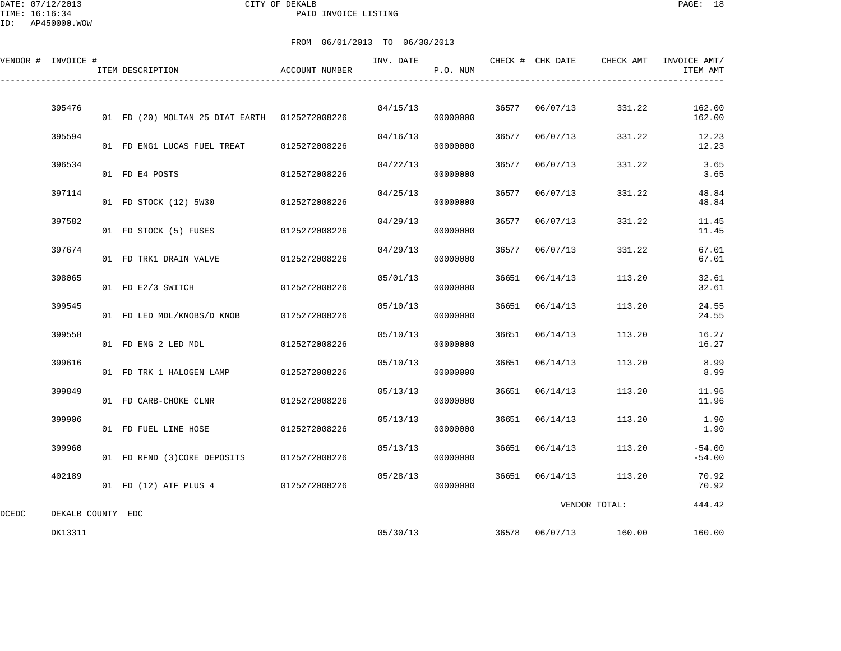### DATE: 07/12/2013 CITY OF DEKALB PAGE: 18 PAID INVOICE LISTING

ID: AP450000.WOW

|       | VENDOR # INVOICE # | ITEM DESCRIPTION                              | ACCOUNT NUMBER | INV. DATE | P.O. NUM |       | CHECK # CHK DATE | CHECK AMT             | INVOICE AMT/<br>ITEM AMT |
|-------|--------------------|-----------------------------------------------|----------------|-----------|----------|-------|------------------|-----------------------|--------------------------|
|       | 395476             |                                               |                |           | 04/15/13 |       | 36577 06/07/13   | 331.22                | 162.00                   |
|       |                    | 01 FD (20) MOLTAN 25 DIAT EARTH 0125272008226 |                |           | 00000000 |       |                  |                       | 162.00                   |
|       | 395594             | 01 FD ENG1 LUCAS FUEL TREAT                   | 0125272008226  | 04/16/13  | 00000000 | 36577 | 06/07/13         | 331.22                | 12.23<br>12.23           |
|       | 396534             | 01 FD E4 POSTS                                | 0125272008226  | 04/22/13  | 00000000 | 36577 | 06/07/13         | 331.22                | 3.65<br>3.65             |
|       | 397114             | 01 FD STOCK (12) 5W30                         | 0125272008226  | 04/25/13  | 00000000 | 36577 | 06/07/13         | 331.22                | 48.84<br>48.84           |
|       | 397582             | 01 FD STOCK (5) FUSES                         | 0125272008226  | 04/29/13  | 00000000 | 36577 | 06/07/13         | 331.22                | 11.45<br>11.45           |
|       | 397674             | 01 FD TRK1 DRAIN VALVE                        | 0125272008226  | 04/29/13  | 00000000 | 36577 | 06/07/13         | 331.22                | 67.01<br>67.01           |
|       | 398065             | 01 FD E2/3 SWITCH                             | 0125272008226  | 05/01/13  | 00000000 | 36651 | 06/14/13         | 113.20                | 32.61<br>32.61           |
|       | 399545             | 01 FD LED MDL/KNOBS/D KNOB                    | 0125272008226  | 05/10/13  | 00000000 | 36651 | 06/14/13         | 113.20                | 24.55<br>24.55           |
|       | 399558             | 01 FD ENG 2 LED MDL                           | 0125272008226  | 05/10/13  | 00000000 |       | 36651 06/14/13   | 113.20                | 16.27<br>16.27           |
|       | 399616             | 01 FD TRK 1 HALOGEN LAMP                      | 0125272008226  | 05/10/13  | 00000000 |       | 36651 06/14/13   | 113.20                | 8.99<br>8.99             |
|       | 399849             | 01 FD CARB-CHOKE CLNR                         | 0125272008226  | 05/13/13  | 00000000 | 36651 | 06/14/13         | 113.20                | 11.96<br>11.96           |
|       | 399906             | 01 FD FUEL LINE HOSE                          | 0125272008226  | 05/13/13  | 00000000 | 36651 | 06/14/13         | 113.20                | 1.90<br>1.90             |
|       | 399960             | 01 FD RFND (3) CORE DEPOSITS                  | 0125272008226  | 05/13/13  | 00000000 | 36651 | 06/14/13         | 113.20                | $-54.00$<br>$-54.00$     |
|       | 402189             | 01 FD (12) ATF PLUS 4 0125272008226           |                | 05/28/13  | 00000000 |       | 36651 06/14/13   | 113.20                | 70.92<br>70.92           |
| DCEDC | DEKALB COUNTY EDC  |                                               |                |           |          |       |                  | VENDOR TOTAL:         | 444.42                   |
|       | DK13311            |                                               |                | 05/30/13  |          |       |                  | 36578 06/07/13 160.00 | 160.00                   |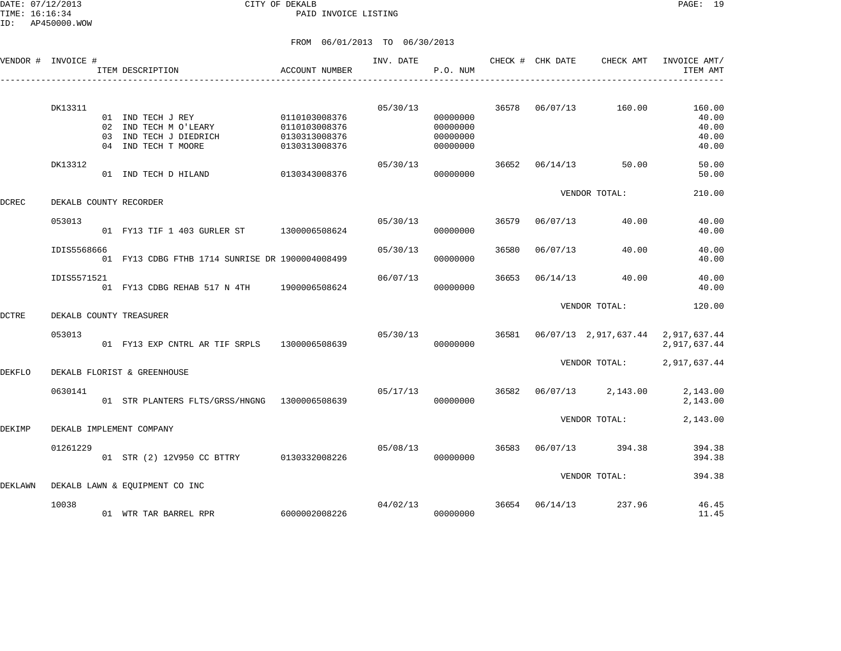DATE: 07/12/2013 CITY OF DEKALB PAGE: 19 PAID INVOICE LISTING

|         | VENDOR # INVOICE #     |                | ITEM DESCRIPTION                                                                   | ACCOUNT NUMBER                                                   | INV. DATE | P.O. NUM                                     |       | CHECK # CHK DATE | CHECK AMT                          | INVOICE AMT/<br>ITEM AMT                   |
|---------|------------------------|----------------|------------------------------------------------------------------------------------|------------------------------------------------------------------|-----------|----------------------------------------------|-------|------------------|------------------------------------|--------------------------------------------|
|         | DK13311                | 02<br>03<br>04 | 01 IND TECH J REY<br>IND TECH M O'LEARY<br>IND TECH J DIEDRICH<br>IND TECH T MOORE | 0110103008376<br>0110103008376<br>0130313008376<br>0130313008376 | 05/30/13  | 00000000<br>00000000<br>00000000<br>00000000 | 36578 | 06/07/13         | 160.00                             | 160.00<br>40.00<br>40.00<br>40.00<br>40.00 |
|         | DK13312                |                | 01 IND TECH D HILAND                                                               | 0130343008376                                                    | 05/30/13  | 00000000                                     | 36652 | 06/14/13         | 50.00                              | 50.00<br>50.00                             |
| DCREC   | DEKALB COUNTY RECORDER |                |                                                                                    |                                                                  |           |                                              |       |                  | VENDOR TOTAL:                      | 210.00                                     |
|         | 053013                 |                | 01 FY13 TIF 1 403 GURLER ST                                                        | 1300006508624                                                    | 05/30/13  | 00000000                                     | 36579 | 06/07/13         | 40.00                              | 40.00<br>40.00                             |
|         | IDIS5568666            |                | 01 FY13 CDBG FTHB 1714 SUNRISE DR 1900004008499                                    |                                                                  | 05/30/13  | 00000000                                     | 36580 | 06/07/13         | 40.00                              | 40.00<br>40.00                             |
|         | IDIS5571521            |                | 01 FY13 CDBG REHAB 517 N 4TH 1900006508624                                         |                                                                  | 06/07/13  | 00000000                                     | 36653 | 06/14/13         | 40.00                              | 40.00<br>40.00                             |
| DCTRE   |                        |                | DEKALB COUNTY TREASURER                                                            |                                                                  |           |                                              |       |                  | VENDOR TOTAL:                      | 120.00                                     |
|         | 053013                 |                | 01 FY13 EXP CNTRL AR TIF SRPLS                                                     | 1300006508639                                                    | 05/30/13  | 00000000                                     | 36581 |                  | 06/07/13 2,917,637.44 2,917,637.44 | 2,917,637.44                               |
| DEKFLO  |                        |                | DEKALB FLORIST & GREENHOUSE                                                        |                                                                  |           |                                              |       |                  | VENDOR TOTAL:                      | 2,917,637.44                               |
|         | 0630141                |                | 01 STR PLANTERS FLTS/GRSS/HNGNG 1300006508639                                      |                                                                  | 05/17/13  | 00000000                                     | 36582 |                  | $06/07/13$ 2,143.00                | 2,143.00<br>2,143.00                       |
| DEKIMP  |                        |                | DEKALB IMPLEMENT COMPANY                                                           |                                                                  |           |                                              |       |                  | VENDOR TOTAL:                      | 2,143.00                                   |
|         | 01261229               |                | 01 STR (2) 12V950 CC BTTRY 0130332008226                                           |                                                                  | 05/08/13  | 00000000                                     | 36583 | 06/07/13         | 394.38                             | 394.38<br>394.38                           |
| DEKLAWN |                        |                | DEKALB LAWN & EQUIPMENT CO INC                                                     |                                                                  |           |                                              |       |                  | VENDOR TOTAL:                      | 394.38                                     |
|         | 10038                  |                | 01 WTR TAR BARREL RPR                                                              | 6000002008226                                                    | 04/02/13  | 00000000                                     | 36654 | 06/14/13         | 237.96                             | 46.45<br>11.45                             |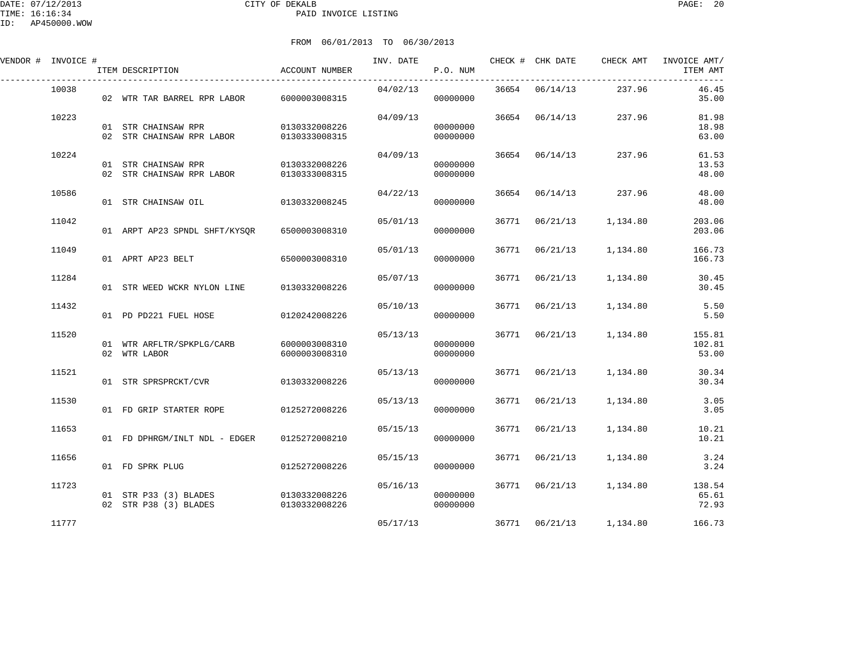| VENDOR # INVOICE # | ITEM DESCRIPTION                                               | ACCOUNT NUMBER                 | INV. DATE | P.O. NUM             |       | CHECK # CHK DATE | CHECK AMT               | INVOICE AMT/<br>ITEM AMT  |
|--------------------|----------------------------------------------------------------|--------------------------------|-----------|----------------------|-------|------------------|-------------------------|---------------------------|
| 10038              | 02 WTR TAR BARREL RPR LABOR 6000003008315                      |                                | 04/02/13  | 00000000             |       | 36654 06/14/13   | 237.96                  | 46.45<br>35.00            |
| 10223              | 01 STR CHAINSAW RPR<br>02 STR CHAINSAW RPR LABOR 0130333008315 | 0130332008226                  | 04/09/13  | 00000000<br>00000000 |       | 36654 06/14/13   | 237.96                  | 81.98<br>18.98<br>63.00   |
| 10224              | 01 STR CHAINSAW RPR<br>02 STR CHAINSAW RPR LABOR               | 0130332008226<br>0130333008315 | 04/09/13  | 00000000<br>00000000 |       | 36654 06/14/13   | 237.96                  | 61.53<br>13.53<br>48.00   |
| 10586              | 01 STR CHAINSAW OIL                                            | 0130332008245                  | 04/22/13  | 00000000             |       | 36654 06/14/13   | 237.96                  | 48.00<br>48.00            |
| 11042              | 01 ARPT AP23 SPNDL SHFT/KYSOR                                  | 6500003008310                  | 05/01/13  | 00000000             | 36771 | 06/21/13         | 1,134.80                | 203.06<br>203.06          |
| 11049              | 01 APRT AP23 BELT                                              | 6500003008310                  | 05/01/13  | 00000000             | 36771 | 06/21/13         | 1,134.80                | 166.73<br>166.73          |
| 11284              | 01 STR WEED WCKR NYLON LINE                                    | 0130332008226                  | 05/07/13  | 00000000             | 36771 | 06/21/13         | 1,134.80                | 30.45<br>30.45            |
| 11432              | 01 PD PD221 FUEL HOSE                                          | 0120242008226                  | 05/10/13  | 00000000             | 36771 | 06/21/13         | 1,134.80                | 5.50<br>5.50              |
| 11520              | 01 WTR ARFLTR/SPKPLG/CARB<br>02 WTR LABOR                      | 6000003008310<br>6000003008310 | 05/13/13  | 00000000<br>00000000 | 36771 | 06/21/13         | 1,134.80                | 155.81<br>102.81<br>53.00 |
| 11521              | 01 STR SPRSPRCKT/CVR                                           | 0130332008226                  | 05/13/13  | 00000000             | 36771 | 06/21/13         | 1,134.80                | 30.34<br>30.34            |
| 11530              | 01 FD GRIP STARTER ROPE 0125272008226                          |                                | 05/13/13  | 00000000             | 36771 | 06/21/13         | 1,134.80                | 3.05<br>3.05              |
| 11653              | 01 FD DPHRGM/INLT NDL - EDGER                                  | 0125272008210                  | 05/15/13  | 00000000             | 36771 | 06/21/13         | 1,134.80                | 10.21<br>10.21            |
| 11656              | 01 FD SPRK PLUG                                                | 0125272008226                  | 05/15/13  | 00000000             |       | 36771 06/21/13   | 1,134.80                | 3.24<br>3.24              |
| 11723              | 01 STR P33 (3) BLADES 0130332008226<br>02 STR P38 (3) BLADES   | 0130332008226                  | 05/16/13  | 00000000<br>00000000 |       |                  | 36771 06/21/13 1,134.80 | 138.54<br>65.61<br>72.93  |
| 11777              |                                                                |                                | 05/17/13  |                      |       |                  | 36771 06/21/13 1,134.80 | 166.73                    |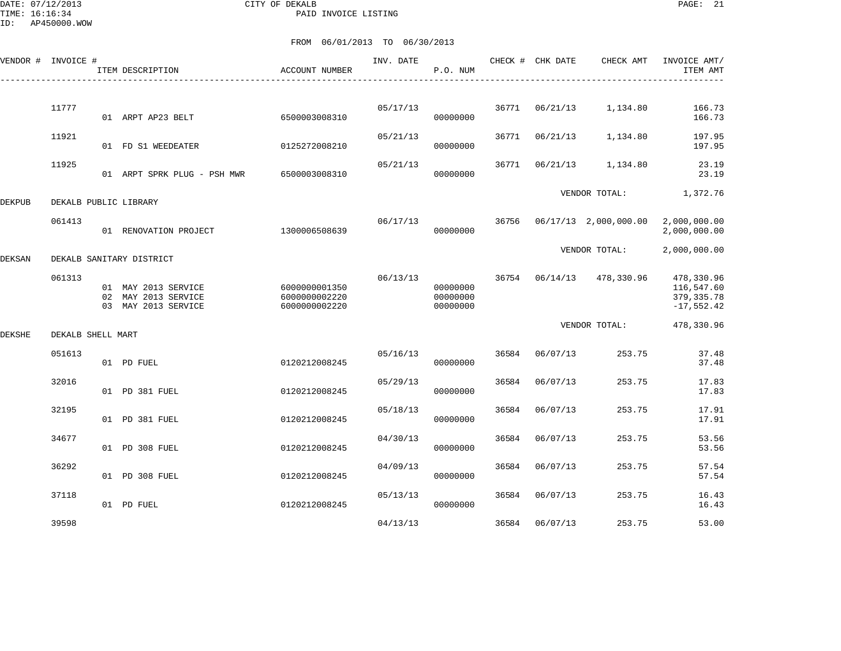DATE: 07/12/2013 CITY OF DEKALB PAGE: 21 PAID INVOICE LISTING

|        | VENDOR # INVOICE # | ITEM DESCRIPTION                                                  | ACCOUNT NUMBER                                  | INV. DATE | P.O. NUM                         |       | CHECK # CHK DATE | CHECK AMT             | INVOICE AMT/<br>ITEM AMT                                |
|--------|--------------------|-------------------------------------------------------------------|-------------------------------------------------|-----------|----------------------------------|-------|------------------|-----------------------|---------------------------------------------------------|
|        | 11777              | 01 ARPT AP23 BELT                                                 | 6500003008310                                   | 05/17/13  | 00000000                         | 36771 | 06/21/13         | 1,134.80              | 166.73<br>166.73                                        |
|        | 11921              | 01 FD S1 WEEDEATER                                                | 0125272008210                                   | 05/21/13  | 00000000                         | 36771 | 06/21/13         | 1,134.80              | 197.95<br>197.95                                        |
|        | 11925              | 01 ARPT SPRK PLUG - PSH MWR                                       | 6500003008310                                   | 05/21/13  | 00000000                         | 36771 | 06/21/13         | 1,134.80              | 23.19<br>23.19                                          |
| DEKPUB |                    | DEKALB PUBLIC LIBRARY                                             |                                                 |           |                                  |       |                  | VENDOR TOTAL:         | 1,372.76                                                |
|        | 061413             | 01 RENOVATION PROJECT                                             | 1300006508639                                   | 06/17/13  | 00000000                         | 36756 |                  | 06/17/13 2,000,000.00 | 2,000,000.00<br>2,000,000.00                            |
| DEKSAN |                    | DEKALB SANITARY DISTRICT                                          |                                                 |           |                                  |       |                  | VENDOR TOTAL:         | 2,000,000.00                                            |
|        | 061313             | 01 MAY 2013 SERVICE<br>02 MAY 2013 SERVICE<br>03 MAY 2013 SERVICE | 6000000001350<br>6000000002220<br>6000000002220 | 06/13/13  | 00000000<br>00000000<br>00000000 | 36754 | 06/14/13         | 478,330.96            | 478,330.96<br>116,547.60<br>379, 335.78<br>$-17,552.42$ |
| DEKSHE | DEKALB SHELL MART  |                                                                   |                                                 |           |                                  |       |                  | VENDOR TOTAL:         | 478,330.96                                              |
|        | 051613             | 01 PD FUEL                                                        | 0120212008245                                   | 05/16/13  | 00000000                         | 36584 | 06/07/13         | 253.75                | 37.48<br>37.48                                          |
|        | 32016              | 01 PD 381 FUEL                                                    | 0120212008245                                   | 05/29/13  | 00000000                         | 36584 | 06/07/13         | 253.75                | 17.83<br>17.83                                          |
|        | 32195              | 01 PD 381 FUEL                                                    | 0120212008245                                   | 05/18/13  | 00000000                         | 36584 | 06/07/13         | 253.75                | 17.91<br>17.91                                          |
|        | 34677              | 01 PD 308 FUEL                                                    | 0120212008245                                   | 04/30/13  | 00000000                         | 36584 | 06/07/13         | 253.75                | 53.56<br>53.56                                          |
|        | 36292              | 01 PD 308 FUEL                                                    | 0120212008245                                   | 04/09/13  | 00000000                         | 36584 | 06/07/13         | 253.75                | 57.54<br>57.54                                          |
|        | 37118              | 01 PD FUEL                                                        | 0120212008245                                   | 05/13/13  | 00000000                         | 36584 | 06/07/13         | 253.75                | 16.43<br>16.43                                          |
|        | 39598              |                                                                   |                                                 | 04/13/13  |                                  | 36584 | 06/07/13         | 253.75                | 53.00                                                   |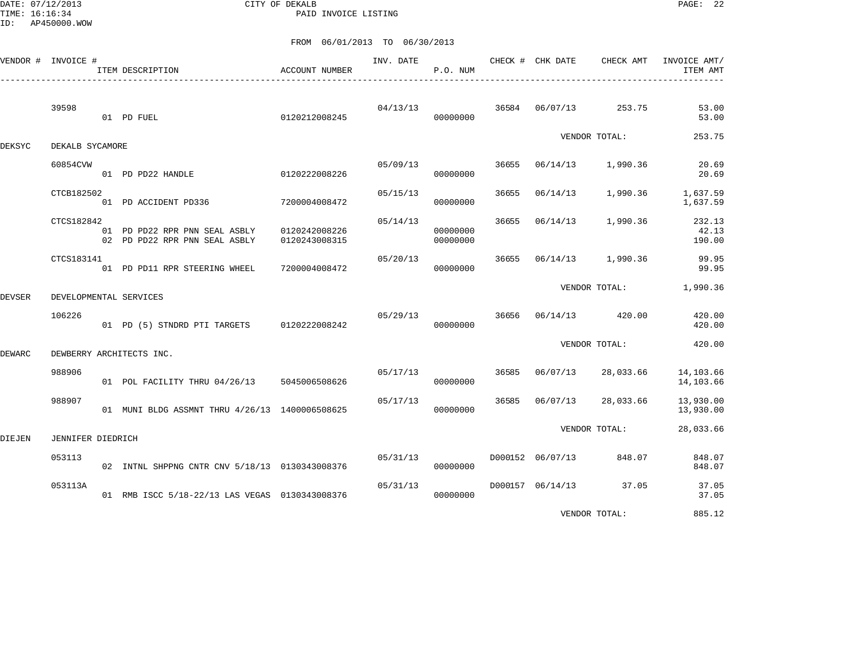DATE: 07/12/2013 CITY OF DEKALB PAGE: 22 PAID INVOICE LISTING

FROM 06/01/2013 TO 06/30/2013

|        | VENDOR # INVOICE # | ACCOUNT NUMBER<br>ITEM DESCRIPTION                             |                                | INV. DATE CHECK # CHK DATE | P.O. NUM             |       |                         | CHECK AMT          | INVOICE AMT/<br>ITEM AMT  |
|--------|--------------------|----------------------------------------------------------------|--------------------------------|----------------------------|----------------------|-------|-------------------------|--------------------|---------------------------|
|        | 39598              | 01 PD FUEL                                                     | 0120212008245                  | 04/13/13                   | 00000000             |       | 36584 06/07/13 253.75   |                    | 53.00<br>53.00            |
| DEKSYC | DEKALB SYCAMORE    |                                                                |                                |                            |                      |       |                         | VENDOR TOTAL:      | 253.75                    |
|        | 60854CVW           | 01 PD PD22 HANDLE                                              | 0120222008226                  |                            | 05/09/13<br>00000000 | 36655 |                         | 06/14/13 1,990.36  | 20.69<br>20.69            |
|        | CTCB182502         | 01 PD ACCIDENT PD336                                           | 7200004008472                  | 05/15/13                   | 00000000             | 36655 | 06/14/13                | 1,990.36           | 1,637.59<br>1,637.59      |
|        | CTCS182842         | 01 PD PD22 RPR PNN SEAL ASBLY<br>02 PD PD22 RPR PNN SEAL ASBLY | 0120242008226<br>0120243008315 | 05/14/13                   | 00000000<br>00000000 | 36655 | 06/14/13                | 1,990.36           | 232.13<br>42.13<br>190.00 |
|        | CTCS183141         | 01 PD PD11 RPR STEERING WHEEL                                  | 7200004008472                  | 05/20/13                   | 00000000             | 36655 |                         | 06/14/13 1,990.36  | 99.95<br>99.95            |
| DEVSER |                    | DEVELOPMENTAL SERVICES                                         |                                |                            |                      |       |                         | VENDOR TOTAL:      | 1,990.36                  |
|        | 106226             | 01 PD (5) STNDRD PTI TARGETS 0120222008242                     |                                | 05/29/13                   | 00000000             | 36656 | 06/14/13 420.00         |                    | 420.00<br>420.00          |
| DEWARC |                    | DEWBERRY ARCHITECTS INC.                                       |                                |                            |                      |       |                         | VENDOR TOTAL:      | 420.00                    |
|        | 988906             | 01 POL FACILITY THRU 04/26/13 5045006508626                    |                                |                            | 05/17/13<br>00000000 | 36585 |                         | 06/07/13 28,033.66 | 14,103.66<br>14,103.66    |
|        | 988907             | 01 MUNI BLDG ASSMNT THRU 4/26/13 1400006508625                 |                                | 05/17/13                   | 00000000             | 36585 | 06/07/13                | 28,033.66          | 13,930.00<br>13,930.00    |
| DIEJEN | JENNIFER DIEDRICH  |                                                                |                                |                            |                      |       |                         | VENDOR TOTAL:      | 28,033.66                 |
|        | 053113             | 02 INTNL SHPPNG CNTR CNV 5/18/13 0130343008376                 |                                | 05/31/13                   | 00000000             |       | D000152 06/07/13 848.07 |                    | 848.07<br>848.07          |
|        | 053113A            | 01 RMB ISCC 5/18-22/13 LAS VEGAS 0130343008376                 |                                | 05/31/13                   | 00000000             |       | D000157 06/14/13 37.05  |                    | 37.05<br>37.05            |
|        |                    |                                                                |                                |                            |                      |       |                         |                    |                           |

VENDOR TOTAL: 885.12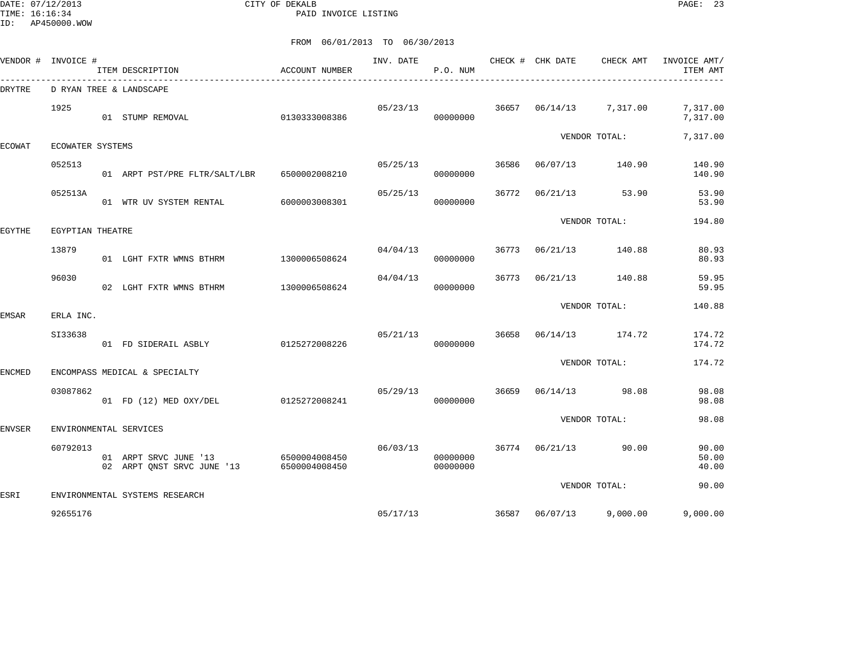DATE: 07/12/2013 CITY OF DEKALB PAGE: 23 PAID INVOICE LISTING

|        | VENDOR # INVOICE #      | ITEM DESCRIPTION                                    | ACCOUNT NUMBER                 | INV. DATE | P.O. NUM                         |       | CHECK # CHK DATE | CHECK AMT            | INVOICE AMT/<br>ITEM AMT |
|--------|-------------------------|-----------------------------------------------------|--------------------------------|-----------|----------------------------------|-------|------------------|----------------------|--------------------------|
| DRYTRE |                         | D RYAN TREE & LANDSCAPE                             |                                |           |                                  |       |                  |                      |                          |
|        | 1925                    | 01 STUMP REMOVAL                                    | 0130333008386                  | 05/23/13  | 00000000                         |       | 36657 06/14/13   | 7,317.00             | 7,317.00<br>7,317.00     |
| ECOWAT | <b>ECOWATER SYSTEMS</b> |                                                     |                                |           |                                  |       |                  | VENDOR TOTAL:        | 7,317.00                 |
|        |                         |                                                     |                                |           |                                  |       |                  |                      |                          |
|        | 052513                  | 01 ARPT PST/PRE FLTR/SALT/LBR 6500002008210         |                                | 05/25/13  | 00000000                         | 36586 | 06/07/13         | 140.90               | 140.90<br>140.90         |
|        | 052513A                 | 01 WTR UV SYSTEM RENTAL                             | 6000003008301                  | 05/25/13  | 00000000                         | 36772 | 06/21/13         | 53.90                | 53.90<br>53.90           |
| EGYTHE | EGYPTIAN THEATRE        |                                                     |                                |           |                                  |       |                  | VENDOR TOTAL:        | 194.80                   |
|        | 13879                   |                                                     |                                | 04/04/13  |                                  |       | 36773 06/21/13   | 140.88               | 80.93                    |
|        |                         | 01 LGHT FXTR WMNS BTHRM                             | 1300006508624                  |           | 00000000                         |       |                  |                      | 80.93                    |
|        | 96030                   | 02 LGHT FXTR WMNS BTHRM                             | 1300006508624                  | 04/04/13  | 00000000                         | 36773 | 06/21/13         | 140.88               | 59.95<br>59.95           |
| EMSAR  | ERLA INC.               |                                                     |                                |           |                                  |       |                  | VENDOR TOTAL:        | 140.88                   |
|        |                         |                                                     |                                |           |                                  |       |                  |                      |                          |
|        | SI33638                 | 01 FD SIDERAIL ASBLY                                | 0125272008226                  | 05/21/13  | 00000000                         | 36658 |                  | 06/14/13 174.72      | 174.72<br>174.72         |
| ENCMED |                         | ENCOMPASS MEDICAL & SPECIALTY                       |                                |           |                                  |       |                  | VENDOR TOTAL:        | 174.72                   |
|        |                         |                                                     |                                |           |                                  |       |                  |                      |                          |
|        | 03087862                | 01 FD (12) MED OXY/DEL                              | 0125272008241                  |           | 05/29/13<br>00000000             | 36659 |                  | 06/14/13 98.08       | 98.08<br>98.08           |
|        |                         |                                                     |                                |           |                                  |       |                  | VENDOR TOTAL:        | 98.08                    |
| ENVSER |                         | ENVIRONMENTAL SERVICES                              |                                |           |                                  |       |                  |                      |                          |
|        | 60792013                | 01 ARPT SRVC JUNE '13<br>02 ARPT ONST SRVC JUNE '13 | 6500004008450<br>6500004008450 |           | 06/03/13<br>00000000<br>00000000 |       |                  | 36774 06/21/13 90.00 | 90.00<br>50.00<br>40.00  |
|        |                         |                                                     |                                |           |                                  |       |                  | VENDOR TOTAL:        | 90.00                    |
| ESRI   |                         | ENVIRONMENTAL SYSTEMS RESEARCH                      |                                |           |                                  |       |                  |                      |                          |
|        | 92655176                |                                                     |                                |           | 05/17/13                         | 36587 |                  | $06/07/13$ 9,000.00  | 9,000.00                 |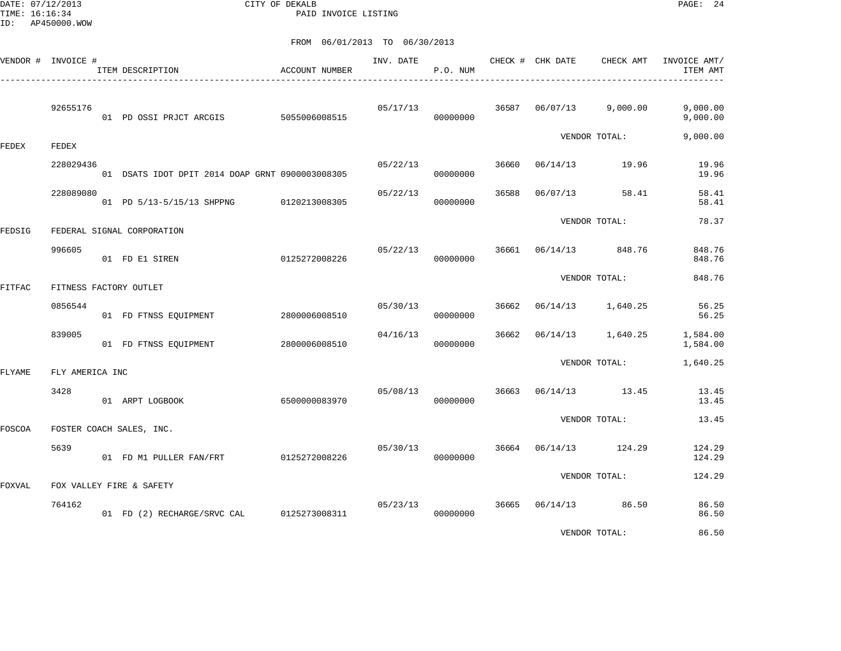DATE: 07/12/2013 CITY OF DEKALB PAGE: 24 PAID INVOICE LISTING

|               | VENDOR # INVOICE # | ITEM DESCRIPTION                                | ACCOUNT NUMBER | INV. DATE | P.O. NUM |       | CHECK # CHK DATE | CHECK AMT     | INVOICE AMT/<br>ITEM AMT |
|---------------|--------------------|-------------------------------------------------|----------------|-----------|----------|-------|------------------|---------------|--------------------------|
|               | 92655176           | 01 PD OSSI PRJCT ARCGIS                         | 5055006008515  | 05/17/13  | 00000000 | 36587 | 06/07/13         | 9,000.00      | 9,000.00<br>9,000.00     |
| <b>FEDEX</b>  | FEDEX              |                                                 |                |           |          |       |                  | VENDOR TOTAL: | 9,000.00                 |
|               | 228029436          | 01 DSATS IDOT DPIT 2014 DOAP GRNT 0900003008305 |                | 05/22/13  | 00000000 | 36660 | 06/14/13         | 19.96         | 19.96<br>19.96           |
|               | 228089080          | 01 PD 5/13-5/15/13 SHPPNG                       | 0120213008305  | 05/22/13  | 00000000 | 36588 | 06/07/13         | 58.41         | 58.41<br>58.41           |
| FEDSIG        |                    | FEDERAL SIGNAL CORPORATION                      |                |           |          |       |                  | VENDOR TOTAL: | 78.37                    |
|               | 996605             | 01 FD E1 SIREN                                  | 0125272008226  | 05/22/13  | 00000000 | 36661 | 06/14/13         | 848.76        | 848.76<br>848.76         |
| <b>FITFAC</b> |                    | FITNESS FACTORY OUTLET                          |                |           |          |       |                  | VENDOR TOTAL: | 848.76                   |
|               | 0856544            | 01 FD FTNSS EQUIPMENT                           | 2800006008510  | 05/30/13  | 00000000 | 36662 | 06/14/13         | 1,640.25      | 56.25<br>56.25           |
|               | 839005             | 01 FD FTNSS EQUIPMENT                           | 2800006008510  | 04/16/13  | 00000000 | 36662 | 06/14/13         | 1,640.25      | 1,584.00<br>1,584.00     |
| <b>FLYAME</b> | FLY AMERICA INC    |                                                 |                |           |          |       |                  | VENDOR TOTAL: | 1,640.25                 |
|               | 3428               | 01 ARPT LOGBOOK                                 | 6500000083970  | 05/08/13  | 00000000 | 36663 | 06/14/13         | 13.45         | 13.45<br>13.45           |
| FOSCOA        |                    | FOSTER COACH SALES, INC.                        |                |           |          |       |                  | VENDOR TOTAL: | 13.45                    |
|               | 5639               | 01 FD M1 PULLER FAN/FRT                         | 0125272008226  | 05/30/13  | 00000000 | 36664 | 06/14/13         | 124.29        | 124.29<br>124.29         |
|               |                    |                                                 |                |           |          |       |                  | VENDOR TOTAL: | 124.29                   |
| FOXVAL        | 764162             | FOX VALLEY FIRE & SAFETY                        |                | 05/23/13  |          | 36665 | 06/14/13         | 86.50         | 86.50                    |
|               |                    | 01 FD (2) RECHARGE/SRVC CAL 0125273008311       |                |           | 00000000 |       |                  |               | 86.50                    |
|               |                    |                                                 |                |           |          |       |                  | VENDOR TOTAL: | 86.50                    |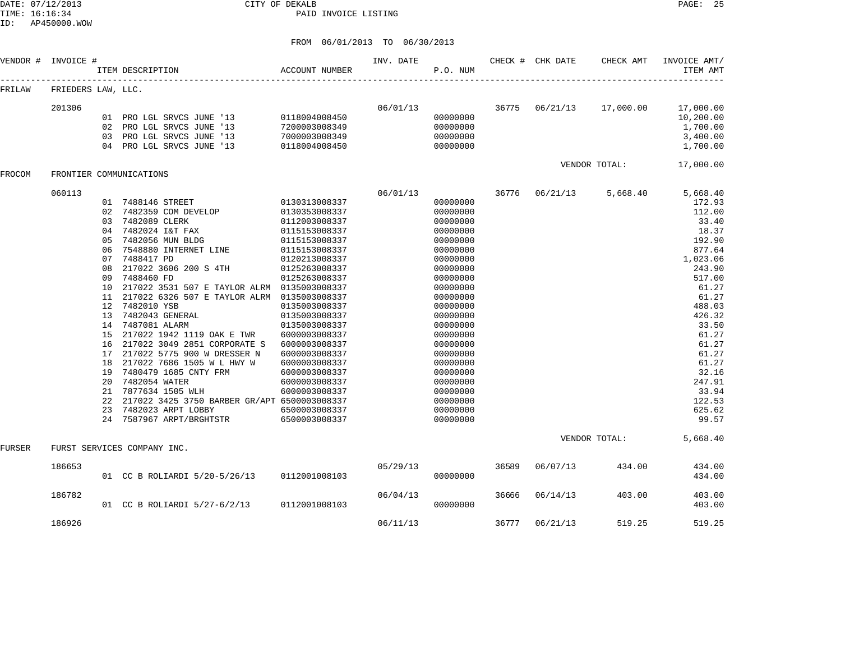DATE: 07/12/2013 CITY OF DEKALB PAGE: 25 PAID INVOICE LISTING

ID: AP450000.WOW

|          |                    |    |                               | FROM 06/01/2013 TO 06/30/2013 |          |                       |       |                  |                    |                          |
|----------|--------------------|----|-------------------------------|-------------------------------|----------|-----------------------|-------|------------------|--------------------|--------------------------|
| VENDOR # | INVOICE #          |    | ITEM DESCRIPTION              | ACCOUNT NUMBER                |          | INV. DATE<br>P.O. NUM |       | CHECK # CHK DATE | CHECK AMT          | INVOICE AMT/<br>ITEM AMT |
| FRILAW   | FRIEDERS LAW, LLC. |    |                               |                               |          |                       |       |                  |                    |                          |
|          | 201306             |    |                               |                               | 06/01/13 |                       | 36775 |                  | 06/21/13 17,000.00 | 17,000.00                |
|          |                    |    | 01 PRO LGL SRVCS JUNE '13     | 0118004008450                 |          | 00000000              |       |                  |                    | 10,200.00                |
|          |                    |    | 02 PRO LGL SRVCS JUNE '13     | 7200003008349                 |          | 00000000              |       |                  |                    | 1,700.00                 |
|          |                    | 03 | PRO LGL SRVCS JUNE '13        | 7000003008349                 |          | 00000000              |       |                  |                    | 3,400.00                 |
|          |                    |    | 04 PRO LGL SRVCS JUNE '13     | 0118004008450                 |          | 00000000              |       |                  |                    | 1,700.00                 |
|          |                    |    |                               |                               |          |                       |       |                  | VENDOR TOTAL:      | 17,000.00                |
| FROCOM   |                    |    | FRONTIER COMMUNICATIONS       |                               |          |                       |       |                  |                    |                          |
|          | 060113             |    |                               |                               | 06/01/13 |                       | 36776 | 06/21/13         | 5,668.40           | 5,668.40                 |
|          |                    |    | 01 7488146 STREET             | 0130313008337                 |          | 00000000              |       |                  |                    | 172.93                   |
|          |                    |    | 02 7482359 COM DEVELOP        | 0130353008337                 |          | 00000000              |       |                  |                    | 112.00                   |
|          |                    | 03 | 7482089 CLERK                 | 0112003008337                 |          | 00000000              |       |                  |                    | 33.40                    |
|          |                    | 04 | 7482024 I&T FAX               | 0115153008337                 |          | 00000000              |       |                  |                    | 18.37                    |
|          |                    | 05 | 7482056 MUN BLDG              | 0115153008337                 |          | 00000000              |       |                  |                    | 192.90                   |
|          |                    | 06 | 7548880 INTERNET LINE         | 0115153008337                 |          | 00000000              |       |                  |                    | 877.64                   |
|          |                    | 07 | 7488417 PD                    | 0120213008337                 |          | 00000000              |       |                  |                    | 1,023.06                 |
|          |                    | 08 | 217022 3606 200 S 4TH         | 0125263008337                 |          | 00000000              |       |                  |                    | 243.90                   |
|          |                    | 09 | 7488460 FD                    | 0125263008337                 |          | 00000000              |       |                  |                    | 517.00                   |
|          |                    | 10 | 217022 3531 507 E TAYLOR ALRM | 0135003008337                 |          | 00000000              |       |                  |                    | 61.27                    |
|          |                    | 11 | 217022 6326 507 E TAYLOR ALRM | 0135003008337                 |          | 00000000              |       |                  |                    | 61.27                    |
|          |                    | 12 | 7482010 YSB                   | 0135003008337                 |          | 00000000              |       |                  |                    | 488.03                   |
|          |                    | 13 | 7482043 GENERAL               | 0135003008337                 |          | 00000000              |       |                  |                    | 426.32                   |
|          |                    | 14 | 7487081 ALARM                 | 0135003008337                 |          | 00000000              |       |                  |                    | 33.50                    |
|          |                    | 15 | 217022 1942 1119 OAK E TWR    | 6000003008337                 |          | 00000000              |       |                  |                    | 61.27                    |
|          |                    | 16 | 217022 3049 2851 CORPORATE S  | 6000003008337                 |          | 00000000              |       |                  |                    | 61.27                    |
|          |                    | 17 | 217022 5775 900 W DRESSER N   | 6000003008337                 |          | 00000000              |       |                  |                    | 61.27                    |
|          |                    | 18 | 217022 7686 1505 W L HWY W    | 6000003008337                 |          | 00000000              |       |                  |                    | 61.27                    |
|          |                    | 19 | 7480479 1685 CNTY FRM         | 6000003008337                 |          | 00000000              |       |                  |                    | 32.16                    |
|          |                    | 20 | 7482054 WATER                 | 6000003008337                 |          | 00000000              |       |                  |                    | 247.91                   |
|          |                    | 21 | 7877634 1505 WLH              | 6000003008337                 |          | 00000000              |       |                  |                    | 33.94                    |

|        |        | 2.2<br>23<br>24 | 217022 3425 3750 BARBER GR/APT 6500003008337<br>7482023 ARPT LOBBY<br>7587967 ARPT/BRGHTSTR | 6500003008337<br>6500003008337 |          | 00000000<br>00000000<br>00000000 |       |               |        | 122.53<br>625.62<br>99.57 |
|--------|--------|-----------------|---------------------------------------------------------------------------------------------|--------------------------------|----------|----------------------------------|-------|---------------|--------|---------------------------|
| FURSER |        |                 | FURST SERVICES COMPANY INC.                                                                 |                                |          |                                  |       | VENDOR TOTAL: |        | 5,668.40                  |
|        | 186653 | 01              | CC B ROLIARDI 5/20-5/26/13                                                                  | 0112001008103                  | 05/29/13 | 00000000                         | 36589 | 06/07/13      | 434.00 | 434.00<br>434.00          |
|        | 186782 | 01              | CC B ROLIARDI 5/27-6/2/13                                                                   | 0112001008103                  | 06/04/13 | 00000000                         | 36666 | 06/14/13      | 403.00 | 403.00<br>403.00          |
|        | 186926 |                 |                                                                                             |                                | 06/11/13 |                                  | 36777 | 06/21/13      | 519.25 | 519.25                    |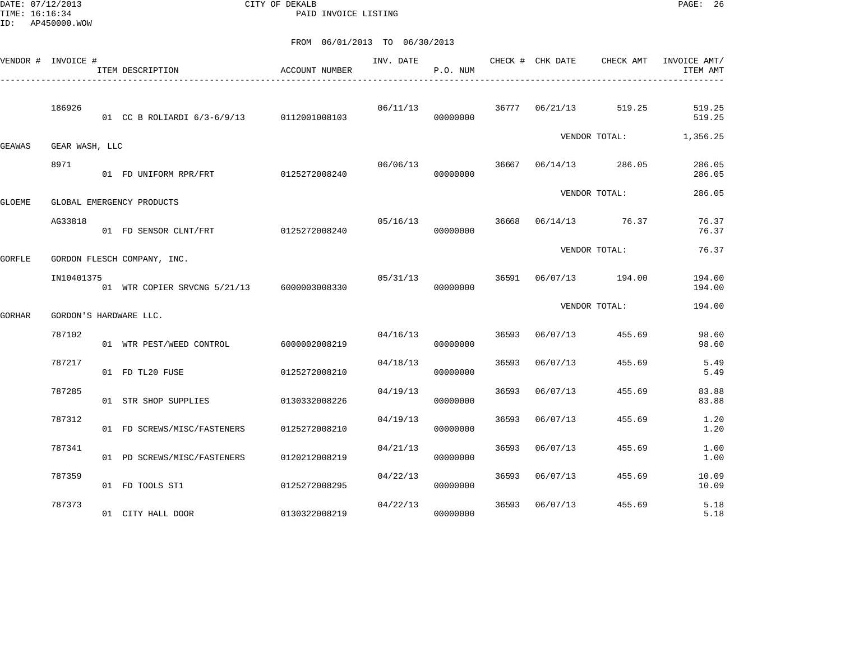DATE: 07/12/2013 CITY OF DEKALB PAGE: 26 PAID INVOICE LISTING

|               | VENDOR # INVOICE # | ITEM DESCRIPTION                           | ACCOUNT NUMBER | INV. DATE | P.O. NUM |       | CHECK # CHK DATE | CHECK AMT     | INVOICE AMT/<br>ITEM AMT |
|---------------|--------------------|--------------------------------------------|----------------|-----------|----------|-------|------------------|---------------|--------------------------|
|               | 186926             | 01 CC B ROLIARDI 6/3-6/9/13 0112001008103  |                | 06/11/13  | 00000000 | 36777 | 06/21/13         | 519.25        | 519.25<br>519.25         |
| GEAWAS        | GEAR WASH, LLC     |                                            |                |           |          |       |                  | VENDOR TOTAL: | 1,356.25                 |
|               | 8971               | 01 FD UNIFORM RPR/FRT                      | 0125272008240  | 06/06/13  | 00000000 | 36667 | 06/14/13 286.05  |               | 286.05<br>286.05         |
| <b>GLOEME</b> |                    | GLOBAL EMERGENCY PRODUCTS                  |                |           |          |       |                  | VENDOR TOTAL: | 286.05                   |
|               | AG33818            | 01 FD SENSOR CLNT/FRT                      | 0125272008240  | 05/16/13  | 00000000 | 36668 | 06/14/13 76.37   |               | 76.37<br>76.37           |
| <b>GORFLE</b> |                    | GORDON FLESCH COMPANY, INC.                |                |           |          |       |                  | VENDOR TOTAL: | 76.37                    |
|               | IN10401375         | 01 WTR COPIER SRVCNG 5/21/13 6000003008330 |                | 05/31/13  | 00000000 | 36591 | 06/07/13 194.00  |               | 194.00<br>194.00         |
| GORHAR        |                    | GORDON'S HARDWARE LLC.                     |                |           |          |       |                  | VENDOR TOTAL: | 194.00                   |
|               | 787102             | 01 WTR PEST/WEED CONTROL                   | 6000002008219  | 04/16/13  | 00000000 | 36593 | 06/07/13         | 455.69        | 98.60<br>98.60           |
|               | 787217             | 01 FD TL20 FUSE                            | 0125272008210  | 04/18/13  | 00000000 | 36593 | 06/07/13         | 455.69        | 5.49<br>5.49             |
|               | 787285             | 01 STR SHOP SUPPLIES                       | 0130332008226  | 04/19/13  | 00000000 | 36593 | 06/07/13         | 455.69        | 83.88<br>83.88           |
|               | 787312             | 01 FD SCREWS/MISC/FASTENERS                | 0125272008210  | 04/19/13  | 00000000 | 36593 | 06/07/13         | 455.69        | 1.20<br>1.20             |
|               | 787341             | 01 PD SCREWS/MISC/FASTENERS                | 0120212008219  | 04/21/13  | 00000000 | 36593 | 06/07/13         | 455.69        | 1.00<br>1.00             |
|               | 787359             | 01 FD TOOLS ST1                            | 0125272008295  | 04/22/13  | 00000000 | 36593 | 06/07/13         | 455.69        | 10.09<br>10.09           |
|               | 787373             | 01 CITY HALL DOOR                          | 0130322008219  | 04/22/13  | 00000000 | 36593 | 06/07/13         | 455.69        | 5.18<br>5.18             |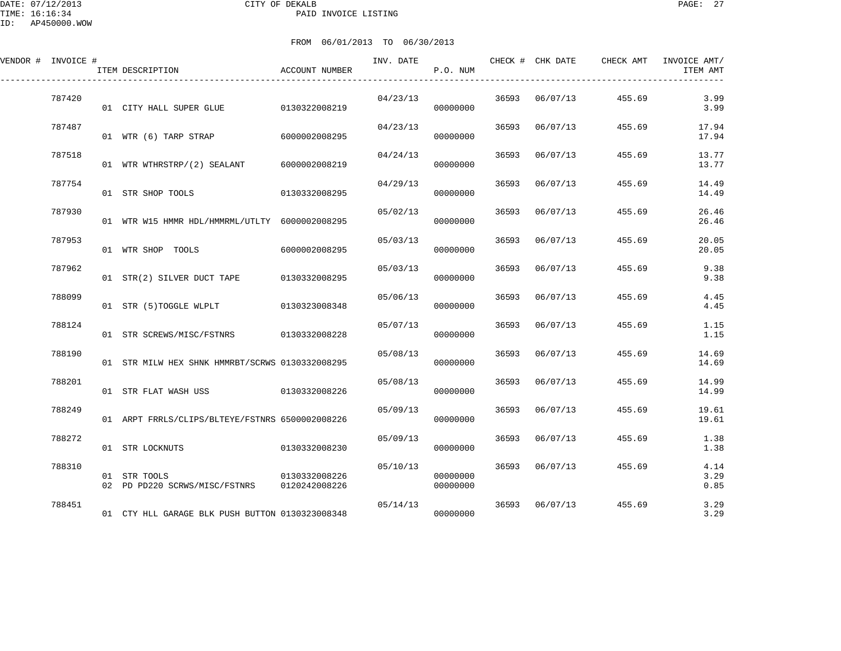DATE: 07/12/2013 CITY OF DEKALB PAGE: 27 PAID INVOICE LISTING

| VENDOR # INVOICE # |        | ITEM DESCRIPTION                                | ACCOUNT NUMBER                 | INV. DATE | P.O. NUM             |       | CHECK # CHK DATE | CHECK AMT | INVOICE AMT/<br>ITEM AMT |
|--------------------|--------|-------------------------------------------------|--------------------------------|-----------|----------------------|-------|------------------|-----------|--------------------------|
|                    | 787420 | 01 CITY HALL SUPER GLUE 0130322008219           |                                | 04/23/13  | 00000000             | 36593 | 06/07/13         | 455.69    | 3.99<br>3.99             |
|                    | 787487 | 01 WTR (6) TARP STRAP                           | 6000002008295                  | 04/23/13  | 00000000             | 36593 | 06/07/13         | 455.69    | 17.94<br>17.94           |
|                    | 787518 | 01 WTR WTHRSTRP/(2) SEALANT                     | 6000002008219                  | 04/24/13  | 00000000             | 36593 | 06/07/13         | 455.69    | 13.77<br>13.77           |
|                    | 787754 | 01 STR SHOP TOOLS                               | 0130332008295                  | 04/29/13  | 00000000             | 36593 | 06/07/13         | 455.69    | 14.49<br>14.49           |
|                    | 787930 | 01 WTR W15 HMMR HDL/HMMRML/UTLTY 6000002008295  |                                | 05/02/13  | 00000000             | 36593 | 06/07/13         | 455.69    | 26.46<br>26.46           |
|                    | 787953 | 01 WTR SHOP TOOLS                               | 6000002008295                  | 05/03/13  | 00000000             |       | 36593 06/07/13   | 455.69    | 20.05<br>20.05           |
|                    | 787962 | 01 STR(2) SILVER DUCT TAPE                      | 0130332008295                  | 05/03/13  | 00000000             | 36593 | 06/07/13         | 455.69    | 9.38<br>9.38             |
|                    | 788099 | 01 STR (5) TOGGLE WLPLT 0130323008348           |                                | 05/06/13  | 00000000             | 36593 | 06/07/13         | 455.69    | 4.45<br>4.45             |
|                    | 788124 | 01 STR SCREWS/MISC/FSTNRS 0130332008228         |                                | 05/07/13  | 00000000             | 36593 | 06/07/13         | 455.69    | 1.15<br>1.15             |
|                    | 788190 | 01 STR MILW HEX SHNK HMMRBT/SCRWS 0130332008295 |                                | 05/08/13  | 00000000             | 36593 | 06/07/13         | 455.69    | 14.69<br>14.69           |
|                    | 788201 | 01 STR FLAT WASH USS 0130332008226              |                                | 05/08/13  | 00000000             | 36593 | 06/07/13         | 455.69    | 14.99<br>14.99           |
|                    | 788249 | 01 ARPT FRRLS/CLIPS/BLTEYE/FSTNRS 6500002008226 |                                | 05/09/13  | 00000000             | 36593 | 06/07/13         | 455.69    | 19.61<br>19.61           |
|                    | 788272 | 01 STR LOCKNUTS                                 | 0130332008230                  | 05/09/13  | 00000000             | 36593 | 06/07/13         | 455.69    | 1.38<br>1.38             |
|                    | 788310 | 01 STR TOOLS<br>02 PD PD220 SCRWS/MISC/FSTNRS   | 0130332008226<br>0120242008226 | 05/10/13  | 00000000<br>00000000 |       | 36593 06/07/13   | 455.69    | 4.14<br>3.29<br>0.85     |
|                    | 788451 | 01 CTY HLL GARAGE BLK PUSH BUTTON 0130323008348 |                                | 05/14/13  | 00000000             |       | 36593 06/07/13   | 455.69    | 3.29<br>3.29             |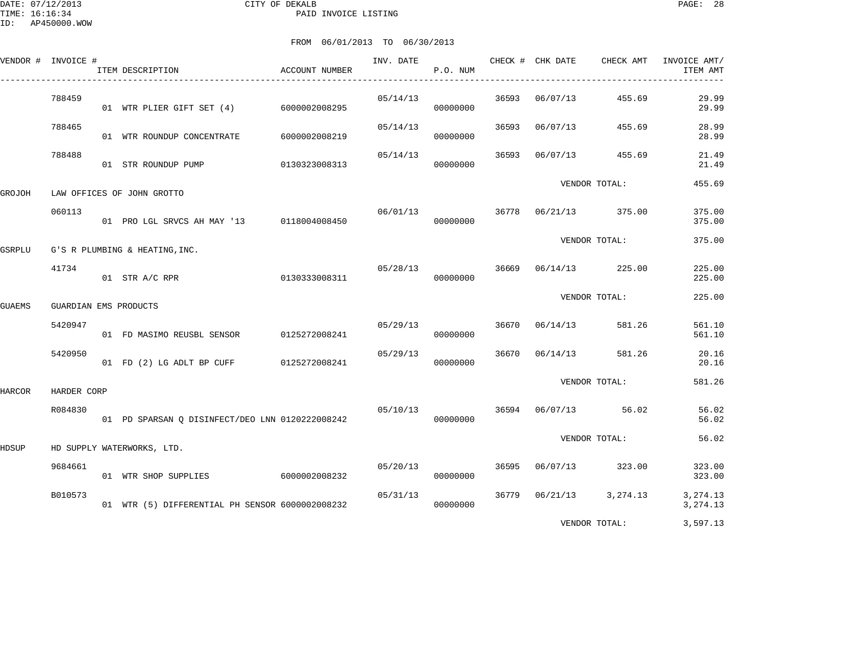DATE: 07/12/2013 CITY OF DEKALB PAGE: 28 PAID INVOICE LISTING

|        | VENDOR # INVOICE # | ITEM DESCRIPTION                                | ACCOUNT NUMBER | INV. DATE | P.O. NUM |       | CHECK # CHK DATE | CHECK AMT         | INVOICE AMT/<br>ITEM AMT |
|--------|--------------------|-------------------------------------------------|----------------|-----------|----------|-------|------------------|-------------------|--------------------------|
|        | 788459             | 01 WTR PLIER GIFT SET (4) 6000002008295         |                | 05/14/13  | 00000000 |       | 36593 06/07/13   | 455.69            | 29.99<br>29.99           |
|        | 788465             | 01 WTR ROUNDUP CONCENTRATE                      | 6000002008219  | 05/14/13  | 00000000 | 36593 | 06/07/13         | 455.69            | 28.99<br>28.99           |
|        | 788488             | 01 STR ROUNDUP PUMP                             | 0130323008313  | 05/14/13  | 00000000 | 36593 | 06/07/13         | 455.69            | 21.49<br>21.49           |
| GROJOH |                    | LAW OFFICES OF JOHN GROTTO                      |                |           |          |       |                  | VENDOR TOTAL:     | 455.69                   |
|        | 060113             | 01 PRO LGL SRVCS AH MAY '13 0118004008450       |                | 06/01/13  | 00000000 |       | 36778 06/21/13   | 375.00            | 375.00<br>375.00         |
| GSRPLU |                    | G'S R PLUMBING & HEATING, INC.                  |                |           |          |       |                  | VENDOR TOTAL:     | 375.00                   |
|        | 41734              | 01 STR A/C RPR                                  | 0130333008311  | 05/28/13  | 00000000 |       | 36669 06/14/13   | 225.00            | 225.00<br>225.00         |
| GUAEMS |                    | GUARDIAN EMS PRODUCTS                           |                |           |          |       |                  | VENDOR TOTAL:     | 225.00                   |
|        | 5420947            | 01 FD MASIMO REUSBL SENSOR                      | 0125272008241  | 05/29/13  | 00000000 | 36670 | 06/14/13         | 581.26            | 561.10<br>561.10         |
|        | 5420950            | 01 FD (2) LG ADLT BP CUFF 0125272008241         |                | 05/29/13  | 00000000 |       | 36670 06/14/13   | 581.26            | 20.16<br>20.16           |
| HARCOR | HARDER CORP        |                                                 |                |           |          |       |                  | VENDOR TOTAL:     | 581.26                   |
|        | R084830            | 01 PD SPARSAN Q DISINFECT/DEO LNN 0120222008242 |                | 05/10/13  | 00000000 | 36594 |                  | 06/07/13 56.02    | 56.02<br>56.02           |
| HDSUP  |                    | HD SUPPLY WATERWORKS, LTD.                      |                |           |          |       |                  | VENDOR TOTAL:     | 56.02                    |
|        | 9684661            | 01 WTR SHOP SUPPLIES                            | 6000002008232  | 05/20/13  | 00000000 |       | 36595 06/07/13   | 323.00            | 323.00<br>323.00         |
|        | B010573            | 01 WTR (5) DIFFERENTIAL PH SENSOR 6000002008232 |                | 05/31/13  | 00000000 | 36779 |                  | 06/21/13 3,274.13 | 3, 274.13<br>3,274.13    |
|        |                    |                                                 |                |           |          |       |                  | VENDOR TOTAL:     | 3,597.13                 |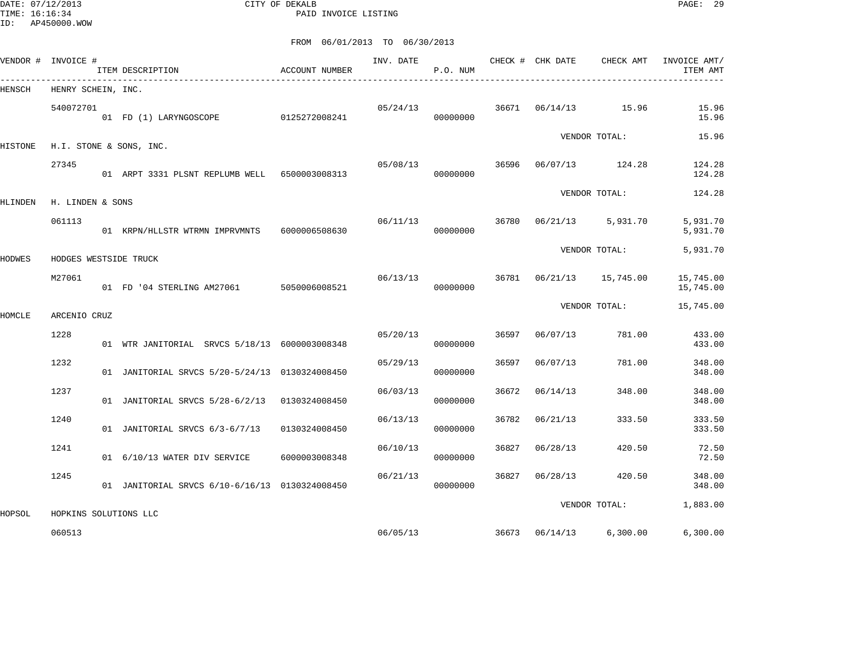DATE: 07/12/2013 CITY OF DEKALB PAGE: 29 PAID INVOICE LISTING

|        |                                                 |                                                                                                                                                                                                           | INV. DATE                                                                                                                                                                                                                                                                                                                                                                                                 | P.O. NUM |                      |          | CHECK AMT                                      | INVOICE AMT/<br>ITEM AMT                                                                                                                       |
|--------|-------------------------------------------------|-----------------------------------------------------------------------------------------------------------------------------------------------------------------------------------------------------------|-----------------------------------------------------------------------------------------------------------------------------------------------------------------------------------------------------------------------------------------------------------------------------------------------------------------------------------------------------------------------------------------------------------|----------|----------------------|----------|------------------------------------------------|------------------------------------------------------------------------------------------------------------------------------------------------|
|        |                                                 |                                                                                                                                                                                                           |                                                                                                                                                                                                                                                                                                                                                                                                           |          |                      |          |                                                |                                                                                                                                                |
|        |                                                 |                                                                                                                                                                                                           | 05/24/13                                                                                                                                                                                                                                                                                                                                                                                                  | 00000000 |                      | 06/14/13 |                                                | 15.96<br>15.96                                                                                                                                 |
|        |                                                 |                                                                                                                                                                                                           |                                                                                                                                                                                                                                                                                                                                                                                                           |          |                      |          |                                                | 15.96                                                                                                                                          |
| 27345  |                                                 |                                                                                                                                                                                                           | 05/08/13                                                                                                                                                                                                                                                                                                                                                                                                  | 00000000 | 36596                |          |                                                | 124.28<br>124.28                                                                                                                               |
|        |                                                 |                                                                                                                                                                                                           |                                                                                                                                                                                                                                                                                                                                                                                                           |          |                      |          |                                                | 124.28                                                                                                                                         |
| 061113 |                                                 |                                                                                                                                                                                                           |                                                                                                                                                                                                                                                                                                                                                                                                           | 00000000 | 36780                |          |                                                | 5,931.70<br>5,931.70                                                                                                                           |
|        |                                                 |                                                                                                                                                                                                           |                                                                                                                                                                                                                                                                                                                                                                                                           |          |                      |          |                                                | 5,931.70                                                                                                                                       |
| M27061 |                                                 |                                                                                                                                                                                                           |                                                                                                                                                                                                                                                                                                                                                                                                           | 00000000 | 36781                | 06/21/13 | 15,745.00                                      | 15,745.00<br>15,745.00                                                                                                                         |
|        |                                                 |                                                                                                                                                                                                           |                                                                                                                                                                                                                                                                                                                                                                                                           |          |                      |          |                                                | 15,745.00                                                                                                                                      |
| 1228   |                                                 |                                                                                                                                                                                                           | 05/20/13                                                                                                                                                                                                                                                                                                                                                                                                  | 00000000 | 36597                | 06/07/13 | 781.00                                         | 433.00<br>433.00                                                                                                                               |
| 1232   |                                                 |                                                                                                                                                                                                           | 05/29/13                                                                                                                                                                                                                                                                                                                                                                                                  | 00000000 | 36597                | 06/07/13 | 781.00                                         | 348.00<br>348.00                                                                                                                               |
| 1237   |                                                 |                                                                                                                                                                                                           | 06/03/13                                                                                                                                                                                                                                                                                                                                                                                                  | 00000000 | 36672                | 06/14/13 | 348.00                                         | 348.00<br>348.00                                                                                                                               |
| 1240   |                                                 | 0130324008450                                                                                                                                                                                             | 06/13/13                                                                                                                                                                                                                                                                                                                                                                                                  | 00000000 | 36782                | 06/21/13 | 333.50                                         | 333.50<br>333.50                                                                                                                               |
| 1241   |                                                 | 6000003008348                                                                                                                                                                                             | 06/10/13                                                                                                                                                                                                                                                                                                                                                                                                  | 00000000 | 36827                | 06/28/13 | 420.50                                         | 72.50<br>72.50                                                                                                                                 |
| 1245   |                                                 |                                                                                                                                                                                                           | 06/21/13                                                                                                                                                                                                                                                                                                                                                                                                  | 00000000 | 36827                | 06/28/13 | 420.50                                         | 348.00<br>348.00                                                                                                                               |
|        |                                                 |                                                                                                                                                                                                           |                                                                                                                                                                                                                                                                                                                                                                                                           |          |                      |          |                                                | 1,883.00                                                                                                                                       |
| 060513 |                                                 |                                                                                                                                                                                                           |                                                                                                                                                                                                                                                                                                                                                                                                           |          |                      |          |                                                | 6, 300.00                                                                                                                                      |
|        | VENDOR # INVOICE #<br>540072701<br>ARCENIO CRUZ | ITEM DESCRIPTION<br>HENRY SCHEIN, INC.<br>H.I. STONE & SONS, INC.<br>H. LINDEN & SONS<br>HODGES WESTSIDE TRUCK<br>01 JANITORIAL SRVCS 6/3-6/7/13<br>01 6/10/13 WATER DIV SERVICE<br>HOPKINS SOLUTIONS LLC | ACCOUNT NUMBER<br>01 FD (1) LARYNGOSCOPE 0125272008241<br>01 ARPT 3331 PLSNT REPLUMB WELL 6500003008313<br>01 KRPN/HLLSTR WTRMN IMPRVMNTS 6000006508630<br>01 FD '04 STERLING AM27061 5050006008521<br>01 WTR JANITORIAL SRVCS 5/18/13 6000003008348<br>01 JANITORIAL SRVCS 5/20-5/24/13 0130324008450<br>01 JANITORIAL SRVCS 5/28-6/2/13 0130324008450<br>01 JANITORIAL SRVCS 6/10-6/16/13 0130324008450 | 06/05/13 | 06/11/13<br>06/13/13 |          | CHECK # CHK DATE<br>36671<br>36673<br>06/14/13 | 15.96<br>VENDOR TOTAL:<br>06/07/13 124.28<br>VENDOR TOTAL:<br>06/21/13 5,931.70<br>VENDOR TOTAL:<br>VENDOR TOTAL:<br>VENDOR TOTAL:<br>6,300.00 |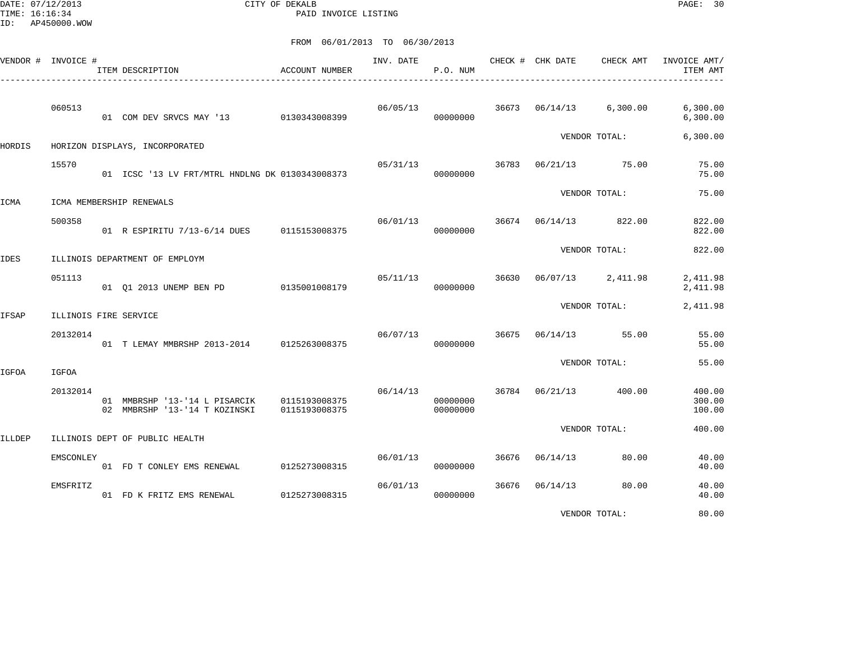DATE: 07/12/2013 CITY OF DEKALB PAGE: 30 PAID INVOICE LISTING

|        | VENDOR # INVOICE # | ITEM DESCRIPTION                                               | ACCOUNT NUMBER                 | INV. DATE | P.O. NUM                   |       | CHECK # CHK DATE | CHECK AMT            | INVOICE AMT/<br>ITEM AMT   |
|--------|--------------------|----------------------------------------------------------------|--------------------------------|-----------|----------------------------|-------|------------------|----------------------|----------------------------|
|        | 060513             | 01 COM DEV SRVCS MAY '13 0130343008399                         |                                | 06/05/13  | 36673 06/14/13<br>00000000 |       |                  | 6,300.00             | 6,300.00<br>6,300.00       |
| HORDIS |                    | HORIZON DISPLAYS, INCORPORATED                                 |                                |           |                            |       |                  | VENDOR TOTAL:        | 6,300.00                   |
|        | 15570              | 01 ICSC '13 LV FRT/MTRL HNDLNG DK 0130343008373                |                                | 05/31/13  | 00000000                   |       |                  | 36783 06/21/13 75.00 | 75.00<br>75.00             |
| ICMA   |                    | ICMA MEMBERSHIP RENEWALS                                       |                                |           |                            |       |                  | VENDOR TOTAL:        | 75.00                      |
|        | 500358             | 01 R ESPIRITU 7/13-6/14 DUES 0115153008375                     |                                | 06/01/13  | 00000000                   |       | 36674 06/14/13   | 822.00               | 822.00<br>822.00           |
| IDES   |                    | ILLINOIS DEPARTMENT OF EMPLOYM                                 |                                |           |                            |       |                  | VENDOR TOTAL:        | 822.00                     |
|        | 051113             |                                                                | 0135001008179                  | 05/11/13  | 00000000                   | 36630 | 06/07/13         | 2,411.98             | 2,411.98<br>2,411.98       |
| IFSAP  |                    | ILLINOIS FIRE SERVICE                                          |                                |           |                            |       |                  | VENDOR TOTAL:        | 2,411.98                   |
|        | 20132014           | 01 T LEMAY MMBRSHP 2013-2014 0125263008375                     |                                | 06/07/13  | 00000000                   | 36675 | 06/14/13         | 55.00                | 55.00<br>55.00             |
| IGFOA  | IGFOA              |                                                                |                                |           |                            |       |                  | VENDOR TOTAL:        | 55.00                      |
|        | 20132014           | 01 MMBRSHP '13-'14 L PISARCIK<br>02 MMBRSHP '13-'14 T KOZINSKI | 0115193008375<br>0115193008375 | 06/14/13  | 00000000<br>00000000       |       | 36784 06/21/13   | 400.00               | 400.00<br>300.00<br>100.00 |
| ILLDEP |                    | ILLINOIS DEPT OF PUBLIC HEALTH                                 |                                |           |                            |       |                  | VENDOR TOTAL:        | 400.00                     |
|        | EMSCONLEY          | 01 FD T CONLEY EMS RENEWAL                                     | 0125273008315                  | 06/01/13  | 00000000                   | 36676 | 06/14/13         | 80.00                | 40.00<br>40.00             |
|        | EMSFRITZ           | 01 FD K FRITZ EMS RENEWAL                                      | 0125273008315                  | 06/01/13  | 00000000                   | 36676 | 06/14/13         | 80.00                | 40.00<br>40.00             |
|        |                    |                                                                |                                |           |                            |       |                  | VENDOR TOTAL:        | 80.00                      |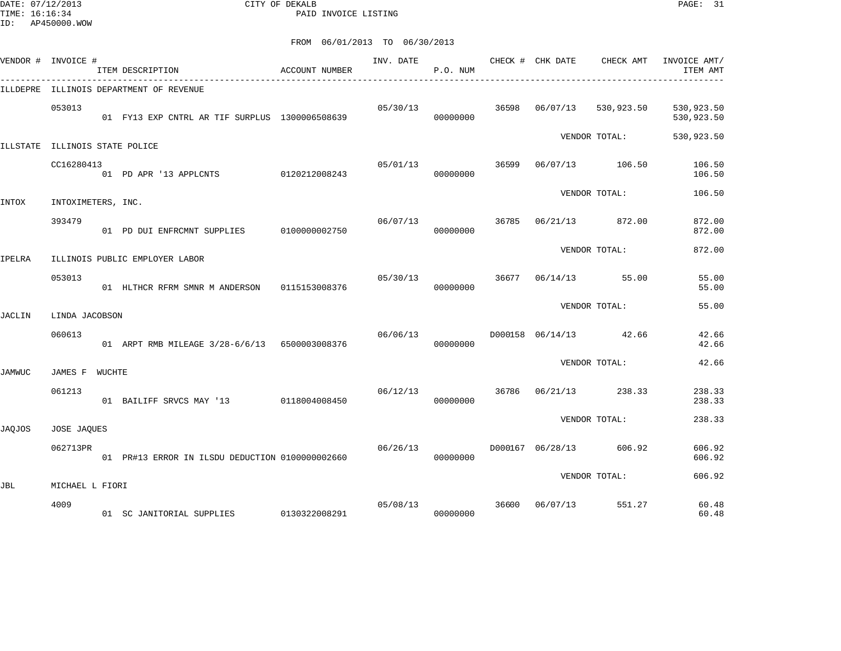DATE: 07/12/2013 CITY OF DEKALB PAGE: 31 PAID INVOICE LISTING

|        | VENDOR # INVOICE #             | ITEM DESCRIPTION<br>________________________________ | ACCOUNT NUMBER | INV. DATE | P.O. NUM |       | CHECK # CHK DATE        | CHECK AMT              | INVOICE AMT/<br>ITEM AMT |
|--------|--------------------------------|------------------------------------------------------|----------------|-----------|----------|-------|-------------------------|------------------------|--------------------------|
|        |                                | ILLDEPRE ILLINOIS DEPARTMENT OF REVENUE              |                |           |          |       |                         |                        |                          |
|        | 053013                         | 01 FY13 EXP CNTRL AR TIF SURPLUS 1300006508639       |                | 05/30/13  | 00000000 | 36598 | 06/07/13                | 530,923.50             | 530,923.50<br>530,923.50 |
|        | ILLSTATE ILLINOIS STATE POLICE |                                                      |                |           |          |       |                         | VENDOR TOTAL:          | 530,923.50               |
|        |                                |                                                      |                |           |          |       |                         |                        |                          |
|        | CC16280413                     | 01 PD APR '13 APPLCNTS                               | 0120212008243  | 05/01/13  | 00000000 | 36599 |                         | 06/07/13 106.50        | 106.50<br>106.50         |
| INTOX  | INTOXIMETERS, INC.             |                                                      |                |           |          |       |                         | VENDOR TOTAL:          | 106.50                   |
|        |                                |                                                      |                |           |          |       |                         |                        |                          |
|        | 393479                         | 01 PD DUI ENFRCMNT SUPPLIES                          | 0100000002750  | 06/07/13  | 00000000 | 36785 | 06/21/13                | 872.00                 | 872.00<br>872.00         |
|        |                                |                                                      |                |           |          |       |                         | VENDOR TOTAL:          | 872.00                   |
| IPELRA |                                | ILLINOIS PUBLIC EMPLOYER LABOR                       |                |           |          |       |                         |                        |                          |
|        | 053013                         | 01 HLTHCR RFRM SMNR M ANDERSON 0115153008376         |                | 05/30/13  | 00000000 | 36677 |                         | 06/14/13 55.00         | 55.00<br>55.00           |
|        |                                |                                                      |                |           |          |       |                         | VENDOR TOTAL:          | 55.00                    |
| JACLIN | LINDA JACOBSON                 |                                                      |                |           |          |       |                         |                        |                          |
|        | 060613                         | 01 ARPT RMB MILEAGE 3/28-6/6/13 6500003008376        |                | 06/06/13  | 00000000 |       |                         | D000158 06/14/13 42.66 | 42.66<br>42.66           |
| JAMWUC | JAMES F WUCHTE                 |                                                      |                |           |          |       |                         | VENDOR TOTAL:          | 42.66                    |
|        |                                |                                                      |                |           |          |       |                         |                        |                          |
|        | 061213                         | 01 BAILIFF SRVCS MAY '13 0118004008450               |                | 06/12/13  | 00000000 | 36786 | 06/21/13                | 238.33                 | 238.33<br>238.33         |
| JAQJOS | JOSE JAQUES                    |                                                      |                |           |          |       |                         | VENDOR TOTAL:          | 238.33                   |
|        |                                |                                                      |                |           |          |       |                         |                        |                          |
|        | 062713PR                       | 01 PR#13 ERROR IN ILSDU DEDUCTION 01000000002660     |                | 06/26/13  | 00000000 |       | D000167 06/28/13 606.92 |                        | 606.92<br>606.92         |
| JBL    | MICHAEL L FIORI                |                                                      |                |           |          |       |                         | VENDOR TOTAL:          | 606.92                   |
|        |                                |                                                      |                |           |          |       |                         |                        |                          |
|        | 4009                           | 01 SC JANITORIAL SUPPLIES 0130322008291              |                | 05/08/13  | 00000000 | 36600 | 06/07/13                | 551.27                 | 60.48<br>60.48           |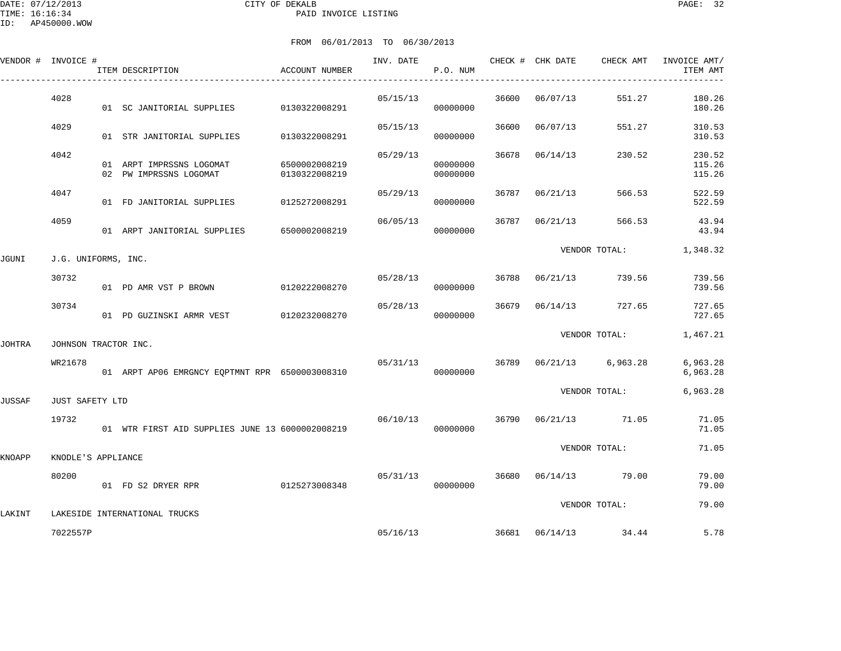|        | VENDOR # INVOICE #     | ITEM DESCRIPTION                                   | ACCOUNT NUMBER                 |          | P.O. NUM             |       |          | INV. DATE <b>CHECK # CHK DATE</b> CHECK AMT | INVOICE AMT/<br>ITEM AMT   |
|--------|------------------------|----------------------------------------------------|--------------------------------|----------|----------------------|-------|----------|---------------------------------------------|----------------------------|
|        | 4028                   | 01 SC JANITORIAL SUPPLIES                          | 0130322008291                  | 05/15/13 | 00000000             | 36600 | 06/07/13 | 551.27                                      | 180.26<br>180.26           |
|        | 4029                   | 01 STR JANITORIAL SUPPLIES                         | 0130322008291                  | 05/15/13 | 00000000             | 36600 | 06/07/13 | 551.27                                      | 310.53<br>310.53           |
|        | 4042                   | 01 ARPT IMPRSSNS LOGOMAT<br>02 PW IMPRSSNS LOGOMAT | 6500002008219<br>0130322008219 | 05/29/13 | 00000000<br>00000000 | 36678 | 06/14/13 | 230.52                                      | 230.52<br>115.26<br>115.26 |
|        | 4047                   | 01 FD JANITORIAL SUPPLIES                          | 0125272008291                  | 05/29/13 | 00000000             | 36787 | 06/21/13 | 566.53                                      | 522.59<br>522.59           |
|        | 4059                   | 01 ARPT JANITORIAL SUPPLIES                        | 6500002008219                  | 06/05/13 | 00000000             | 36787 | 06/21/13 | 566.53                                      | 43.94<br>43.94             |
| JGUNI  | J.G. UNIFORMS, INC.    |                                                    |                                |          |                      |       |          | VENDOR TOTAL:                               | 1,348.32                   |
|        | 30732                  | 01 PD AMR VST P BROWN                              | 0120222008270                  | 05/28/13 | 00000000             | 36788 | 06/21/13 | 739.56                                      | 739.56<br>739.56           |
|        | 30734                  | 01 PD GUZINSKI ARMR VEST 0120232008270             |                                | 05/28/13 | 00000000             | 36679 | 06/14/13 | 727.65                                      | 727.65<br>727.65           |
| JOHTRA | JOHNSON TRACTOR INC.   |                                                    |                                |          |                      |       |          | VENDOR TOTAL:                               | 1,467.21                   |
|        | WR21678                | 01 ARPT AP06 EMRGNCY EQPTMNT RPR 6500003008310     |                                | 05/31/13 | 00000000             | 36789 |          | $06/21/13$ 6,963.28                         | 6,963.28<br>6,963.28       |
| JUSSAF | <b>JUST SAFETY LTD</b> |                                                    |                                |          |                      |       |          | VENDOR TOTAL:                               | 6,963.28                   |
|        | 19732                  | 01 WTR FIRST AID SUPPLIES JUNE 13 6000002008219    |                                | 06/10/13 | 00000000             | 36790 |          | 06/21/13 71.05                              | 71.05<br>71.05             |
| KNOAPP | KNODLE'S APPLIANCE     |                                                    |                                |          |                      |       |          | VENDOR TOTAL:                               | 71.05                      |
|        | 80200                  | 01 FD S2 DRYER RPR                                 | 0125273008348                  | 05/31/13 | 00000000             | 36680 |          | 06/14/13 79.00                              | 79.00<br>79.00             |
| LAKINT |                        | LAKESIDE INTERNATIONAL TRUCKS                      |                                |          |                      |       |          | VENDOR TOTAL:                               | 79.00                      |
|        | 7022557P               |                                                    |                                | 05/16/13 |                      |       |          | 36681 06/14/13 34.44                        | 5.78                       |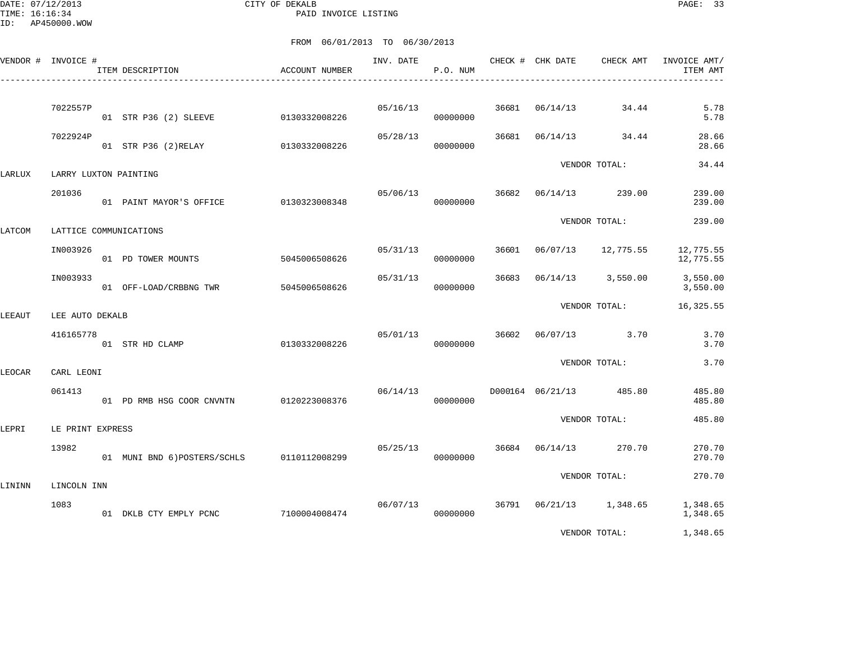DATE: 07/12/2013 CITY OF DEKALB PAGE: 33 PAID INVOICE LISTING

|        | VENDOR # INVOICE #    | ITEM DESCRIPTION             | ACCOUNT NUMBER | INV. DATE | P.O. NUM             |       | CHECK # CHK DATE | CHECK AMT               | INVOICE AMT/<br>ITEM AMT |
|--------|-----------------------|------------------------------|----------------|-----------|----------------------|-------|------------------|-------------------------|--------------------------|
|        | 7022557P              | 01 STR P36 (2) SLEEVE        | 0130332008226  | 05/16/13  | 00000000             | 36681 | 06/14/13         | 34.44                   | 5.78<br>5.78             |
|        | 7022924P              | 01 STR P36 (2) RELAY         | 0130332008226  | 05/28/13  | 00000000             | 36681 | 06/14/13         | 34.44                   | 28.66<br>28.66           |
| LARLUX | LARRY LUXTON PAINTING |                              |                |           |                      |       |                  | VENDOR TOTAL:           | 34.44                    |
|        | 201036                | 01 PAINT MAYOR'S OFFICE      | 0130323008348  | 05/06/13  | 00000000             | 36682 |                  | 06/14/13 239.00         | 239.00<br>239.00         |
| LATCOM |                       | LATTICE COMMUNICATIONS       |                |           |                      |       |                  | VENDOR TOTAL:           | 239.00                   |
|        | IN003926              | 01 PD TOWER MOUNTS           | 5045006508626  |           | 05/31/13<br>00000000 | 36601 | 06/07/13         | 12,775.55               | 12,775.55<br>12,775.55   |
|        | IN003933              | 01 OFF-LOAD/CRBBNG TWR       | 5045006508626  | 05/31/13  | 00000000             | 36683 |                  | $06/14/13$ 3,550.00     | 3,550.00<br>3,550.00     |
| LEEAUT | LEE AUTO DEKALB       |                              |                |           |                      |       |                  | VENDOR TOTAL:           | 16,325.55                |
|        | 416165778             | 01 STR HD CLAMP              | 0130332008226  | 05/01/13  | 00000000             | 36602 |                  | 06/07/13 3.70           | 3.70<br>3.70             |
| LEOCAR | CARL LEONI            |                              |                |           |                      |       |                  | VENDOR TOTAL:           | 3.70                     |
|        | 061413                | 01 PD RMB HSG COOR CNVNTN    | 0120223008376  | 06/14/13  | 00000000             |       |                  | D000164 06/21/13 485.80 | 485.80<br>485.80         |
| LEPRI  | LE PRINT EXPRESS      |                              |                |           |                      |       |                  | VENDOR TOTAL:           | 485.80                   |
|        | 13982                 | 01 MUNI BND 6) POSTERS/SCHLS | 0110112008299  | 05/25/13  | 00000000             |       | 36684 06/14/13   | 270.70                  | 270.70<br>270.70         |
| LININN | LINCOLN INN           |                              |                |           |                      |       |                  | VENDOR TOTAL:           | 270.70                   |
|        | 1083                  | 01 DKLB CTY EMPLY PCNC       | 7100004008474  | 06/07/13  | 00000000             | 36791 |                  | 06/21/13 1,348.65       | 1,348.65<br>1,348.65     |
|        |                       |                              |                |           |                      |       |                  | VENDOR TOTAL:           | 1,348.65                 |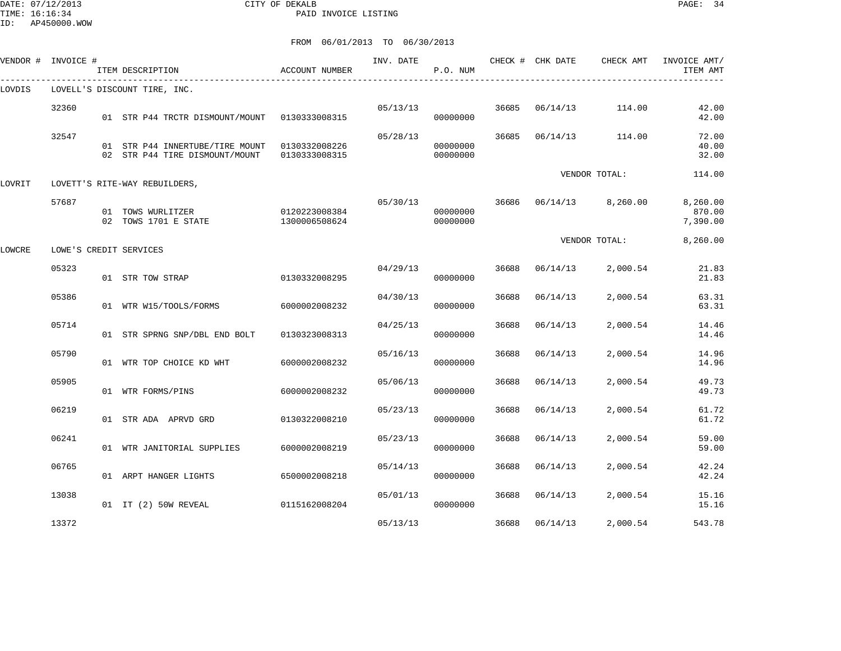DATE: 07/12/2013 CITY OF DEKALB PAGE: 34 PAID INVOICE LISTING

ID: AP450000.WOW

| VENDOR # | INVOICE # | ITEM DESCRIPTION                                                  | ACCOUNT NUMBER                 | INV. DATE | P.O. NUM             |       | CHECK # CHK DATE | CHECK AMT               | INVOICE AMT/<br>ITEM AMT       |
|----------|-----------|-------------------------------------------------------------------|--------------------------------|-----------|----------------------|-------|------------------|-------------------------|--------------------------------|
| LOVDIS   |           | ---------------------------------<br>LOVELL'S DISCOUNT TIRE, INC. |                                |           |                      |       |                  |                         |                                |
|          | 32360     | 01 STR P44 TRCTR DISMOUNT/MOUNT 0130333008315                     |                                | 05/13/13  | 00000000             | 36685 | 06/14/13         | 114.00                  | 42.00<br>42.00                 |
|          | 32547     | 01 STR P44 INNERTUBE/TIRE MOUNT<br>02 STR P44 TIRE DISMOUNT/MOUNT | 0130332008226<br>0130333008315 | 05/28/13  | 00000000<br>00000000 | 36685 | 06/14/13         | 114.00                  | 72.00<br>40.00<br>32.00        |
| LOVRIT   |           | LOVETT'S RITE-WAY REBUILDERS,                                     |                                |           |                      |       |                  | VENDOR TOTAL:           | 114.00                         |
|          | 57687     | 01 TOWS WURLITZER<br>02 TOWS 1701 E STATE                         | 0120223008384<br>1300006508624 | 05/30/13  | 00000000<br>00000000 |       |                  | 36686 06/14/13 8,260.00 | 8,260.00<br>870.00<br>7,390.00 |
| LOWCRE   |           | LOWE'S CREDIT SERVICES                                            |                                |           |                      |       |                  | VENDOR TOTAL:           | 8,260.00                       |
|          | 05323     | 01 STR TOW STRAP                                                  | 0130332008295                  | 04/29/13  | 00000000             | 36688 | 06/14/13         | 2,000.54                | 21.83<br>21.83                 |
|          | 05386     | 01 WTR W15/TOOLS/FORMS                                            | 6000002008232                  | 04/30/13  | 00000000             | 36688 | 06/14/13         | 2,000.54                | 63.31<br>63.31                 |
|          | 05714     | 01 STR SPRNG SNP/DBL END BOLT                                     | 0130323008313                  | 04/25/13  | 00000000             | 36688 | 06/14/13         | 2,000.54                | 14.46<br>14.46                 |
|          | 05790     | 01 WTR TOP CHOICE KD WHT                                          | 6000002008232                  | 05/16/13  | 00000000             | 36688 | 06/14/13         | 2,000.54                | 14.96<br>14.96                 |
|          | 05905     | 01 WTR FORMS/PINS                                                 | 6000002008232                  | 05/06/13  | 00000000             | 36688 | 06/14/13         | 2,000.54                | 49.73<br>49.73                 |
|          | 06219     | 01 STR ADA APRVD GRD                                              | 0130322008210                  | 05/23/13  | 00000000             | 36688 | 06/14/13         | 2,000.54                | 61.72<br>61.72                 |
|          | 06241     | 01 WTR JANITORIAL SUPPLIES                                        | 6000002008219                  | 05/23/13  | 00000000             | 36688 | 06/14/13         | 2,000.54                | 59.00<br>59.00                 |
|          | 06765     | 01 ARPT HANGER LIGHTS                                             | 6500002008218                  | 05/14/13  | 00000000             | 36688 | 06/14/13         | 2,000.54                | 42.24<br>42.24                 |
|          | 13038     | 01 IT (2) 50W REVEAL                                              | 0115162008204                  | 05/01/13  | 00000000             | 36688 | 06/14/13         | 2,000.54                | 15.16<br>15.16                 |
|          | 13372     |                                                                   |                                | 05/13/13  |                      | 36688 | 06/14/13         | 2,000.54                | 543.78                         |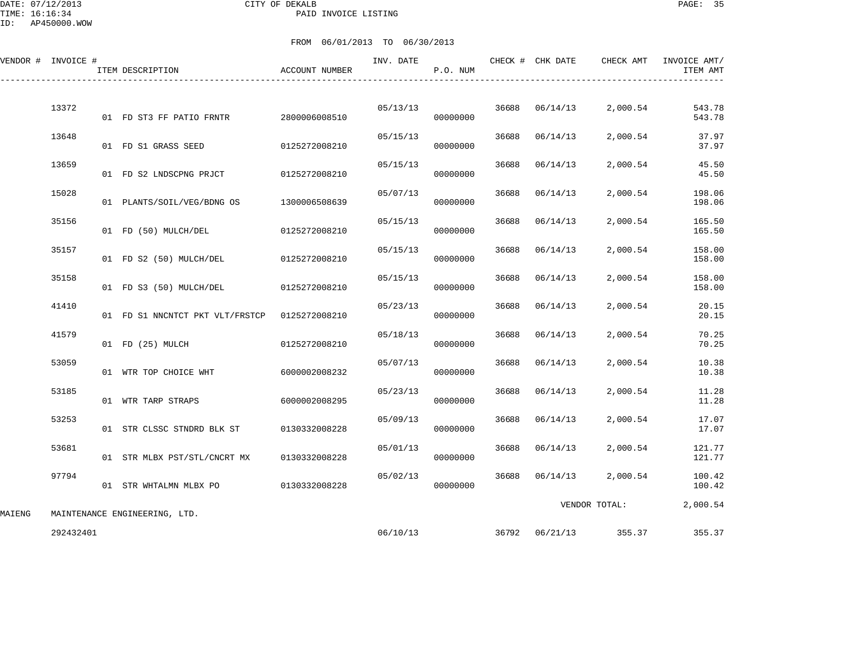DATE: 07/12/2013 CITY OF DEKALB PAGE: 35 PAID INVOICE LISTING

|        | VENDOR # INVOICE # | ITEM DESCRIPTION                | ACCOUNT NUMBER | INV. DATE | P.O. NUM |       | CHECK # CHK DATE | CHECK AMT     | INVOICE AMT/<br>ITEM AMT |
|--------|--------------------|---------------------------------|----------------|-----------|----------|-------|------------------|---------------|--------------------------|
|        | 13372              | 01 FD ST3 FF PATIO FRNTR        | 2800006008510  | 05/13/13  | 00000000 | 36688 | 06/14/13         | 2,000.54      | 543.78<br>543.78         |
|        | 13648              | 01 FD S1 GRASS SEED             | 0125272008210  | 05/15/13  | 00000000 | 36688 | 06/14/13         | 2,000.54      | 37.97<br>37.97           |
|        | 13659              | 01 FD S2 LNDSCPNG PRJCT         | 0125272008210  | 05/15/13  | 00000000 | 36688 | 06/14/13         | 2,000.54      | 45.50<br>45.50           |
|        | 15028              | 01 PLANTS/SOIL/VEG/BDNG OS      | 1300006508639  | 05/07/13  | 00000000 | 36688 | 06/14/13         | 2,000.54      | 198.06<br>198.06         |
|        | 35156              | 01 FD (50) MULCH/DEL            | 0125272008210  | 05/15/13  | 00000000 | 36688 | 06/14/13         | 2,000.54      | 165.50<br>165.50         |
|        | 35157              | 01 FD S2 (50) MULCH/DEL         | 0125272008210  | 05/15/13  | 00000000 | 36688 | 06/14/13         | 2,000.54      | 158.00<br>158.00         |
|        | 35158              | 01 FD S3 (50) MULCH/DEL         | 0125272008210  | 05/15/13  | 00000000 | 36688 | 06/14/13         | 2,000.54      | 158.00<br>158.00         |
|        | 41410              | 01 FD S1 NNCNTCT PKT VLT/FRSTCP | 0125272008210  | 05/23/13  | 00000000 | 36688 | 06/14/13         | 2,000.54      | 20.15<br>20.15           |
|        | 41579              | 01 FD (25) MULCH                | 0125272008210  | 05/18/13  | 00000000 | 36688 | 06/14/13         | 2,000.54      | 70.25<br>70.25           |
|        | 53059              | 01 WTR TOP CHOICE WHT           | 6000002008232  | 05/07/13  | 00000000 | 36688 | 06/14/13         | 2,000.54      | 10.38<br>10.38           |
|        | 53185              | 01 WTR TARP STRAPS              | 6000002008295  | 05/23/13  | 00000000 | 36688 | 06/14/13         | 2,000.54      | 11.28<br>11.28           |
|        | 53253              | 01 STR CLSSC STNDRD BLK ST      | 0130332008228  | 05/09/13  | 00000000 | 36688 | 06/14/13         | 2,000.54      | 17.07<br>17.07           |
|        | 53681              | 01 STR MLBX PST/STL/CNCRT MX    | 0130332008228  | 05/01/13  | 00000000 | 36688 | 06/14/13         | 2,000.54      | 121.77<br>121.77         |
|        | 97794              | 01 STR WHTALMN MLBX PO          | 0130332008228  | 05/02/13  | 00000000 | 36688 | 06/14/13         | 2,000.54      | 100.42<br>100.42         |
| MAIENG |                    | MAINTENANCE ENGINEERING, LTD.   |                |           |          |       |                  | VENDOR TOTAL: | 2,000.54                 |
|        | 292432401          |                                 |                | 06/10/13  |          |       | 36792 06/21/13   | 355.37        | 355.37                   |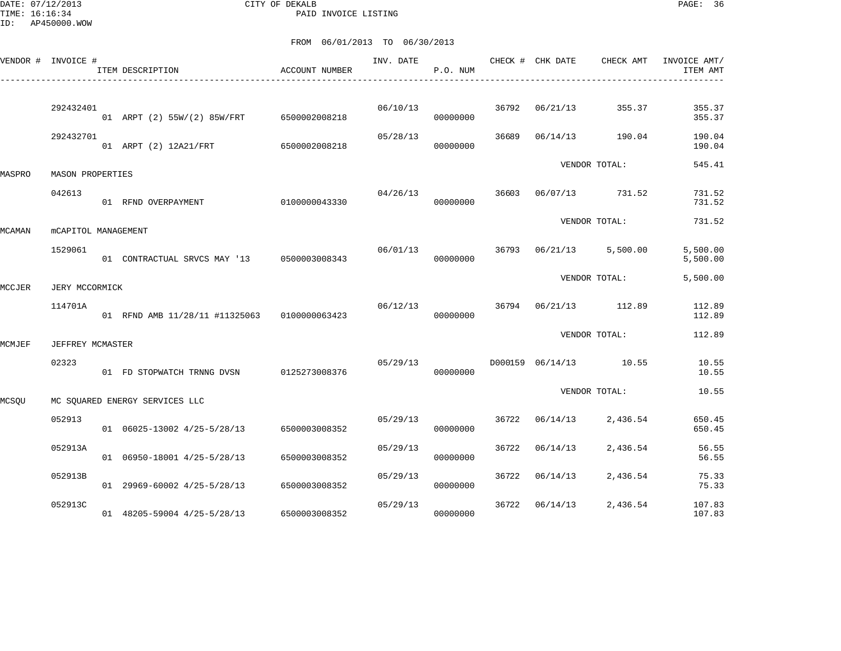DATE: 07/12/2013 CITY OF DEKALB PAGE: 36 PAID INVOICE LISTING

|        | VENDOR # INVOICE #         | ITEM DESCRIPTION                             | ACCOUNT NUMBER | INV. DATE | P.O. NUM |       | CHECK # CHK DATE | CHECK AMT               | INVOICE AMT/<br>ITEM AMT |
|--------|----------------------------|----------------------------------------------|----------------|-----------|----------|-------|------------------|-------------------------|--------------------------|
|        | 292432401                  | 01 ARPT (2) 55W/(2) 85W/FRT 6500002008218    |                | 06/10/13  | 00000000 |       | 36792 06/21/13   | 355.37                  | 355.37<br>355.37         |
|        | 292432701                  | 01 ARPT (2) 12A21/FRT 6500002008218          |                | 05/28/13  | 00000000 | 36689 | 06/14/13         | 190.04                  | 190.04<br>190.04         |
| MASPRO | <b>MASON PROPERTIES</b>    |                                              |                |           |          |       |                  | VENDOR TOTAL:           | 545.41                   |
|        | 042613                     | 01 RFND OVERPAYMENT                          | 0100000043330  | 04/26/13  | 00000000 | 36603 | 06/07/13         | 731.52                  | 731.52<br>731.52         |
| MCAMAN | <b>mCAPITOL MANAGEMENT</b> |                                              |                |           |          |       |                  | VENDOR TOTAL:           | 731.52                   |
|        | 1529061                    | 01 CONTRACTUAL SRVCS MAY '13 0500003008343   |                | 06/01/13  | 00000000 |       |                  | 36793 06/21/13 5,500.00 | 5,500.00<br>5,500.00     |
| MCCJER | JERY MCCORMICK             |                                              |                |           |          |       |                  | VENDOR TOTAL:           | 5,500.00                 |
|        | 114701A                    | 01 RFND AMB 11/28/11 #11325063 0100000063423 |                | 06/12/13  | 00000000 |       |                  | 36794 06/21/13 112.89   | 112.89<br>112.89         |
| MCMJEF | JEFFREY MCMASTER           |                                              |                |           |          |       |                  | VENDOR TOTAL:           | 112.89                   |
|        | 02323                      | 01 FD STOPWATCH TRNNG DVSN                   | 0125273008376  | 05/29/13  | 00000000 |       |                  | D000159 06/14/13 10.55  | 10.55<br>10.55           |
| MCSQU  |                            | MC SQUARED ENERGY SERVICES LLC               |                |           |          |       |                  | VENDOR TOTAL:           | 10.55                    |
|        | 052913                     | 01 06025-13002 4/25-5/28/13                  | 6500003008352  | 05/29/13  | 00000000 |       | 36722 06/14/13   | 2,436.54                | 650.45<br>650.45         |
|        | 052913A                    | 01 06950-18001 4/25-5/28/13                  | 6500003008352  | 05/29/13  | 00000000 | 36722 | 06/14/13         | 2,436.54                | 56.55<br>56.55           |
|        | 052913B                    | 01 29969-60002 4/25-5/28/13                  | 6500003008352  | 05/29/13  | 00000000 | 36722 | 06/14/13         | 2,436.54                | 75.33<br>75.33           |
|        | 052913C                    | 01 48205-59004 4/25-5/28/13                  | 6500003008352  | 05/29/13  | 00000000 | 36722 | 06/14/13         | 2,436.54                | 107.83<br>107.83         |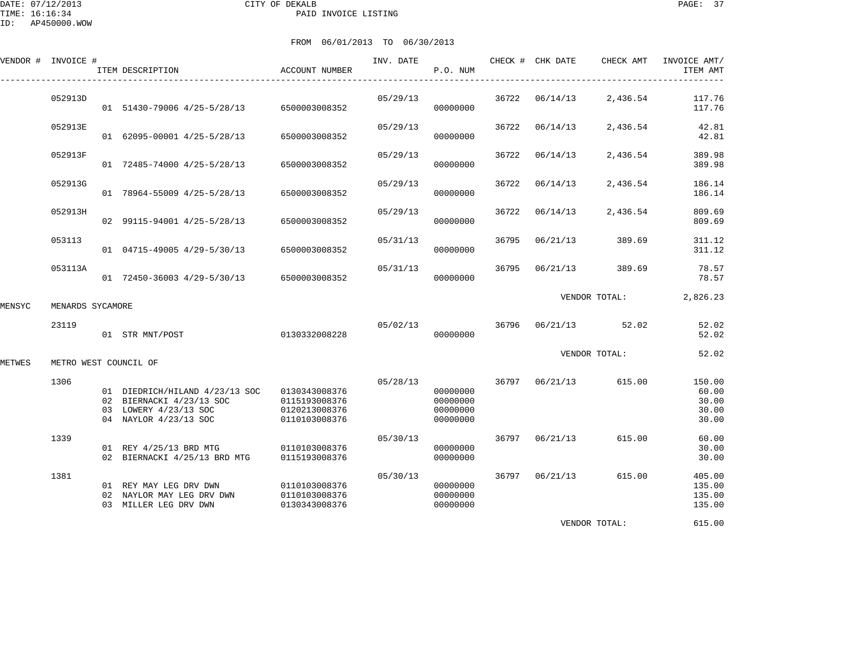|        | VENDOR # INVOICE # | ITEM DESCRIPTION                                                                                             | ACCOUNT NUMBER                                                   | INV. DATE | P.O. NUM                                     |       |                | CHECK # CHK DATE CHECK AMT | INVOICE AMT/<br>ITEM AMT                   |
|--------|--------------------|--------------------------------------------------------------------------------------------------------------|------------------------------------------------------------------|-----------|----------------------------------------------|-------|----------------|----------------------------|--------------------------------------------|
|        | 052913D            | 01 51430-79006 4/25-5/28/13                                                                                  | 6500003008352                                                    | 05/29/13  | 00000000                                     |       | 36722 06/14/13 | 2,436.54                   | 117.76<br>117.76                           |
|        | 052913E            | 01 62095-00001 4/25-5/28/13                                                                                  | 6500003008352                                                    | 05/29/13  | 00000000                                     | 36722 | 06/14/13       | 2,436.54                   | 42.81<br>42.81                             |
|        | 052913F            | 01 72485-74000 4/25-5/28/13                                                                                  | 6500003008352                                                    | 05/29/13  | 00000000                                     | 36722 | 06/14/13       | 2,436.54                   | 389.98<br>389.98                           |
|        | 052913G            | 01 78964-55009 4/25-5/28/13                                                                                  | 6500003008352                                                    | 05/29/13  | 00000000                                     | 36722 | 06/14/13       | 2,436.54                   | 186.14<br>186.14                           |
|        | 052913H            | 02 99115-94001 4/25-5/28/13                                                                                  | 6500003008352                                                    | 05/29/13  | 00000000                                     | 36722 | 06/14/13       | 2,436.54                   | 809.69<br>809.69                           |
|        | 053113             | 01 04715-49005 4/29-5/30/13                                                                                  | 6500003008352                                                    | 05/31/13  | 00000000                                     | 36795 | 06/21/13       | 389.69                     | 311.12<br>311.12                           |
|        | 053113A            | 01 72450-36003 4/29-5/30/13                                                                                  | 6500003008352                                                    | 05/31/13  | 00000000                                     | 36795 | 06/21/13       | 389.69                     | 78.57<br>78.57                             |
| MENSYC | MENARDS SYCAMORE   |                                                                                                              |                                                                  |           |                                              |       |                | VENDOR TOTAL:              | 2,826.23                                   |
|        | 23119              | 01 STR MNT/POST                                                                                              | 0130332008228                                                    |           | 05/02/13<br>00000000                         |       |                | 36796 06/21/13 52.02       | 52.02<br>52.02                             |
| METWES |                    | METRO WEST COUNCIL OF                                                                                        |                                                                  |           |                                              |       |                | VENDOR TOTAL:              | 52.02                                      |
|        | 1306               | 01 DIEDRICH/HILAND 4/23/13 SOC<br>02 BIERNACKI 4/23/13 SOC<br>03 LOWERY 4/23/13 SOC<br>04 NAYLOR 4/23/13 SOC | 0130343008376<br>0115193008376<br>0120213008376<br>0110103008376 | 05/28/13  | 00000000<br>00000000<br>00000000<br>00000000 | 36797 | 06/21/13       | 615.00                     | 150.00<br>60.00<br>30.00<br>30.00<br>30.00 |
|        | 1339               | 01 REY 4/25/13 BRD MTG<br>02 BIERNACKI 4/25/13 BRD MTG                                                       | 0110103008376<br>0115193008376                                   | 05/30/13  | 00000000<br>00000000                         |       | 36797 06/21/13 | 615.00                     | 60.00<br>30.00<br>30.00                    |
|        | 1381               | 01 REY MAY LEG DRV DWN<br>02 NAYLOR MAY LEG DRV DWN<br>03 MILLER LEG DRV DWN                                 | 0110103008376<br>0110103008376<br>0130343008376                  | 05/30/13  | 00000000<br>00000000<br>00000000             |       | 36797 06/21/13 | 615.00                     | 405.00<br>135.00<br>135.00<br>135.00       |

VENDOR TOTAL: 615.00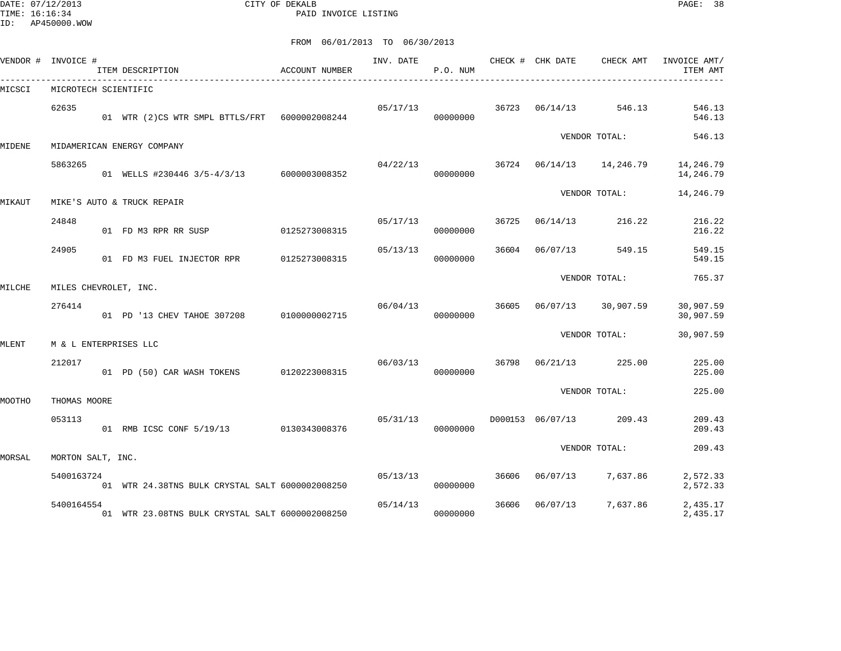DATE: 07/12/2013 CITY OF DEKALB PAGE: 38 PAID INVOICE LISTING

|        | VENDOR # INVOICE #    | ITEM DESCRIPTION                                | <b>ACCOUNT NUMBER</b> | INV. DATE | P.O. NUM |       | CHECK # CHK DATE | CHECK AMT                | INVOICE AMT/<br>ITEM AMT |
|--------|-----------------------|-------------------------------------------------|-----------------------|-----------|----------|-------|------------------|--------------------------|--------------------------|
| MICSCI | MICROTECH SCIENTIFIC  |                                                 |                       |           |          |       |                  |                          |                          |
|        | 62635                 | 01 WTR (2)CS WTR SMPL BTTLS/FRT 6000002008244   |                       | 05/17/13  | 00000000 |       | 36723 06/14/13   | 546.13                   | 546.13<br>546.13         |
| MIDENE |                       | MIDAMERICAN ENERGY COMPANY                      |                       |           |          |       |                  | VENDOR TOTAL:            | 546.13                   |
|        | 5863265               | 01 WELLS #230446 3/5-4/3/13 6000003008352       |                       | 04/22/13  | 00000000 |       |                  | 36724 06/14/13 14,246.79 | 14,246.79<br>14,246.79   |
| MIKAUT |                       | MIKE'S AUTO & TRUCK REPAIR                      |                       |           |          |       |                  | VENDOR TOTAL:            | 14,246.79                |
|        | 24848                 | 01 FD M3 RPR RR SUSP                            | 0125273008315         | 05/17/13  | 00000000 | 36725 | 06/14/13         | 216.22                   | 216.22<br>216.22         |
|        | 24905                 | 01 FD M3 FUEL INJECTOR RPR 0125273008315        |                       | 05/13/13  | 00000000 | 36604 | 06/07/13         | 549.15                   | 549.15<br>549.15         |
| MILCHE | MILES CHEVROLET, INC. |                                                 |                       |           |          |       |                  | VENDOR TOTAL:            | 765.37                   |
|        | 276414                | 01 PD '13 CHEV TAHOE 307208                     | 0100000002715         | 06/04/13  | 00000000 | 36605 | 06/07/13         | 30,907.59                | 30,907.59<br>30,907.59   |
| MLENT  | M & L ENTERPRISES LLC |                                                 |                       |           |          |       |                  | VENDOR TOTAL:            | 30,907.59                |
|        | 212017                | 01 PD (50) CAR WASH TOKENS                      | 0120223008315         | 06/03/13  | 00000000 |       | 36798 06/21/13   | 225.00                   | 225.00<br>225.00         |
| MOOTHO | THOMAS MOORE          |                                                 |                       |           |          |       |                  | VENDOR TOTAL:            | 225.00                   |
|        | 053113                | 01 RMB ICSC CONF 5/19/13 0130343008376          |                       | 05/31/13  | 00000000 |       | D000153 06/07/13 | 209.43                   | 209.43<br>209.43         |
| MORSAL | MORTON SALT, INC.     |                                                 |                       |           |          |       |                  | VENDOR TOTAL:            | 209.43                   |
|        | 5400163724            | 01 WTR 24.38TNS BULK CRYSTAL SALT 6000002008250 |                       | 05/13/13  | 00000000 | 36606 | 06/07/13         | 7,637.86                 | 2,572.33<br>2,572.33     |
|        | 5400164554            | 01 WTR 23.08TNS BULK CRYSTAL SALT 6000002008250 |                       | 05/14/13  | 00000000 | 36606 | 06/07/13         | 7,637.86                 | 2,435.17<br>2,435.17     |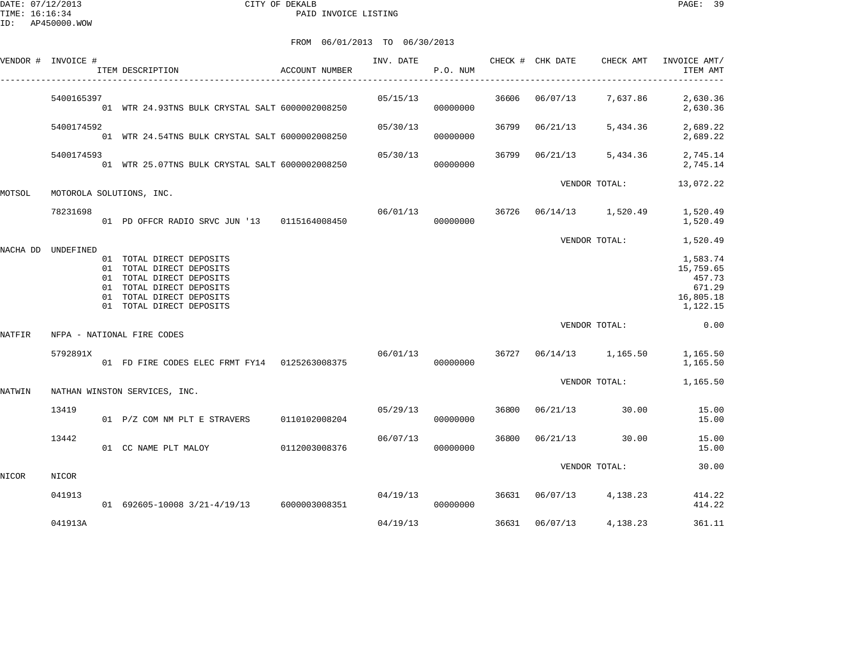DATE: 07/12/2013 CITY OF DEKALB PAGE: 39 PAID INVOICE LISTING

|        | VENDOR # INVOICE # | ITEM DESCRIPTION                                                                                                                                                     | ACCOUNT NUMBER | INV. DATE | CHECK # CHK DATE<br>P.O. NUM |       |          | CHECK AMT                 | INVOICE AMT/<br>ITEM AMT                                           |
|--------|--------------------|----------------------------------------------------------------------------------------------------------------------------------------------------------------------|----------------|-----------|------------------------------|-------|----------|---------------------------|--------------------------------------------------------------------|
|        | 5400165397         | 01 WTR 24.93TNS BULK CRYSTAL SALT 6000002008250                                                                                                                      |                | 05/15/13  | 00000000                     | 36606 |          | 06/07/13 7,637.86         | 2,630.36<br>2,630.36                                               |
|        | 5400174592         | 01 WTR 24.54TNS BULK CRYSTAL SALT 6000002008250                                                                                                                      |                | 05/30/13  | 00000000                     | 36799 | 06/21/13 | 5,434.36                  | 2,689.22<br>2,689.22                                               |
|        | 5400174593         | 01 WTR 25.07TNS BULK CRYSTAL SALT 6000002008250                                                                                                                      |                | 05/30/13  | 00000000                     | 36799 | 06/21/13 | 5,434.36                  | 2,745.14<br>2,745.14                                               |
| MOTSOL |                    | MOTOROLA SOLUTIONS, INC.                                                                                                                                             |                |           |                              |       |          | VENDOR TOTAL:             | 13,072.22                                                          |
|        | 78231698           | 01 PD OFFCR RADIO SRVC JUN '13 0115164008450                                                                                                                         |                | 06/01/13  | 00000000                     |       |          | 36726  06/14/13  1,520.49 | 1,520.49<br>1,520.49                                               |
|        |                    |                                                                                                                                                                      |                |           |                              |       |          | VENDOR TOTAL:             | 1,520.49                                                           |
|        | NACHA DD UNDEFINED | 01 TOTAL DIRECT DEPOSITS<br>01 TOTAL DIRECT DEPOSITS<br>01 TOTAL DIRECT DEPOSITS<br>01 TOTAL DIRECT DEPOSITS<br>01 TOTAL DIRECT DEPOSITS<br>01 TOTAL DIRECT DEPOSITS |                |           |                              |       |          |                           | 1,583.74<br>15,759.65<br>457.73<br>671.29<br>16,805.18<br>1,122.15 |
| NATFIR |                    | NFPA - NATIONAL FIRE CODES                                                                                                                                           |                |           |                              |       |          | VENDOR TOTAL:             | 0.00                                                               |
|        | 5792891X           | 01 FD FIRE CODES ELEC FRMT FY14 0125263008375                                                                                                                        |                | 06/01/13  | 00000000                     |       |          | 36727 06/14/13 1,165.50   | 1,165.50<br>1,165.50                                               |
| NATWIN |                    | NATHAN WINSTON SERVICES, INC.                                                                                                                                        |                |           |                              |       |          | VENDOR TOTAL:             | 1,165.50                                                           |
|        | 13419              | 01 P/Z COM NM PLT E STRAVERS                                                                                                                                         | 0110102008204  |           | 05/29/13<br>00000000         | 36800 |          | 06/21/13 30.00            | 15.00<br>15.00                                                     |
|        | 13442              | 01 CC NAME PLT MALOY                                                                                                                                                 | 0112003008376  | 06/07/13  | 00000000                     | 36800 | 06/21/13 | 30.00                     | 15.00<br>15.00                                                     |
|        | NICOR              |                                                                                                                                                                      |                |           |                              |       |          | VENDOR TOTAL:             | 30.00                                                              |
| NICOR  | 041913             | 01 692605-10008 3/21-4/19/13 6000003008351                                                                                                                           |                | 04/19/13  | 00000000                     |       |          | 36631 06/07/13 4,138.23   | 414.22<br>414.22                                                   |
|        | 041913A            |                                                                                                                                                                      |                | 04/19/13  |                              | 36631 | 06/07/13 | 4,138.23                  | 361.11                                                             |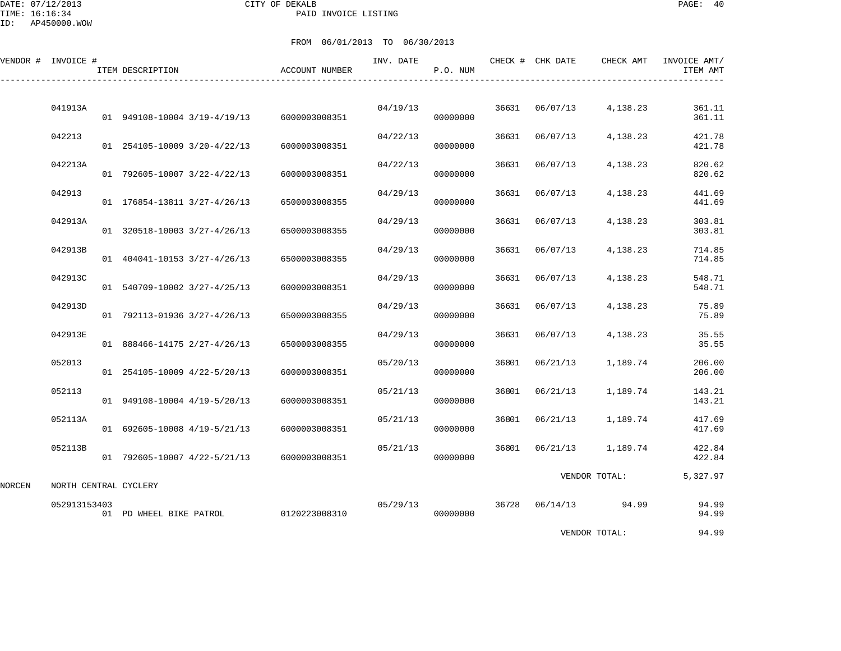DATE: 07/12/2013 CITY OF DEKALB PAGE: 40 PAID INVOICE LISTING

|        | VENDOR # INVOICE #    | ITEM DESCRIPTION             | <b>ACCOUNT NUMBER</b> | INV. DATE | P.O. NUM |       | CHECK # CHK DATE | CHECK AMT     | INVOICE AMT/<br>ITEM AMT |
|--------|-----------------------|------------------------------|-----------------------|-----------|----------|-------|------------------|---------------|--------------------------|
|        | 041913A               | 01 949108-10004 3/19-4/19/13 | 6000003008351         | 04/19/13  | 00000000 | 36631 | 06/07/13         | 4,138.23      | 361.11<br>361.11         |
|        | 042213                | 01 254105-10009 3/20-4/22/13 | 6000003008351         | 04/22/13  | 00000000 | 36631 | 06/07/13         | 4,138.23      | 421.78<br>421.78         |
|        | 042213A               | 01 792605-10007 3/22-4/22/13 | 6000003008351         | 04/22/13  | 00000000 | 36631 | 06/07/13         | 4,138.23      | 820.62<br>820.62         |
|        | 042913                | 01 176854-13811 3/27-4/26/13 | 6500003008355         | 04/29/13  | 00000000 | 36631 | 06/07/13         | 4,138.23      | 441.69<br>441.69         |
|        | 042913A               | 01 320518-10003 3/27-4/26/13 | 6500003008355         | 04/29/13  | 00000000 | 36631 | 06/07/13         | 4,138.23      | 303.81<br>303.81         |
|        | 042913B               | 01 404041-10153 3/27-4/26/13 | 6500003008355         | 04/29/13  | 00000000 | 36631 | 06/07/13         | 4,138.23      | 714.85<br>714.85         |
|        | 042913C               | 01 540709-10002 3/27-4/25/13 | 6000003008351         | 04/29/13  | 00000000 | 36631 | 06/07/13         | 4,138.23      | 548.71<br>548.71         |
|        | 042913D               | 01 792113-01936 3/27-4/26/13 | 6500003008355         | 04/29/13  | 00000000 | 36631 | 06/07/13         | 4,138.23      | 75.89<br>75.89           |
|        | 042913E               | 01 888466-14175 2/27-4/26/13 | 6500003008355         | 04/29/13  | 00000000 | 36631 | 06/07/13         | 4,138.23      | 35.55<br>35.55           |
|        | 052013                | 01 254105-10009 4/22-5/20/13 | 6000003008351         | 05/20/13  | 00000000 | 36801 | 06/21/13         | 1,189.74      | 206.00<br>206.00         |
|        | 052113                | 01 949108-10004 4/19-5/20/13 | 6000003008351         | 05/21/13  | 00000000 | 36801 | 06/21/13         | 1,189.74      | 143.21<br>143.21         |
|        | 052113A               | 01 692605-10008 4/19-5/21/13 | 6000003008351         | 05/21/13  | 00000000 | 36801 | 06/21/13         | 1,189.74      | 417.69<br>417.69         |
|        | 052113B               | 01 792605-10007 4/22-5/21/13 | 6000003008351         | 05/21/13  | 00000000 | 36801 | 06/21/13         | 1,189.74      | 422.84<br>422.84         |
| NORCEN | NORTH CENTRAL CYCLERY |                              |                       |           |          |       |                  | VENDOR TOTAL: | 5,327.97                 |
|        | 052913153403          | 01 PD WHEEL BIKE PATROL      | 0120223008310         | 05/29/13  | 00000000 | 36728 | 06/14/13         | 94.99         | 94.99<br>94.99           |
|        |                       |                              |                       |           |          |       |                  | VENDOR TOTAL: | 94.99                    |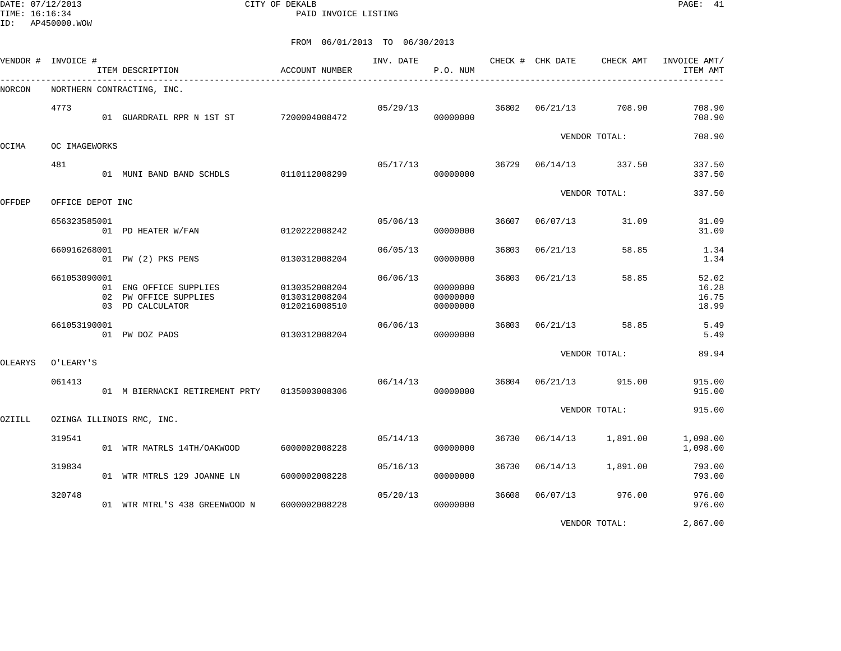DATE: 07/12/2013 CITY OF DEKALB PAGE: 41 PAID INVOICE LISTING

|         | VENDOR # INVOICE # | ITEM DESCRIPTION                                                    | <b>ACCOUNT NUMBER</b>                           | INV. DATE | P.O. NUM                         |       | CHECK # CHK DATE | CHECK AMT     | INVOICE AMT/<br>ITEM AMT         |
|---------|--------------------|---------------------------------------------------------------------|-------------------------------------------------|-----------|----------------------------------|-------|------------------|---------------|----------------------------------|
| NORCON  |                    | NORTHERN CONTRACTING, INC.                                          |                                                 |           |                                  |       |                  |               |                                  |
|         | 4773               | 01 GUARDRAIL RPR N 1ST ST 7200004008472                             |                                                 | 05/29/13  | 00000000                         | 36802 | 06/21/13         | 708.90        | 708.90<br>708.90                 |
| OCIMA   | OC IMAGEWORKS      |                                                                     |                                                 |           |                                  |       |                  | VENDOR TOTAL: | 708.90                           |
|         | 481                | 01 MUNI BAND BAND SCHDLS 0110112008299                              |                                                 | 05/17/13  | 00000000                         | 36729 | 06/14/13         | 337.50        | 337.50<br>337.50                 |
| OFFDEP  | OFFICE DEPOT INC   |                                                                     |                                                 |           |                                  |       |                  | VENDOR TOTAL: | 337.50                           |
|         | 656323585001       | 01 PD HEATER W/FAN                                                  | 0120222008242                                   | 05/06/13  | 00000000                         | 36607 | 06/07/13         | 31.09         | 31.09<br>31.09                   |
|         | 660916268001       | 01 PW (2) PKS PENS                                                  | 0130312008204                                   | 06/05/13  | 00000000                         | 36803 | 06/21/13         | 58.85         | 1.34<br>1.34                     |
|         | 661053090001       | 01 ENG OFFICE SUPPLIES<br>02 PW OFFICE SUPPLIES<br>03 PD CALCULATOR | 0130352008204<br>0130312008204<br>0120216008510 | 06/06/13  | 00000000<br>00000000<br>00000000 | 36803 | 06/21/13         | 58.85         | 52.02<br>16.28<br>16.75<br>18.99 |
|         | 661053190001       | 01 PW DOZ PADS                                                      | 0130312008204                                   | 06/06/13  | 00000000                         | 36803 | 06/21/13         | 58.85         | 5.49<br>5.49                     |
| OLEARYS | O'LEARY'S          |                                                                     |                                                 |           |                                  |       |                  | VENDOR TOTAL: | 89.94                            |
|         | 061413             | 01 M BIERNACKI RETIREMENT PRTY                                      | 0135003008306                                   | 06/14/13  | 00000000                         | 36804 | 06/21/13         | 915.00        | 915.00<br>915.00                 |
| OZIILL  |                    | OZINGA ILLINOIS RMC, INC.                                           |                                                 |           |                                  |       |                  | VENDOR TOTAL: | 915.00                           |
|         | 319541             | 01 WTR MATRLS 14TH/OAKWOOD                                          | 6000002008228                                   | 05/14/13  | 00000000                         | 36730 | 06/14/13         | 1,891.00      | 1,098.00<br>1,098.00             |
|         | 319834             | 01 WTR MTRLS 129 JOANNE LN                                          | 6000002008228                                   | 05/16/13  | 00000000                         | 36730 | 06/14/13         | 1,891.00      | 793.00<br>793.00                 |
|         | 320748             | 01 WTR MTRL'S 438 GREENWOOD N                                       | 6000002008228                                   | 05/20/13  | 00000000                         | 36608 | 06/07/13         | 976.00        | 976.00<br>976.00                 |
|         |                    |                                                                     |                                                 |           |                                  |       |                  | VENDOR TOTAL: | 2,867.00                         |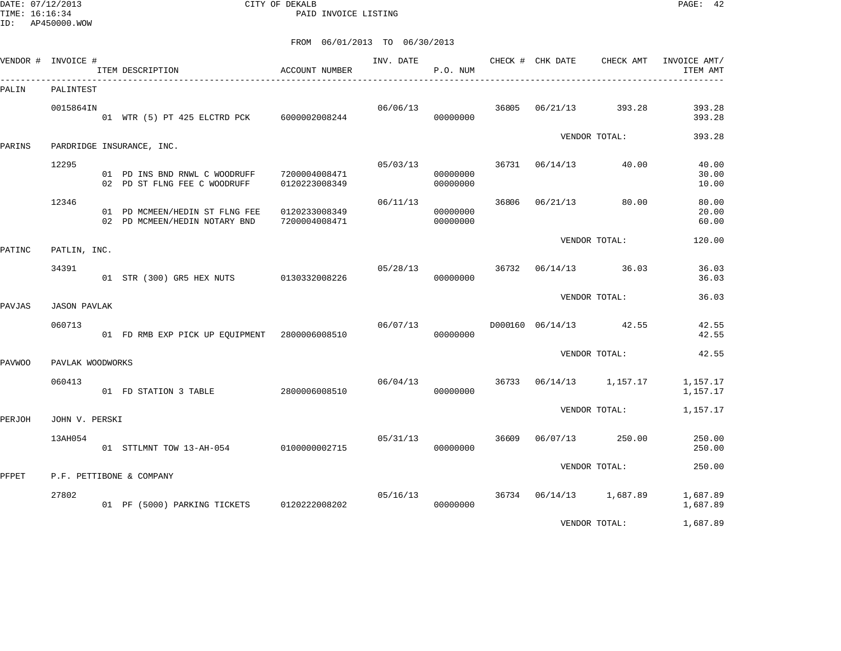DATE: 07/12/2013 CITY OF DEKALB PAGE: 42 PAID INVOICE LISTING

|        | VENDOR # INVOICE #  | ITEM DESCRIPTION                                                | ACCOUNT NUMBER                 | INV. DATE | P.O. NUM             |       | CHECK # CHK DATE | CHECK AMT              | INVOICE AMT/<br>ITEM AMT |
|--------|---------------------|-----------------------------------------------------------------|--------------------------------|-----------|----------------------|-------|------------------|------------------------|--------------------------|
| PALIN  | PALINTEST           |                                                                 |                                |           |                      |       |                  |                        |                          |
|        | 0015864IN           | 01 WTR (5) PT 425 ELCTRD PCK 6000002008244                      |                                | 06/06/13  | 00000000             | 36805 | 06/21/13         | 393.28                 | 393.28<br>393.28         |
| PARINS |                     | PARDRIDGE INSURANCE, INC.                                       |                                |           |                      |       |                  | VENDOR TOTAL:          | 393.28                   |
|        | 12295               | 01 PD INS BND RNWL C WOODRUFF<br>02 PD ST FLNG FEE C WOODRUFF   | 7200004008471<br>0120223008349 | 05/03/13  | 00000000<br>00000000 | 36731 | 06/14/13         | 40.00                  | 40.00<br>30.00<br>10.00  |
|        | 12346               | 01 PD MCMEEN/HEDIN ST FLNG FEE<br>02 PD MCMEEN/HEDIN NOTARY BND | 0120233008349<br>7200004008471 | 06/11/13  | 00000000<br>00000000 | 36806 | 06/21/13         | 80.00                  | 80.00<br>20.00<br>60.00  |
| PATINC | PATLIN, INC.        |                                                                 |                                |           |                      |       |                  | VENDOR TOTAL:          | 120.00                   |
|        | 34391               | 01 STR (300) GR5 HEX NUTS 0130332008226                         |                                | 05/28/13  | 00000000             |       |                  | 36732 06/14/13 36.03   | 36.03<br>36.03           |
| PAVJAS | <b>JASON PAVLAK</b> |                                                                 |                                |           |                      |       |                  | VENDOR TOTAL:          | 36.03                    |
|        | 060713              | 01 FD RMB EXP PICK UP EQUIPMENT 2800006008510                   |                                | 06/07/13  | 00000000             |       |                  | D000160 06/14/13 42.55 | 42.55<br>42.55           |
| PAVWOO | PAVLAK WOODWORKS    |                                                                 |                                |           |                      |       |                  | VENDOR TOTAL:          | 42.55                    |
|        | 060413              | 01 FD STATION 3 TABLE                                           | 2800006008510                  | 06/04/13  | 00000000             | 36733 |                  | 06/14/13 1,157.17      | 1,157.17<br>1,157.17     |
| PERJOH | JOHN V. PERSKI      |                                                                 |                                |           |                      |       |                  | VENDOR TOTAL:          | 1,157.17                 |
|        | 13AH054             | 01 STTLMNT TOW 13-AH-054 0100000002715                          |                                | 05/31/13  | 00000000             | 36609 | 06/07/13         | 250.00                 | 250.00<br>250.00         |
| PFPET  |                     | P.F. PETTIBONE & COMPANY                                        |                                |           |                      |       |                  | VENDOR TOTAL:          | 250.00                   |
|        | 27802               | 01 PF (5000) PARKING TICKETS 0120222008202                      |                                | 05/16/13  | 00000000             | 36734 |                  | 06/14/13 1,687.89      | 1,687.89<br>1,687.89     |
|        |                     |                                                                 |                                |           |                      |       |                  | VENDOR TOTAL:          | 1,687.89                 |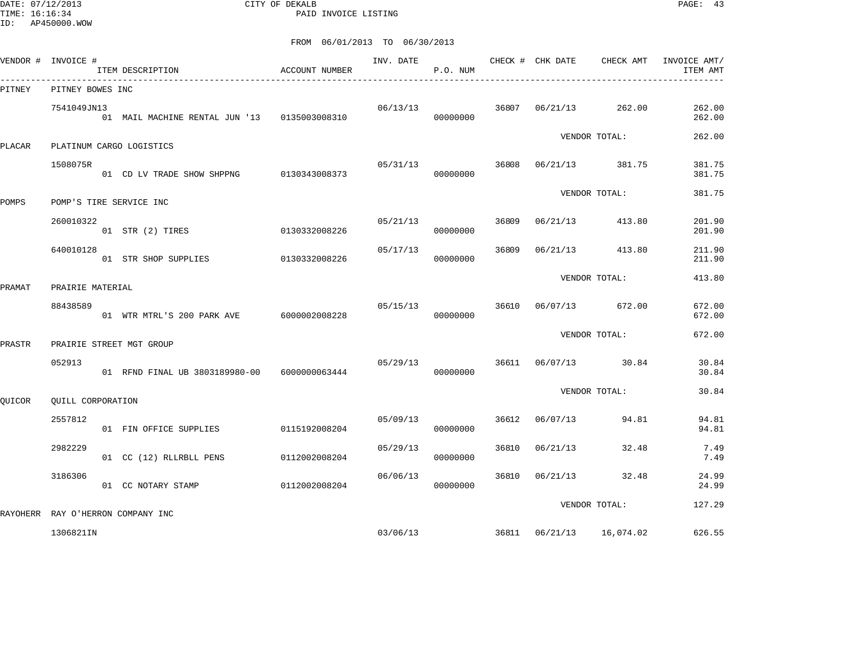DATE: 07/12/2013 CITY OF DEKALB PAGE: 43 PAID INVOICE LISTING

|        | VENDOR # INVOICE # | ITEM DESCRIPTION                              | ACCOUNT NUMBER | INV. DATE | P.O. NUM             |       |          | CHECK # CHK DATE CHECK AMT | INVOICE AMT/<br>ITEM AMT |
|--------|--------------------|-----------------------------------------------|----------------|-----------|----------------------|-------|----------|----------------------------|--------------------------|
| PITNEY | PITNEY BOWES INC   |                                               |                |           |                      |       |          |                            |                          |
|        | 7541049JN13        | 01 MAIL MACHINE RENTAL JUN '13  0135003008310 |                |           | 06/13/13<br>00000000 |       |          | 36807 06/21/13 262.00      | 262.00<br>262.00         |
| PLACAR |                    | PLATINUM CARGO LOGISTICS                      |                |           |                      |       |          | VENDOR TOTAL:              | 262.00                   |
|        | 1508075R           | 01 CD LV TRADE SHOW SHPPNG 0130343008373      |                | 05/31/13  | 00000000             | 36808 |          | 06/21/13 381.75            | 381.75<br>381.75         |
| POMPS  |                    | POMP'S TIRE SERVICE INC                       |                |           |                      |       |          | VENDOR TOTAL:              | 381.75                   |
|        | 260010322          | 01 STR (2) TIRES                              | 0130332008226  | 05/21/13  | 00000000             | 36809 |          | 06/21/13 413.80            | 201.90<br>201.90         |
|        | 640010128          | 01 STR SHOP SUPPLIES                          | 0130332008226  | 05/17/13  | 00000000             | 36809 |          | 06/21/13 413.80            | 211.90<br>211.90         |
| PRAMAT | PRAIRIE MATERIAL   |                                               |                |           |                      |       |          | VENDOR TOTAL:              | 413.80                   |
|        | 88438589           | 01 WTR MTRL'S 200 PARK AVE                    | 6000002008228  | 05/15/13  | 00000000             | 36610 |          | 06/07/13 672.00            | 672.00<br>672.00         |
| PRASTR |                    | PRAIRIE STREET MGT GROUP                      |                |           |                      |       |          | VENDOR TOTAL:              | 672.00                   |
|        | 052913             | 01 RFND FINAL UB 3803189980-00 6000000063444  |                | 05/29/13  | 00000000             |       |          | 36611 06/07/13 30.84       | 30.84<br>30.84           |
| QUICOR | QUILL CORPORATION  |                                               |                |           |                      |       |          | VENDOR TOTAL:              | 30.84                    |
|        | 2557812            | 01 FIN OFFICE SUPPLIES                        | 0115192008204  | 05/09/13  | 00000000             | 36612 | 06/07/13 | 94.81                      | 94.81<br>94.81           |
|        | 2982229            | 01 CC (12) RLLRBLL PENS                       | 0112002008204  | 05/29/13  | 00000000             | 36810 | 06/21/13 | 32.48                      | 7.49<br>7.49             |
|        | 3186306            | 01 CC NOTARY STAMP                            | 0112002008204  | 06/06/13  | 00000000             | 36810 | 06/21/13 | 32.48                      | 24.99<br>24.99           |
|        |                    | RAYOHERR RAY O'HERRON COMPANY INC             |                |           |                      |       |          | VENDOR TOTAL:              | 127.29                   |
|        | 1306821IN          |                                               |                |           | 03/06/13             | 36811 |          | 06/21/13 16,074.02         | 626.55                   |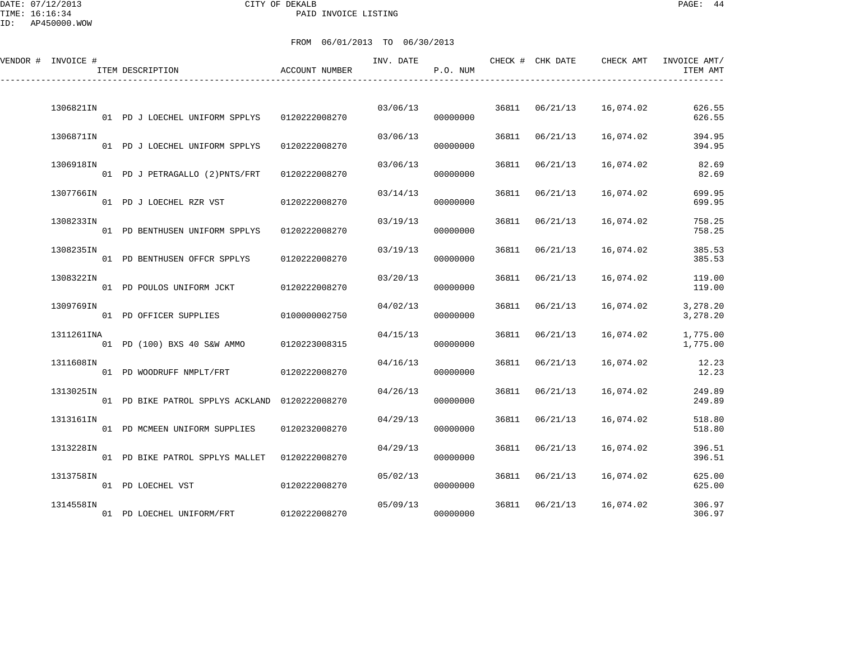DATE: 07/12/2013 CITY OF DEKALB PAGE: 44 PAID INVOICE LISTING

| VENDOR # INVOICE # | ITEM DESCRIPTION                               | <b>ACCOUNT NUMBER</b> | INV. DATE | P.O. NUM |       | CHECK # CHK DATE | CHECK AMT | INVOICE AMT/<br>ITEM AMT |
|--------------------|------------------------------------------------|-----------------------|-----------|----------|-------|------------------|-----------|--------------------------|
| 1306821IN          | 01 PD J LOECHEL UNIFORM SPPLYS                 | 0120222008270         | 03/06/13  | 00000000 |       | 36811 06/21/13   | 16,074.02 | 626.55<br>626.55         |
| 1306871IN          | 01 PD J LOECHEL UNIFORM SPPLYS                 | 0120222008270         | 03/06/13  | 00000000 |       | 36811 06/21/13   | 16,074.02 | 394.95<br>394.95         |
| 1306918IN          | 01 PD J PETRAGALLO (2) PNTS/FRT                | 0120222008270         | 03/06/13  | 00000000 |       | 36811 06/21/13   | 16,074.02 | 82.69<br>82.69           |
| 1307766IN          | 01 PD J LOECHEL RZR VST                        | 0120222008270         | 03/14/13  | 00000000 | 36811 | 06/21/13         | 16,074.02 | 699.95<br>699.95         |
| 1308233IN          | 01 PD BENTHUSEN UNIFORM SPPLYS                 | 0120222008270         | 03/19/13  | 00000000 | 36811 | 06/21/13         | 16,074.02 | 758.25<br>758.25         |
| 1308235IN          | 01 PD BENTHUSEN OFFCR SPPLYS                   | 0120222008270         | 03/19/13  | 00000000 | 36811 | 06/21/13         | 16,074.02 | 385.53<br>385.53         |
| 1308322IN          | 01 PD POULOS UNIFORM JCKT                      | 0120222008270         | 03/20/13  | 00000000 | 36811 | 06/21/13         | 16,074.02 | 119.00<br>119.00         |
| 1309769IN          | 01 PD OFFICER SUPPLIES                         | 0100000002750         | 04/02/13  | 00000000 | 36811 | 06/21/13         | 16,074.02 | 3,278.20<br>3,278.20     |
| 1311261INA         | 01 PD (100) BXS 40 S&W AMMO                    | 0120223008315         | 04/15/13  | 00000000 | 36811 | 06/21/13         | 16,074.02 | 1,775.00<br>1,775.00     |
| 1311608IN          | 01 PD WOODRUFF NMPLT/FRT                       | 0120222008270         | 04/16/13  | 00000000 | 36811 | 06/21/13         | 16,074.02 | 12.23<br>12.23           |
| 1313025IN          | 01 PD BIKE PATROL SPPLYS ACKLAND 0120222008270 |                       | 04/26/13  | 00000000 | 36811 | 06/21/13         | 16,074.02 | 249.89<br>249.89         |
| 1313161IN          | 01 PD MCMEEN UNIFORM SUPPLIES                  | 0120232008270         | 04/29/13  | 00000000 | 36811 | 06/21/13         | 16,074.02 | 518.80<br>518.80         |
| 1313228IN          | 01 PD BIKE PATROL SPPLYS MALLET                | 0120222008270         | 04/29/13  | 00000000 | 36811 | 06/21/13         | 16,074.02 | 396.51<br>396.51         |
| 1313758IN          | 01 PD LOECHEL VST                              | 0120222008270         | 05/02/13  | 00000000 |       | 36811 06/21/13   | 16,074.02 | 625.00<br>625.00         |
| 1314558IN          | 01 PD LOECHEL UNIFORM/FRT                      | 0120222008270         | 05/09/13  | 00000000 |       | 36811 06/21/13   | 16,074.02 | 306.97<br>306.97         |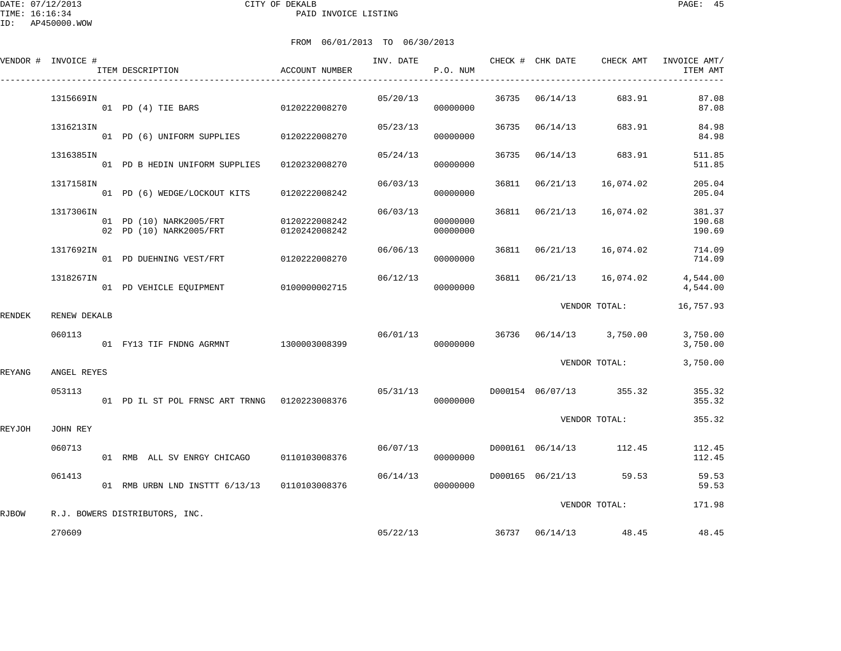DATE: 07/12/2013 CITY OF DEKALB PAGE: 45 PAID INVOICE LISTING

|        | VENDOR # INVOICE # | ITEM DESCRIPTION                                   | ACCOUNT NUMBER                 | INV. DATE | P.O. NUM             |       | CHECK # CHK DATE | CHECK AMT               | INVOICE AMT/<br>ITEM AMT   |
|--------|--------------------|----------------------------------------------------|--------------------------------|-----------|----------------------|-------|------------------|-------------------------|----------------------------|
|        | 1315669IN          | 01 PD (4) TIE BARS                                 | 0120222008270                  | 05/20/13  | 00000000             | 36735 | 06/14/13         | 683.91                  | 87.08<br>87.08             |
|        | 1316213IN          | 01 PD (6) UNIFORM SUPPLIES 0120222008270           |                                | 05/23/13  | 00000000             | 36735 | 06/14/13         | 683.91                  | 84.98<br>84.98             |
|        | 1316385IN          | 01 PD B HEDIN UNIFORM SUPPLIES                     | 0120232008270                  | 05/24/13  | 00000000             | 36735 | 06/14/13         | 683.91                  | 511.85<br>511.85           |
|        | 1317158IN          | 01 PD (6) WEDGE/LOCKOUT KITS                       | 0120222008242                  | 06/03/13  | 00000000             | 36811 | 06/21/13         | 16,074.02               | 205.04<br>205.04           |
|        | 1317306IN          | 01 PD (10) NARK2005/FRT<br>02 PD (10) NARK2005/FRT | 0120222008242<br>0120242008242 | 06/03/13  | 00000000<br>00000000 | 36811 | 06/21/13         | 16,074.02               | 381.37<br>190.68<br>190.69 |
|        | 1317692IN          | 01 PD DUEHNING VEST/FRT                            | 0120222008270                  | 06/06/13  | 00000000             | 36811 | 06/21/13         | 16,074.02               | 714.09<br>714.09           |
|        | 1318267IN          | 01 PD VEHICLE EQUIPMENT                            | 0100000002715                  | 06/12/13  | 00000000             | 36811 | 06/21/13         | 16,074.02               | 4,544.00<br>4,544.00       |
| RENDEK | RENEW DEKALB       |                                                    |                                |           |                      |       |                  | VENDOR TOTAL:           | 16,757.93                  |
|        | 060113             | 01 FY13 TIF FNDNG AGRMNT 1300003008399             |                                | 06/01/13  | 00000000             |       |                  | 36736 06/14/13 3,750.00 | 3,750.00<br>3,750.00       |
| REYANG | ANGEL REYES        |                                                    |                                |           |                      |       |                  | VENDOR TOTAL:           | 3,750.00                   |
|        | 053113             | 01 PD IL ST POL FRNSC ART TRNNG 0120223008376      |                                | 05/31/13  | 00000000             |       |                  | D000154 06/07/13 355.32 | 355.32<br>355.32           |
| REYJOH | JOHN REY           |                                                    |                                |           |                      |       |                  | VENDOR TOTAL:           | 355.32                     |
|        | 060713             | 01 RMB ALL SV ENRGY CHICAGO                        | 0110103008376                  | 06/07/13  | 00000000             |       | D000161 06/14/13 | 112.45                  | 112.45<br>112.45           |
|        | 061413             | 01 RMB URBN LND INSTTT 6/13/13 0110103008376       |                                | 06/14/13  | 00000000             |       | D000165 06/21/13 | 59.53                   | 59.53<br>59.53             |
| RJBOW  |                    | R.J. BOWERS DISTRIBUTORS, INC.                     |                                |           |                      |       |                  | VENDOR TOTAL:           | 171.98                     |
|        | 270609             |                                                    |                                | 05/22/13  |                      |       |                  | 36737 06/14/13 48.45    | 48.45                      |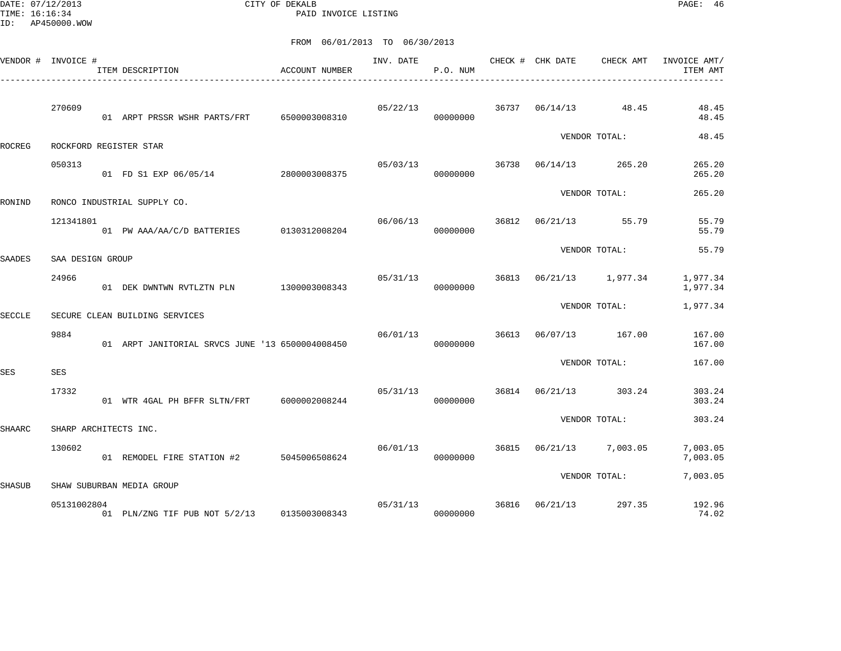DATE: 07/12/2013 CITY OF DEKALB PAGE: 46 PAID INVOICE LISTING

|               | VENDOR # INVOICE #    | ACCOUNT NUMBER<br>ITEM DESCRIPTION<br>--------------------------------- |               | INV. DATE | P.O. NUM |       | CHECK # CHK DATE     | CHECK AMT     | INVOICE AMT/<br>ITEM AMT |
|---------------|-----------------------|-------------------------------------------------------------------------|---------------|-----------|----------|-------|----------------------|---------------|--------------------------|
|               | 270609                | 01 ARPT PRSSR WSHR PARTS/FRT                                            | 6500003008310 | 05/22/13  | 00000000 |       | 36737 06/14/13 48.45 |               | 48.45<br>48.45           |
| ROCREG        |                       | ROCKFORD REGISTER STAR                                                  |               |           |          |       |                      | VENDOR TOTAL: | 48.45                    |
|               | 050313                | 01 FD S1 EXP 06/05/14 2800003008375                                     |               | 05/03/13  | 00000000 | 36738 | 06/14/13             | 265.20        | 265.20<br>265.20         |
| RONIND        |                       | RONCO INDUSTRIAL SUPPLY CO.                                             |               |           |          |       |                      | VENDOR TOTAL: | 265.20                   |
|               | 121341801             | 01 PW AAA/AA/C/D BATTERIES 0130312008204                                |               | 06/06/13  | 00000000 | 36812 | 06/21/13             | 55.79         | 55.79<br>55.79           |
| SAADES        | SAA DESIGN GROUP      |                                                                         |               |           |          |       |                      | VENDOR TOTAL: | 55.79                    |
|               | 24966                 | 01 DEK DWNTWN RVTLZTN PLN 1300003008343                                 |               | 05/31/13  | 00000000 | 36813 | 06/21/13 1,977.34    |               | 1,977.34<br>1,977.34     |
| SECCLE        |                       | SECURE CLEAN BUILDING SERVICES                                          |               |           |          |       |                      | VENDOR TOTAL: | 1,977.34                 |
|               | 9884                  | 01 ARPT JANITORIAL SRVCS JUNE '13 6500004008450                         |               | 06/01/13  | 00000000 | 36613 | 06/07/13 167.00      |               | 167.00<br>167.00         |
| SES           | <b>SES</b>            |                                                                         |               |           |          |       |                      | VENDOR TOTAL: | 167.00                   |
|               | 17332                 | 01 WTR 4GAL PH BFFR SLTN/FRT 6000002008244                              |               | 05/31/13  | 00000000 | 36814 | 06/21/13             | 303.24        | 303.24<br>303.24         |
| SHAARC        | SHARP ARCHITECTS INC. |                                                                         |               |           |          |       |                      | VENDOR TOTAL: | 303.24                   |
|               | 130602                | 01 REMODEL FIRE STATION #2 5045006508624                                |               | 06/01/13  | 00000000 | 36815 | 06/21/13 7,003.05    |               | 7,003.05<br>7,003.05     |
| <b>SHASUB</b> |                       | SHAW SUBURBAN MEDIA GROUP                                               |               |           |          |       |                      | VENDOR TOTAL: | 7,003.05                 |
|               | 05131002804           | 01 PLN/ZNG TIF PUB NOT 5/2/13 0135003008343                             |               | 05/31/13  | 00000000 | 36816 | 06/21/13             | 297.35        | 192.96<br>74.02          |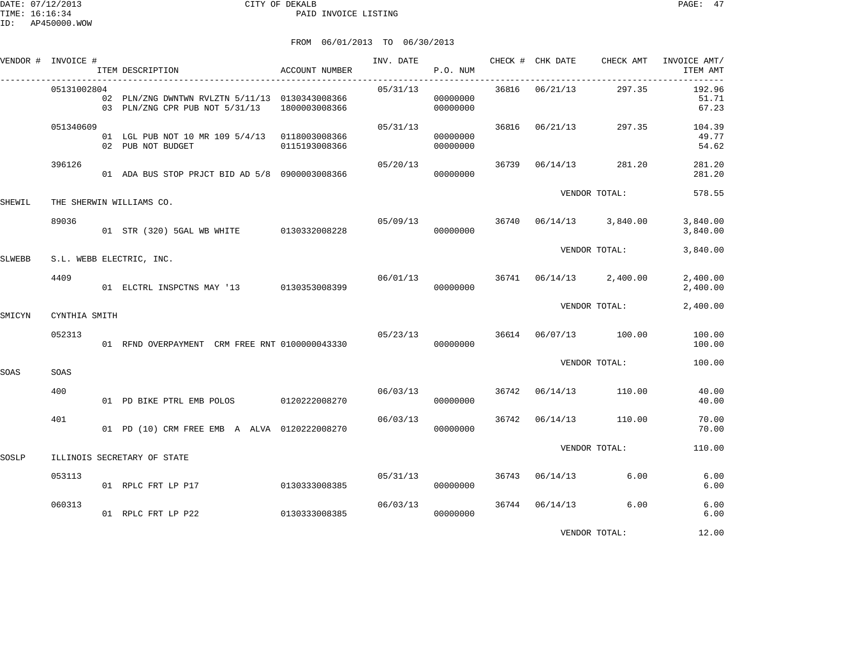|        | VENDOR # INVOICE # | ITEM DESCRIPTION                                                                               | ACCOUNT NUMBER | INV. DATE | P.O. NUM             |       | CHECK # CHK DATE | CHECK AMT                   | INVOICE AMT/<br>ITEM AMT |
|--------|--------------------|------------------------------------------------------------------------------------------------|----------------|-----------|----------------------|-------|------------------|-----------------------------|--------------------------|
|        | 05131002804        | 02 PLN/ZNG DWNTWN RVLZTN 5/11/13 0130343008366<br>03 PLN/ZNG CPR PUB NOT 5/31/13 1800003008366 |                | 05/31/13  | 00000000<br>00000000 |       | 36816 06/21/13   | 297.35                      | 192.96<br>51.71<br>67.23 |
|        | 051340609          | 01 LGL PUB NOT 10 MR 109 5/4/13 0118003008366<br>02 PUB NOT BUDGET                             | 0115193008366  | 05/31/13  | 00000000<br>00000000 |       | 36816 06/21/13   | 297.35                      | 104.39<br>49.77<br>54.62 |
|        | 396126             | 01 ADA BUS STOP PRJCT BID AD 5/8 0900003008366                                                 |                | 05/20/13  | 00000000             | 36739 | 06/14/13         | 281.20                      | 281.20<br>281.20         |
| SHEWIL |                    | THE SHERWIN WILLIAMS CO.                                                                       |                |           |                      |       |                  | VENDOR TOTAL:               | 578.55                   |
|        | 89036              | 01 STR (320) 5GAL WB WHITE 0130332008228                                                       |                | 05/09/13  | 00000000             | 36740 |                  | 06/14/13 3,840.00           | 3,840.00<br>3,840.00     |
| SLWEBB |                    | S.L. WEBB ELECTRIC, INC.                                                                       |                |           |                      |       |                  | VENDOR TOTAL:               | 3,840.00                 |
|        | 4409               | 01 ELCTRL INSPCTNS MAY '13 0130353008399                                                       |                | 06/01/13  | 00000000             |       |                  | $36741$ $06/14/13$ 2,400.00 | 2,400.00<br>2,400.00     |
| SMICYN | CYNTHIA SMITH      |                                                                                                |                |           |                      |       |                  | VENDOR TOTAL:               | 2,400.00                 |
|        | 052313             | 01 RFND OVERPAYMENT CRM FREE RNT 0100000043330                                                 |                | 05/23/13  | 00000000             |       |                  | 36614 06/07/13 100.00       | 100.00<br>100.00         |
| SOAS   | SOAS               |                                                                                                |                |           |                      |       |                  | VENDOR TOTAL:               | 100.00                   |
|        | 400                | 01 PD BIKE PTRL EMB POLOS 0120222008270                                                        |                | 06/03/13  | 00000000             | 36742 | 06/14/13         | 110.00                      | 40.00<br>40.00           |
|        | 401                | 01 PD (10) CRM FREE EMB A ALVA 0120222008270                                                   |                | 06/03/13  | 00000000             | 36742 | 06/14/13         | 110.00                      | 70.00<br>70.00           |
| SOSLP  |                    | ILLINOIS SECRETARY OF STATE                                                                    |                |           |                      |       |                  | VENDOR TOTAL:               | 110.00                   |
|        | 053113             | 01 RPLC FRT LP P17                                                                             | 0130333008385  | 05/31/13  | 00000000             |       | 36743 06/14/13   | 6.00                        | 6.00<br>6.00             |
|        | 060313             | 01 RPLC FRT LP P22                                                                             | 0130333008385  | 06/03/13  | 00000000             |       |                  | 36744 06/14/13 6.00         | 6.00<br>6.00             |
|        |                    |                                                                                                |                |           |                      |       |                  | VENDOR TOTAL:               | 12.00                    |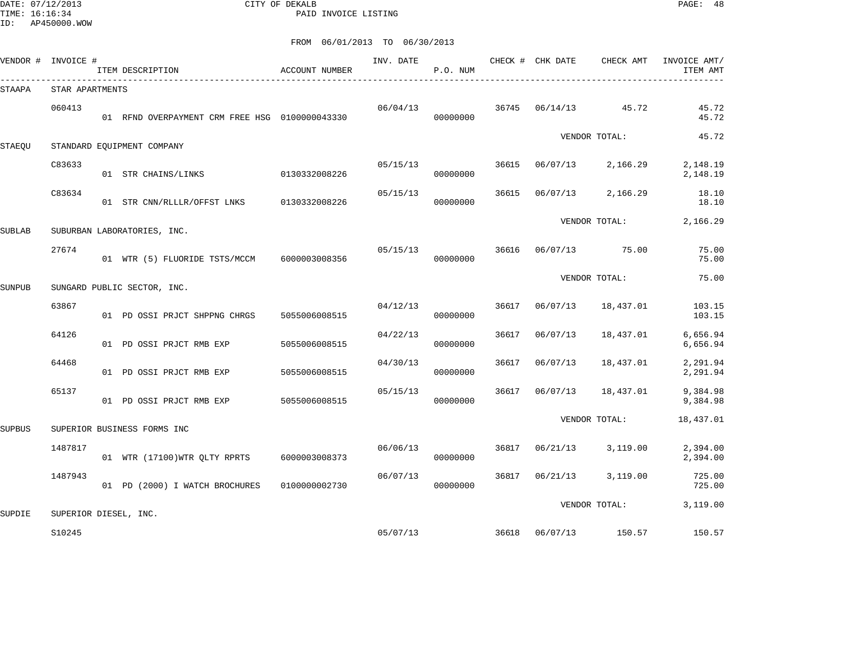DATE: 07/12/2013 CITY OF DEKALB PAGE: 48 PAID INVOICE LISTING

| VENDOR #      | INVOICE #             | ITEM DESCRIPTION                               | ACCOUNT NUMBER | INV. DATE | P.O. NUM |       | CHECK # CHK DATE | CHECK AMT     | INVOICE AMT/<br>ITEM AMT |
|---------------|-----------------------|------------------------------------------------|----------------|-----------|----------|-------|------------------|---------------|--------------------------|
| <b>STAAPA</b> | STAR APARTMENTS       |                                                |                |           |          |       |                  |               |                          |
|               | 060413                | 01 RFND OVERPAYMENT CRM FREE HSG 0100000043330 |                | 06/04/13  | 00000000 |       | 36745 06/14/13   | 45.72         | 45.72<br>45.72           |
| STAEQU        |                       | STANDARD EQUIPMENT COMPANY                     |                |           |          |       |                  | VENDOR TOTAL: | 45.72                    |
|               | C83633                | 01 STR CHAINS/LINKS                            | 0130332008226  | 05/15/13  | 00000000 | 36615 | 06/07/13         | 2,166.29      | 2,148.19<br>2,148.19     |
|               | C83634                | 01 STR CNN/RLLLR/OFFST LNKS                    | 0130332008226  | 05/15/13  | 00000000 | 36615 | 06/07/13         | 2,166.29      | 18.10<br>18.10           |
| <b>SUBLAB</b> |                       | SUBURBAN LABORATORIES, INC.                    |                |           |          |       |                  | VENDOR TOTAL: | 2,166.29                 |
|               | 27674                 | 01 WTR (5) FLUORIDE TSTS/MCCM                  | 6000003008356  | 05/15/13  | 00000000 | 36616 | 06/07/13         | 75.00         | 75.00<br>75.00           |
| <b>SUNPUB</b> |                       | SUNGARD PUBLIC SECTOR, INC.                    |                |           |          |       |                  | VENDOR TOTAL: | 75.00                    |
|               | 63867                 | 01 PD OSSI PRJCT SHPPNG CHRGS                  | 5055006008515  | 04/12/13  | 00000000 | 36617 | 06/07/13         | 18,437.01     | 103.15<br>103.15         |
|               | 64126                 | 01 PD OSSI PRJCT RMB EXP                       | 5055006008515  | 04/22/13  | 00000000 | 36617 | 06/07/13         | 18,437.01     | 6,656.94<br>6,656.94     |
|               | 64468                 | 01 PD OSSI PRJCT RMB EXP                       | 5055006008515  | 04/30/13  | 00000000 | 36617 | 06/07/13         | 18,437.01     | 2,291.94<br>2,291.94     |
|               | 65137                 | 01 PD OSSI PRJCT RMB EXP                       | 5055006008515  | 05/15/13  | 00000000 | 36617 | 06/07/13         | 18,437.01     | 9,384.98<br>9,384.98     |
| <b>SUPBUS</b> |                       | SUPERIOR BUSINESS FORMS INC                    |                |           |          |       |                  | VENDOR TOTAL: | 18,437.01                |
|               | 1487817               | 01 WTR (17100) WTR QLTY RPRTS                  | 6000003008373  | 06/06/13  | 00000000 | 36817 | 06/21/13         | 3,119.00      | 2,394.00<br>2,394.00     |
|               | 1487943               | 01 PD (2000) I WATCH BROCHURES                 | 0100000002730  | 06/07/13  | 00000000 | 36817 | 06/21/13         | 3,119.00      | 725.00<br>725.00         |
| SUPDIE        | SUPERIOR DIESEL, INC. |                                                |                |           |          |       |                  | VENDOR TOTAL: | 3,119.00                 |
|               | S10245                |                                                |                | 05/07/13  |          | 36618 | 06/07/13         | 150.57        | 150.57                   |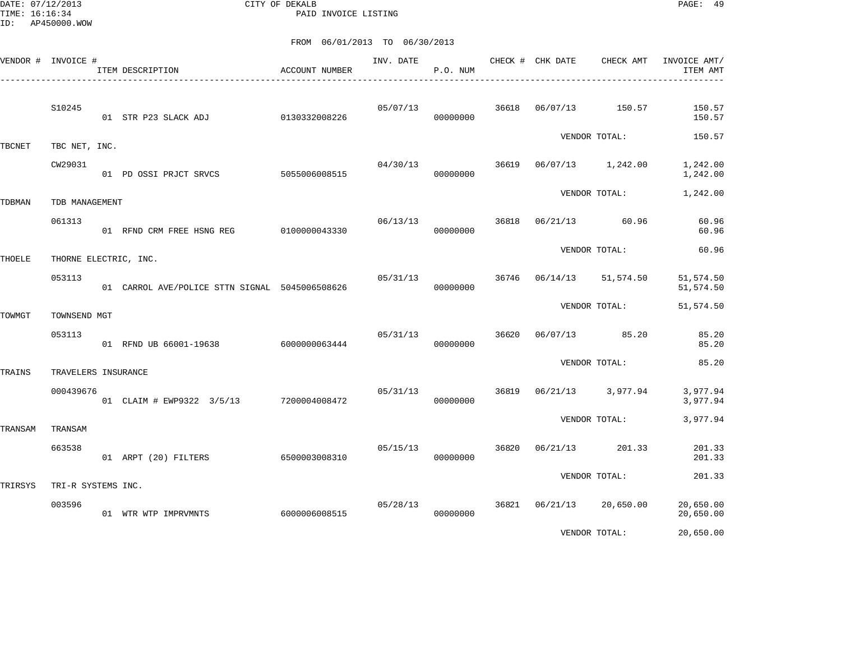DATE: 07/12/2013 CITY OF DEKALB PAGE: 49 PAID INVOICE LISTING

|               | VENDOR # INVOICE #    | ACCOUNT NUMBER<br>ITEM DESCRIPTION             |               | INV. DATE | P.O. NUM |       | CHECK # CHK DATE | CHECK AMT         | INVOICE AMT/<br>ITEM AMT |
|---------------|-----------------------|------------------------------------------------|---------------|-----------|----------|-------|------------------|-------------------|--------------------------|
|               | S10245                | 01 STR P23 SLACK ADJ                           | 0130332008226 | 05/07/13  | 00000000 | 36618 | 06/07/13         | 150.57            | 150.57<br>150.57         |
| <b>TBCNET</b> | TBC NET, INC.         |                                                |               |           |          |       |                  | VENDOR TOTAL:     | 150.57                   |
|               | CW29031               | 01 PD OSSI PRJCT SRVCS                         | 5055006008515 | 04/30/13  | 00000000 | 36619 |                  | 06/07/13 1,242.00 | 1,242.00<br>1,242.00     |
| TDBMAN        | TDB MANAGEMENT        |                                                |               |           |          |       |                  | VENDOR TOTAL:     | 1,242.00                 |
|               | 061313                | 01 RFND CRM FREE HSNG REG                      | 0100000043330 | 06/13/13  | 00000000 | 36818 |                  | 06/21/13 60.96    | 60.96<br>60.96           |
| THOELE        | THORNE ELECTRIC, INC. |                                                |               |           |          |       |                  | VENDOR TOTAL:     | 60.96                    |
|               | 053113                | 01 CARROL AVE/POLICE STTN SIGNAL 5045006508626 |               | 05/31/13  | 00000000 | 36746 | 06/14/13         | 51,574.50         | 51,574.50<br>51,574.50   |
| TOWMGT        | TOWNSEND MGT          |                                                |               |           |          |       |                  | VENDOR TOTAL:     | 51,574.50                |
|               | 053113                | 01 RFND UB 66001-19638 6000000063444           |               | 05/31/13  | 00000000 | 36620 | 06/07/13         | 85.20             | 85.20<br>85.20           |
| TRAINS        | TRAVELERS INSURANCE   |                                                |               |           |          |       |                  | VENDOR TOTAL:     | 85.20                    |
|               | 000439676             | 01 CLAIM # EWP9322 3/5/13 7200004008472        |               | 05/31/13  | 00000000 | 36819 | 06/21/13         | 3,977.94          | 3,977.94<br>3,977.94     |
| TRANSAM       | TRANSAM               |                                                |               |           |          |       |                  | VENDOR TOTAL:     | 3,977.94                 |
|               | 663538                | 01 ARPT (20) FILTERS                           | 6500003008310 | 05/15/13  | 00000000 | 36820 | 06/21/13         | 201.33            | 201.33<br>201.33         |
| TRIRSYS       | TRI-R SYSTEMS INC.    |                                                |               |           |          |       |                  | VENDOR TOTAL:     | 201.33                   |
|               | 003596                | 01 WTR WTP IMPRVMNTS                           | 6000006008515 | 05/28/13  | 00000000 |       | 36821 06/21/13   | 20,650.00         | 20,650.00<br>20,650.00   |
|               |                       |                                                |               |           |          |       |                  | VENDOR TOTAL:     | 20,650.00                |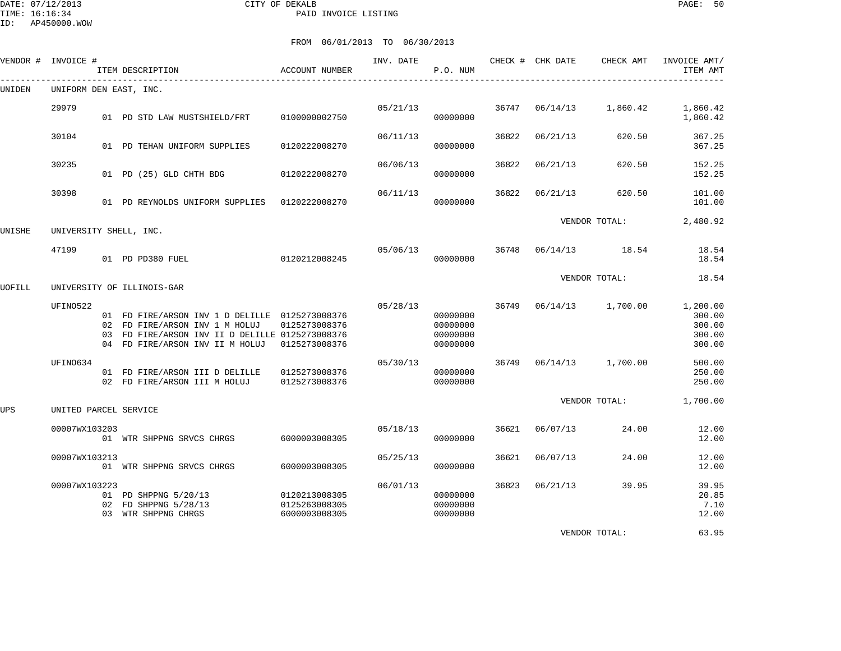DATE: 07/12/2013 CITY OF DEKALB PAGE: 50 PAID INVOICE LISTING

ID: AP450000.WOW

|        | VENDOR # INVOICE #    | ITEM DESCRIPTION                                                                                                                                                                     | ACCOUNT NUMBER                                  | INV. DATE | P.O. NUM                                     |       | CHECK # CHK DATE | CHECK AMT                 | INVOICE AMT/<br>ITEM AMT                         |
|--------|-----------------------|--------------------------------------------------------------------------------------------------------------------------------------------------------------------------------------|-------------------------------------------------|-----------|----------------------------------------------|-------|------------------|---------------------------|--------------------------------------------------|
| UNIDEN |                       | UNIFORM DEN EAST, INC.                                                                                                                                                               |                                                 |           |                                              |       |                  |                           |                                                  |
|        | 29979                 | 01 PD STD LAW MUSTSHIELD/FRT                                                                                                                                                         | 0100000002750                                   | 05/21/13  | 00000000                                     | 36747 | 06/14/13         | 1,860.42                  | 1,860.42<br>1,860.42                             |
|        | 30104                 | 01 PD TEHAN UNIFORM SUPPLIES                                                                                                                                                         | 0120222008270                                   | 06/11/13  | 00000000                                     | 36822 | 06/21/13         | 620.50                    | 367.25<br>367.25                                 |
|        | 30235                 | 01 PD (25) GLD CHTH BDG                                                                                                                                                              | 0120222008270                                   | 06/06/13  | 00000000                                     | 36822 | 06/21/13         | 620.50                    | 152.25<br>152.25                                 |
|        | 30398                 | 01 PD REYNOLDS UNIFORM SUPPLIES 0120222008270                                                                                                                                        |                                                 | 06/11/13  | 00000000                                     | 36822 | 06/21/13         | 620.50                    | 101.00<br>101.00                                 |
| UNISHE |                       | UNIVERSITY SHELL, INC.                                                                                                                                                               |                                                 |           |                                              |       |                  | VENDOR TOTAL:             | 2,480.92                                         |
|        | 47199                 | 01 PD PD380 FUEL                                                                                                                                                                     | 0120212008245                                   | 05/06/13  | 00000000                                     | 36748 |                  | 06/14/13 18.54            | 18.54<br>18.54                                   |
| UOFILL |                       | UNIVERSITY OF ILLINOIS-GAR                                                                                                                                                           |                                                 |           |                                              |       |                  | VENDOR TOTAL:             | 18.54                                            |
|        | UFIN0522              | 01 FD FIRE/ARSON INV 1 D DELILLE 0125273008376<br>02 FD FIRE/ARSON INV 1 M HOLUJ<br>03 FD FIRE/ARSON INV II D DELILLE 0125273008376<br>04 FD FIRE/ARSON INV II M HOLUJ 0125273008376 | 0125273008376                                   | 05/28/13  | 00000000<br>00000000<br>00000000<br>00000000 |       |                  | 36749  06/14/13  1,700.00 | 1,200.00<br>300.00<br>300.00<br>300.00<br>300.00 |
|        | UFINO634              | 01 FD FIRE/ARSON III D DELILLE<br>02 FD FIRE/ARSON III M HOLUJ                                                                                                                       | 0125273008376<br>0125273008376                  | 05/30/13  | 00000000<br>00000000                         |       |                  | 36749 06/14/13 1,700.00   | 500.00<br>250.00<br>250.00                       |
| UPS    | UNITED PARCEL SERVICE |                                                                                                                                                                                      |                                                 |           |                                              |       |                  | VENDOR TOTAL:             | 1,700.00                                         |
|        | 00007WX103203         | 01 WTR SHPPNG SRVCS CHRGS                                                                                                                                                            | 6000003008305                                   | 05/18/13  | 00000000                                     | 36621 | 06/07/13         | 24.00                     | 12.00<br>12.00                                   |
|        | 00007WX103213         | 01 WTR SHPPNG SRVCS CHRGS                                                                                                                                                            | 6000003008305                                   | 05/25/13  | 00000000                                     | 36621 | 06/07/13         | 24.00                     | 12.00<br>12.00                                   |
|        | 00007WX103223         | 01 PD SHPPNG 5/20/13<br>02 FD SHPPNG 5/28/13<br>03 WTR SHPPNG CHRGS                                                                                                                  | 0120213008305<br>0125263008305<br>6000003008305 | 06/01/13  | 00000000<br>00000000<br>00000000             | 36823 | 06/21/13         | 39.95                     | 39.95<br>20.85<br>7.10<br>12.00                  |
|        |                       |                                                                                                                                                                                      |                                                 |           |                                              |       |                  | VENDOR TOTAL:             | 63.95                                            |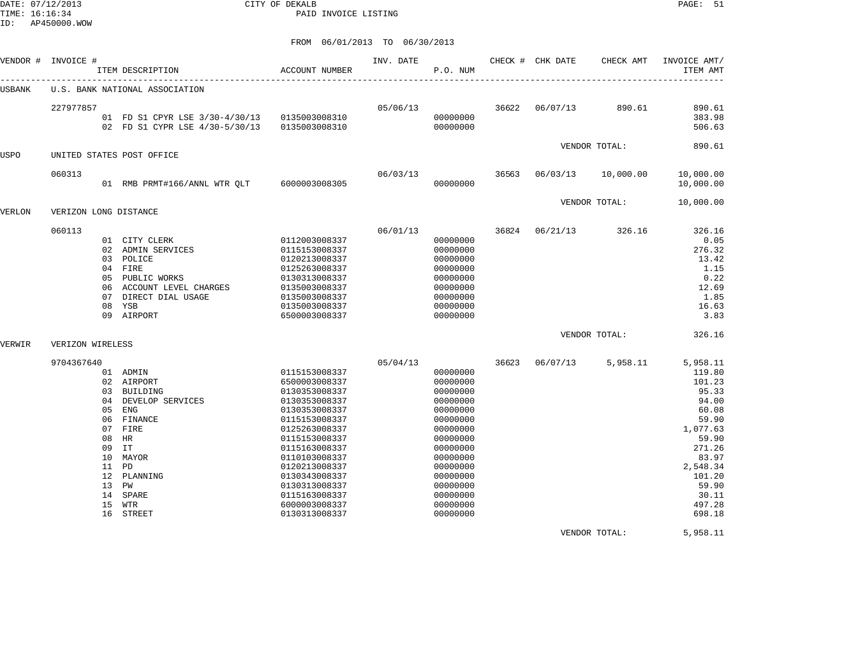DATE: 07/12/2013 CITY OF DEKALB PAGE: 51 PAID INVOICE LISTING

ID: AP450000.WOW

|        | VENDOR # INVOICE #    |                                              | ITEM DESCRIPTION                                                                                                                                                          | ACCOUNT NUMBER                                                                                                                                                                                                                                                               | INV. DATE | P.O. NUM                                                                                                                                                                                     |       | CHECK # CHK DATE | CHECK AMT     | INVOICE AMT/<br>ITEM AMT                                                                                                                                             |
|--------|-----------------------|----------------------------------------------|---------------------------------------------------------------------------------------------------------------------------------------------------------------------------|------------------------------------------------------------------------------------------------------------------------------------------------------------------------------------------------------------------------------------------------------------------------------|-----------|----------------------------------------------------------------------------------------------------------------------------------------------------------------------------------------------|-------|------------------|---------------|----------------------------------------------------------------------------------------------------------------------------------------------------------------------|
| USBANK |                       |                                              | U.S. BANK NATIONAL ASSOCIATION                                                                                                                                            |                                                                                                                                                                                                                                                                              |           |                                                                                                                                                                                              |       |                  |               |                                                                                                                                                                      |
|        | 227977857             |                                              | 01 FD S1 CPYR LSE 3/30-4/30/13 0135003008310<br>02 FD S1 CYPR LSE 4/30-5/30/13                                                                                            | 0135003008310                                                                                                                                                                                                                                                                | 05/06/13  | 00000000<br>00000000                                                                                                                                                                         | 36622 | 06/07/13         | 890.61        | 890.61<br>383.98<br>506.63                                                                                                                                           |
| USPO   |                       |                                              | UNITED STATES POST OFFICE                                                                                                                                                 |                                                                                                                                                                                                                                                                              |           |                                                                                                                                                                                              |       |                  | VENDOR TOTAL: | 890.61                                                                                                                                                               |
|        | 060313                |                                              | 01 RMB PRMT#166/ANNL WTR QLT                                                                                                                                              | 6000003008305                                                                                                                                                                                                                                                                | 06/03/13  | 00000000                                                                                                                                                                                     | 36563 | 06/03/13         | 10,000.00     | 10,000.00<br>10,000.00                                                                                                                                               |
| VERLON | VERIZON LONG DISTANCE |                                              |                                                                                                                                                                           |                                                                                                                                                                                                                                                                              |           |                                                                                                                                                                                              |       |                  | VENDOR TOTAL: | 10,000.00                                                                                                                                                            |
|        | 060113                | 05<br>06<br>07<br>08<br>09                   | 01 CITY CLERK<br>02 ADMIN SERVICES<br>03 POLICE<br>04 FIRE<br>PUBLIC WORKS<br>ACCOUNT LEVEL CHARGES<br>DIRECT DIAL USAGE<br>YSB<br>AIRPORT                                | 0112003008337<br>0115153008337<br>0120213008337<br>0125263008337<br>0130313008337<br>0135003008337<br>0135003008337<br>0135003008337<br>6500003008337                                                                                                                        | 06/01/13  | 00000000<br>00000000<br>00000000<br>00000000<br>00000000<br>00000000<br>00000000<br>00000000<br>00000000                                                                                     | 36824 | 06/21/13         | 326.16        | 326.16<br>0.05<br>276.32<br>13.42<br>1.15<br>0.22<br>12.69<br>1.85<br>16.63<br>3.83                                                                                  |
| VERWIR | VERIZON WIRELESS      |                                              |                                                                                                                                                                           |                                                                                                                                                                                                                                                                              |           |                                                                                                                                                                                              |       |                  | VENDOR TOTAL: | 326.16                                                                                                                                                               |
|        | 9704367640            | 05<br>08<br>09<br>10<br>11<br>12<br>14<br>15 | 01 ADMIN<br>02 AIRPORT<br>03 BUILDING<br>04 DEVELOP SERVICES<br>ENG<br>06 FINANCE<br>07 FIRE<br>HR<br>IT<br>MAYOR<br>PD<br>PLANNING<br>13 PW<br>SPARE<br>WTR<br>16 STREET | 0115153008337<br>6500003008337<br>0130353008337<br>0130353008337<br>0130353008337<br>0115153008337<br>0125263008337<br>0115153008337<br>0115163008337<br>0110103008337<br>0120213008337<br>0130343008337<br>0130313008337<br>0115163008337<br>6000003008337<br>0130313008337 | 05/04/13  | 00000000<br>00000000<br>00000000<br>00000000<br>00000000<br>00000000<br>00000000<br>00000000<br>00000000<br>00000000<br>00000000<br>00000000<br>00000000<br>00000000<br>00000000<br>00000000 | 36623 | 06/07/13         | 5,958.11      | 5,958.11<br>119.80<br>101.23<br>95.33<br>94.00<br>60.08<br>59.90<br>1,077.63<br>59.90<br>271.26<br>83.97<br>2,548.34<br>101.20<br>59.90<br>30.11<br>497.28<br>698.18 |
|        |                       |                                              |                                                                                                                                                                           |                                                                                                                                                                                                                                                                              |           |                                                                                                                                                                                              |       |                  | VENDOR TOTAL: | 5,958.11                                                                                                                                                             |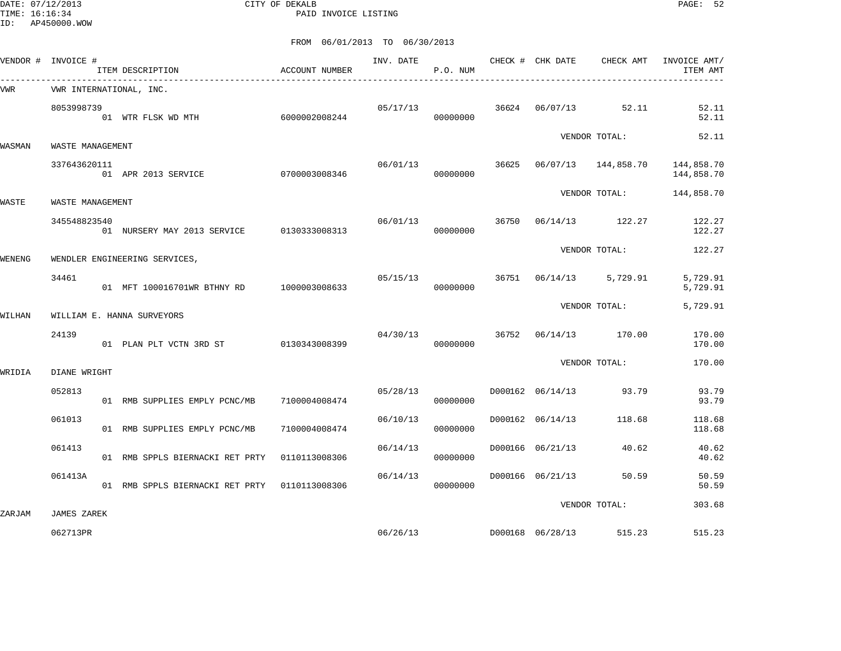DATE: 07/12/2013 CITY OF DEKALB PAGE: 52 PAID INVOICE LISTING

|        | VENDOR # INVOICE #      | ITEM DESCRIPTION                              | ACCOUNT NUMBER | INV. DATE | P.O. NUM             |                  | CHECK # CHK DATE CHECK AMT           | INVOICE AMT/<br>ITEM AMT                                    |
|--------|-------------------------|-----------------------------------------------|----------------|-----------|----------------------|------------------|--------------------------------------|-------------------------------------------------------------|
| VWR    |                         | VWR INTERNATIONAL, INC.                       |                |           |                      |                  |                                      |                                                             |
|        | 8053998739              | 01 WTR FLSK WD MTH                            | 6000002008244  | 05/17/13  | 00000000             |                  | 36624 06/07/13 52.11                 | 52.11<br>52.11                                              |
| WASMAN | WASTE MANAGEMENT        |                                               |                |           |                      |                  | VENDOR TOTAL:                        | 52.11                                                       |
|        | 337643620111            | 01 APR 2013 SERVICE                           | 0700003008346  |           | 00000000             |                  |                                      | 06/01/13 36625 06/07/13 144,858.70 144,858.70<br>144,858.70 |
| WASTE  | WASTE MANAGEMENT        |                                               |                |           |                      |                  | VENDOR TOTAL:                        | 144,858.70                                                  |
|        | 345548823540            | 01 NURSERY MAY 2013 SERVICE 0130333008313     |                | 06/01/13  | 00000000             |                  | 36750 06/14/13 122.27                | 122.27<br>122.27                                            |
| WENENG |                         | WENDLER ENGINEERING SERVICES,                 |                |           |                      |                  | VENDOR TOTAL:                        | 122.27                                                      |
|        | 34461                   |                                               |                |           | 00000000             |                  | $05/15/13$ 36751 $06/14/13$ 5,729.91 | 5,729.91<br>5,729.91                                        |
| WILHAN |                         | WILLIAM E. HANNA SURVEYORS                    |                |           |                      |                  | VENDOR TOTAL:                        | 5,729.91                                                    |
|        | 24139                   | 01 PLAN PLT VCTN 3RD ST 0130343008399         |                | 04/30/13  | 00000000             |                  | 36752 06/14/13 170.00                | 170.00<br>170.00                                            |
| WRIDIA | DIANE WRIGHT            |                                               |                |           |                      |                  | VENDOR TOTAL:                        | 170.00                                                      |
|        | 052813                  | 01 RMB SUPPLIES EMPLY PCNC/MB                 | 7100004008474  |           | 05/28/13<br>00000000 |                  | D000162 06/14/13 93.79               | 93.79<br>93.79                                              |
|        | 061013                  | 01 RMB SUPPLIES EMPLY PCNC/MB                 | 7100004008474  | 06/10/13  | 00000000             | D000162 06/14/13 | 118.68                               | 118.68<br>118.68                                            |
|        | 061413                  | 01 RMB SPPLS BIERNACKI RET PRTY               | 0110113008306  | 06/14/13  | 00000000             | D000166 06/21/13 | 40.62                                | 40.62<br>40.62                                              |
|        | 061413A                 | 01 RMB SPPLS BIERNACKI RET PRTY 0110113008306 |                | 06/14/13  | 00000000             | D000166 06/21/13 | 50.59                                | 50.59<br>50.59                                              |
|        |                         |                                               |                |           |                      |                  | VENDOR TOTAL:                        | 303.68                                                      |
| ZARJAM | JAMES ZAREK<br>062713PR |                                               |                | 06/26/13  |                      | D000168 06/28/13 | 515.23                               | 515.23                                                      |
|        |                         |                                               |                |           |                      |                  |                                      |                                                             |